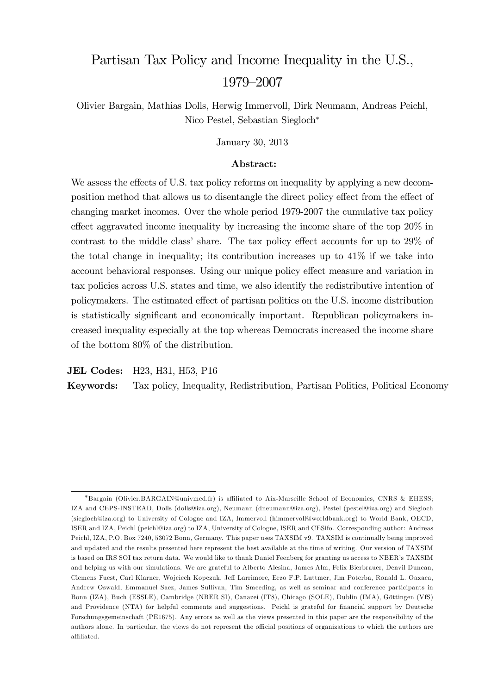# Partisan Tax Policy and Income Inequality in the U.S., 1979–2007

Olivier Bargain, Mathias Dolls, Herwig Immervoll, Dirk Neumann, Andreas Peichl, Nico Pestel, Sebastian Siegloch

January 30, 2013

#### Abstract:

We assess the effects of U.S. tax policy reforms on inequality by applying a new decomposition method that allows us to disentangle the direct policy effect from the effect of changing market incomes. Over the whole period 1979-2007 the cumulative tax policy effect aggravated income inequality by increasing the income share of the top  $20\%$  in contrast to the middle class' share. The tax policy effect accounts for up to  $29\%$  of the total change in inequality; its contribution increases up to 41% if we take into account behavioral responses. Using our unique policy effect measure and variation in tax policies across U.S. states and time, we also identify the redistributive intention of policymakers. The estimated effect of partisan politics on the U.S. income distribution is statistically significant and economically important. Republican policymakers increased inequality especially at the top whereas Democrats increased the income share of the bottom 80% of the distribution.

JEL Codes: H23, H31, H53, P16

Keywords: Tax policy, Inequality, Redistribution, Partisan Politics, Political Economy

<sup>\*</sup>Bargain (Olivier.BARGAIN@univmed.fr) is affiliated to Aix-Marseille School of Economics, CNRS & EHESS; IZA and CEPS-INSTEAD, Dolls (dolls@iza.org), Neumann (dneumann@iza.org), Pestel (pestel@iza.org) and Siegloch (siegloch@iza.org) to University of Cologne and IZA, Immervoll (himmervoll@worldbank.org) to World Bank, OECD, ISER and IZA, Peichl (peichl@iza.org) to IZA, University of Cologne, ISER and CESifo. Corresponding author: Andreas Peichl, IZA, P.O. Box 7240, 53072 Bonn, Germany. This paper uses TAXSIM v9. TAXSIM is continually being improved and updated and the results presented here represent the best available at the time of writing. Our version of TAXSIM is based on IRS SOI tax return data. We would like to thank Daniel Feenberg for granting us access to NBER's TAXSIM and helping us with our simulations. We are grateful to Alberto Alesina, James Alm, Felix Bierbrauer, Denvil Duncan, Clemens Fuest, Carl Klarner, Wojciech Kopczuk, Jeff Larrimore, Erzo F.P. Luttmer, Jim Poterba, Ronald L. Oaxaca, Andrew Oswald, Emmanuel Saez, James Sullivan, Tim Smeeding, as well as seminar and conference participants in Bonn (IZA), Buch (ESSLE), Cambridge (NBER SI), Canazei (IT8), Chicago (SOLE), Dublin (IMA), Göttingen (VfS) and Providence (NTA) for helpful comments and suggestions. Peichl is grateful for financial support by Deutsche Forschungsgemeinschaft (PE1675). Any errors as well as the views presented in this paper are the responsibility of the authors alone. In particular, the views do not represent the official positions of organizations to which the authors are affiliated.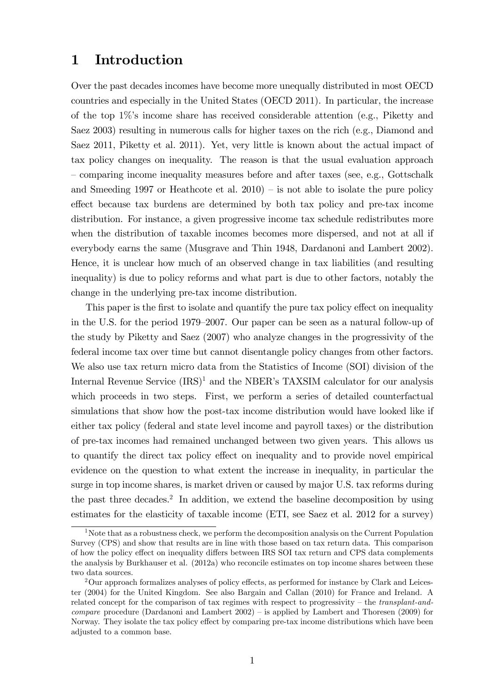### 1 Introduction

Over the past decades incomes have become more unequally distributed in most OECD countries and especially in the United States (OECD 2011). In particular, the increase of the top  $1\%$ 's income share has received considerable attention (e.g., Piketty and Saez 2003) resulting in numerous calls for higher taxes on the rich (e.g., Diamond and Saez 2011, Piketty et al. 2011). Yet, very little is known about the actual impact of tax policy changes on inequality. The reason is that the usual evaluation approach – comparing income inequality measures before and after taxes (see, e.g., Gottschalk and Smeeding 1997 or Heathcote et al.  $2010$  – is not able to isolate the pure policy effect because tax burdens are determined by both tax policy and pre-tax income distribution. For instance, a given progressive income tax schedule redistributes more when the distribution of taxable incomes becomes more dispersed, and not at all if everybody earns the same (Musgrave and Thin 1948, Dardanoni and Lambert 2002). Hence, it is unclear how much of an observed change in tax liabilities (and resulting inequality) is due to policy reforms and what part is due to other factors, notably the change in the underlying pre-tax income distribution.

This paper is the first to isolate and quantify the pure tax policy effect on inequality in the U.S. for the period 1979–2007. Our paper can be seen as a natural follow-up of the study by Piketty and Saez (2007) who analyze changes in the progressivity of the federal income tax over time but cannot disentangle policy changes from other factors. We also use tax return micro data from the Statistics of Income (SOI) division of the Internal Revenue Service  $(IRS)^1$  and the NBER's TAXSIM calculator for our analysis which proceeds in two steps. First, we perform a series of detailed counterfactual simulations that show how the post-tax income distribution would have looked like if either tax policy (federal and state level income and payroll taxes) or the distribution of pre-tax incomes had remained unchanged between two given years. This allows us to quantify the direct tax policy effect on inequality and to provide novel empirical evidence on the question to what extent the increase in inequality, in particular the surge in top income shares, is market driven or caused by major U.S. tax reforms during the past three decades.<sup>2</sup> In addition, we extend the baseline decomposition by using estimates for the elasticity of taxable income (ETI, see Saez et al. 2012 for a survey)

<sup>&</sup>lt;sup>1</sup>Note that as a robustness check, we perform the decomposition analysis on the Current Population Survey (CPS) and show that results are in line with those based on tax return data. This comparison of how the policy effect on inequality differs between IRS SOI tax return and CPS data complements the analysis by Burkhauser et al. (2012a) who reconcile estimates on top income shares between these two data sources.

 $2$ Our approach formalizes analyses of policy effects, as performed for instance by Clark and Leicester (2004) for the United Kingdom. See also Bargain and Callan (2010) for France and Ireland. A related concept for the comparison of tax regimes with respect to progressivity  $-$  the transplant-and*compare* procedure (Dardanoni and Lambert  $2002$ ) – is applied by Lambert and Thoresen (2009) for Norway. They isolate the tax policy effect by comparing pre-tax income distributions which have been adjusted to a common base.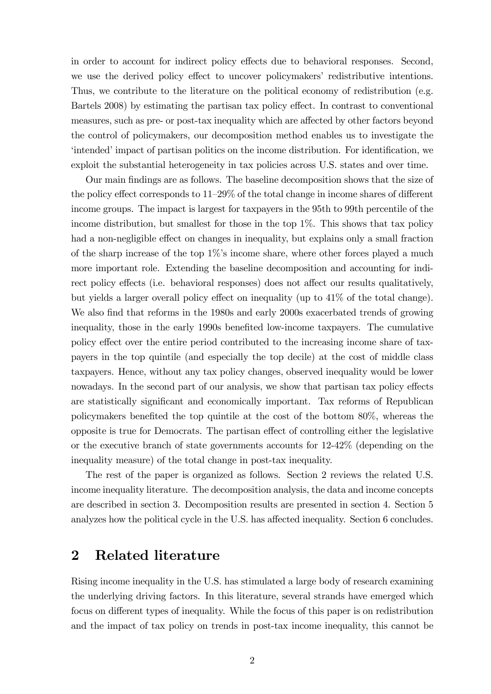in order to account for indirect policy effects due to behavioral responses. Second, we use the derived policy effect to uncover policymakers' redistributive intentions. Thus, we contribute to the literature on the political economy of redistribution (e.g. Bartels 2008) by estimating the partisan tax policy effect. In contrast to conventional measures, such as pre- or post-tax inequality which are affected by other factors beyond the control of policymakers, our decomposition method enables us to investigate the intended impact of partisan politics on the income distribution. For identification, we exploit the substantial heterogeneity in tax policies across U.S. states and over time.

Our main Öndings are as follows. The baseline decomposition shows that the size of the policy effect corresponds to  $11-29\%$  of the total change in income shares of different income groups. The impact is largest for taxpayers in the 95th to 99th percentile of the income distribution, but smallest for those in the top 1%. This shows that tax policy had a non-negligible effect on changes in inequality, but explains only a small fraction of the sharp increase of the top  $1\%$ 's income share, where other forces played a much more important role. Extending the baseline decomposition and accounting for indirect policy effects (i.e. behavioral responses) does not affect our results qualitatively, but yields a larger overall policy effect on inequality (up to  $41\%$  of the total change). We also find that reforms in the 1980s and early 2000s exacerbated trends of growing inequality, those in the early 1990s benefited low-income taxpayers. The cumulative policy effect over the entire period contributed to the increasing income share of taxpayers in the top quintile (and especially the top decile) at the cost of middle class taxpayers. Hence, without any tax policy changes, observed inequality would be lower nowadays. In the second part of our analysis, we show that partisan tax policy effects are statistically significant and economically important. Tax reforms of Republican policymakers benefited the top quintile at the cost of the bottom  $80\%$ , whereas the opposite is true for Democrats. The partisan effect of controlling either the legislative or the executive branch of state governments accounts for 12-42% (depending on the inequality measure) of the total change in post-tax inequality.

The rest of the paper is organized as follows. Section 2 reviews the related U.S. income inequality literature. The decomposition analysis, the data and income concepts are described in section 3. Decomposition results are presented in section 4. Section 5 analyzes how the political cycle in the U.S. has affected inequality. Section 6 concludes.

### 2 Related literature

Rising income inequality in the U.S. has stimulated a large body of research examining the underlying driving factors. In this literature, several strands have emerged which focus on different types of inequality. While the focus of this paper is on redistribution and the impact of tax policy on trends in post-tax income inequality, this cannot be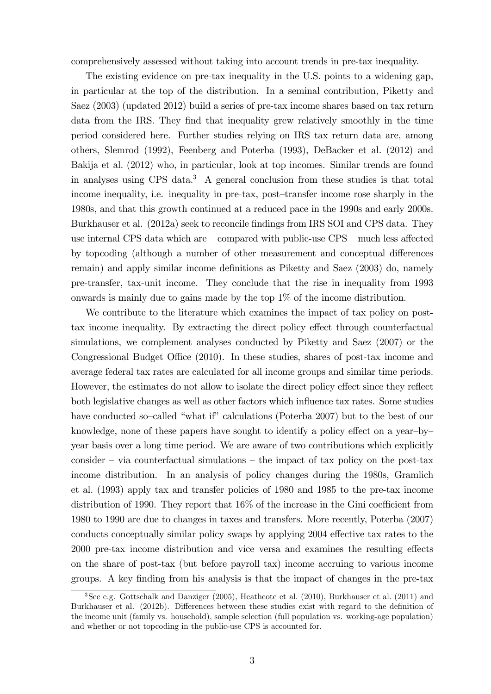comprehensively assessed without taking into account trends in pre-tax inequality.

The existing evidence on pre-tax inequality in the U.S. points to a widening gap, in particular at the top of the distribution. In a seminal contribution, Piketty and Saez (2003) (updated 2012) build a series of pre-tax income shares based on tax return data from the IRS. They find that inequality grew relatively smoothly in the time period considered here. Further studies relying on IRS tax return data are, among others, Slemrod (1992), Feenberg and Poterba (1993), DeBacker et al. (2012) and Bakija et al. (2012) who, in particular, look at top incomes. Similar trends are found in analyses using CPS data.<sup>3</sup> A general conclusion from these studies is that total income inequality, i.e. inequality in pre-tax, post-transfer income rose sharply in the 1980s, and that this growth continued at a reduced pace in the 1990s and early 2000s. Burkhauser et al. (2012a) seek to reconcile findings from IRS SOI and CPS data. They use internal CPS data which are  $\sim$  compared with public-use CPS  $\sim$  much less affected by topcoding (although a number of other measurement and conceptual differences remain) and apply similar income definitions as Piketty and Saez (2003) do, namely pre-transfer, tax-unit income. They conclude that the rise in inequality from 1993 onwards is mainly due to gains made by the top 1% of the income distribution.

We contribute to the literature which examines the impact of tax policy on posttax income inequality. By extracting the direct policy effect through counterfactual simulations, we complement analyses conducted by Piketty and Saez (2007) or the Congressional Budget Office (2010). In these studies, shares of post-tax income and average federal tax rates are calculated for all income groups and similar time periods. However, the estimates do not allow to isolate the direct policy effect since they reflect both legislative changes as well as other factors which influence tax rates. Some studies have conducted so-called "what if" calculations (Poterba 2007) but to the best of our knowledge, none of these papers have sought to identify a policy effect on a year-byyear basis over a long time period. We are aware of two contributions which explicitly consider  $\overline{\phantom{a}}$  via counterfactual simulations  $\overline{\phantom{a}}$  the impact of tax policy on the post-tax income distribution. In an analysis of policy changes during the 1980s, Gramlich et al. (1993) apply tax and transfer policies of 1980 and 1985 to the pre-tax income distribution of 1990. They report that  $16\%$  of the increase in the Gini coefficient from 1980 to 1990 are due to changes in taxes and transfers. More recently, Poterba (2007) conducts conceptually similar policy swaps by applying 2004 effective tax rates to the 2000 pre-tax income distribution and vice versa and examines the resulting effects on the share of post-tax (but before payroll tax) income accruing to various income groups. A key finding from his analysis is that the impact of changes in the pre-tax

 $3$ See e.g. Gottschalk and Danziger (2005), Heathcote et al. (2010), Burkhauser et al. (2011) and Burkhauser et al. (2012b). Differences between these studies exist with regard to the definition of the income unit (family vs. household), sample selection (full population vs. working-age population) and whether or not topcoding in the public-use CPS is accounted for.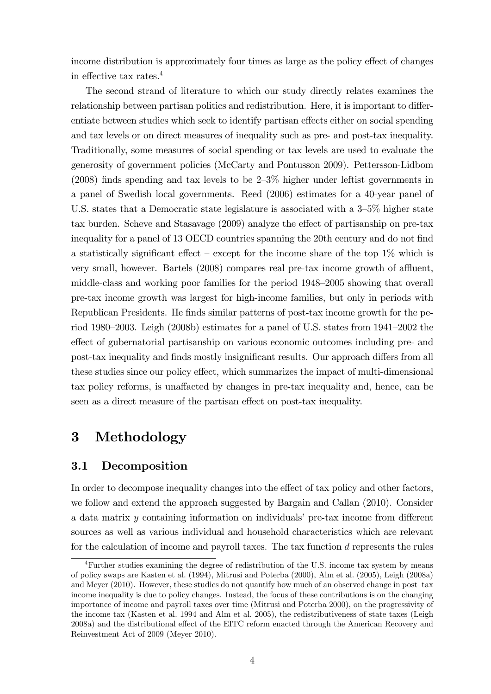income distribution is approximately four times as large as the policy effect of changes in effective tax rates. $4$ 

The second strand of literature to which our study directly relates examines the relationship between partisan politics and redistribution. Here, it is important to differentiate between studies which seek to identify partisan effects either on social spending and tax levels or on direct measures of inequality such as pre- and post-tax inequality. Traditionally, some measures of social spending or tax levels are used to evaluate the generosity of government policies (McCarty and Pontusson 2009). Pettersson-Lidbom (2008) finds spending and tax levels to be  $2-3\%$  higher under leftist governments in a panel of Swedish local governments. Reed (2006) estimates for a 40-year panel of U.S. states that a Democratic state legislature is associated with a  $3-5\%$  higher state tax burden. Scheve and Stasavage  $(2009)$  analyze the effect of partisanship on pre-tax inequality for a panel of 13 OECD countries spanning the 20th century and do not find a statistically significant effect – except for the income share of the top  $1\%$  which is very small, however. Bartels  $(2008)$  compares real pre-tax income growth of affluent, middle-class and working poor families for the period  $1948-2005$  showing that overall pre-tax income growth was largest for high-income families, but only in periods with Republican Presidents. He finds similar patterns of post-tax income growth for the period 1980–2003. Leigh (2008b) estimates for a panel of U.S. states from  $1941-2002$  the effect of gubernatorial partisanship on various economic outcomes including pre- and post-tax inequality and finds mostly insignificant results. Our approach differs from all these studies since our policy effect, which summarizes the impact of multi-dimensional tax policy reforms, is unaffected by changes in pre-tax inequality and, hence, can be seen as a direct measure of the partisan effect on post-tax inequality.

# 3 Methodology

### 3.1 Decomposition

In order to decompose inequality changes into the effect of tax policy and other factors, we follow and extend the approach suggested by Bargain and Callan (2010). Consider a data matrix  $y$  containing information on individuals' pre-tax income from different sources as well as various individual and household characteristics which are relevant for the calculation of income and payroll taxes. The tax function d represents the rules

<sup>4</sup>Further studies examining the degree of redistribution of the U.S. income tax system by means of policy swaps are Kasten et al. (1994), Mitrusi and Poterba (2000), Alm et al. (2005), Leigh (2008a) and Meyer (2010). However, these studies do not quantify how much of an observed change in post-tax income inequality is due to policy changes. Instead, the focus of these contributions is on the changing importance of income and payroll taxes over time (Mitrusi and Poterba 2000), on the progressivity of the income tax (Kasten et al. 1994 and Alm et al. 2005), the redistributiveness of state taxes (Leigh 2008a) and the distributional effect of the EITC reform enacted through the American Recovery and Reinvestment Act of 2009 (Meyer 2010).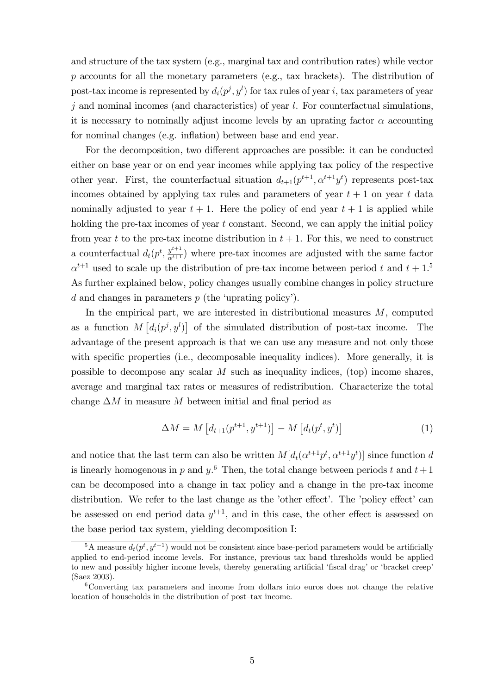and structure of the tax system (e.g., marginal tax and contribution rates) while vector p accounts for all the monetary parameters (e.g., tax brackets). The distribution of post-tax income is represented by  $d_i(p^j, y^l)$  for tax rules of year i, tax parameters of year  $j$  and nominal incomes (and characteristics) of year  $l$ . For counterfactual simulations, it is necessary to nominally adjust income levels by an uprating factor  $\alpha$  accounting for nominal changes (e.g. inflation) between base and end year.

For the decomposition, two different approaches are possible: it can be conducted either on base year or on end year incomes while applying tax policy of the respective other year. First, the counterfactual situation  $d_{t+1}(p^{t+1}, \alpha^{t+1}y^t)$  represents post-tax incomes obtained by applying tax rules and parameters of year  $t + 1$  on year t data nominally adjusted to year  $t + 1$ . Here the policy of end year  $t + 1$  is applied while holding the pre-tax incomes of year t constant. Second, we can apply the initial policy from year t to the pre-tax income distribution in  $t + 1$ . For this, we need to construct a counterfactual  $d_t(p^t, \frac{y^{t+1}}{\alpha^{t+1}})$  where pre-tax incomes are adjusted with the same factor  $\alpha^{t+1}$  used to scale up the distribution of pre-tax income between period t and  $t + 1$ .<sup>5</sup> As further explained below, policy changes usually combine changes in policy structure d and changes in parameters  $p$  (the 'uprating policy').

In the empirical part, we are interested in distributional measures  $M$ , computed as a function  $M\left[d_i(p^j, y^l)\right]$  of the simulated distribution of post-tax income. The advantage of the present approach is that we can use any measure and not only those with specific properties (i.e., decomposable inequality indices). More generally, it is possible to decompose any scalar M such as inequality indices, (top) income shares, average and marginal tax rates or measures of redistribution. Characterize the total change  $\Delta M$  in measure M between initial and final period as

$$
\Delta M = M \left[ d_{t+1}(p^{t+1}, y^{t+1}) \right] - M \left[ d_t(p^t, y^t) \right] \tag{1}
$$

and notice that the last term can also be written  $M[d_t(\alpha^{t+1}p^t, \alpha^{t+1}y^t)]$  since function d is linearly homogenous in p and  $y^6$ . Then, the total change between periods t and  $t+1$ can be decomposed into a change in tax policy and a change in the pre-tax income distribution. We refer to the last change as the 'other effect'. The 'policy effect' can be assessed on end period data  $y^{t+1}$ , and in this case, the other effect is assessed on the base period tax system, yielding decomposition I:

<sup>&</sup>lt;sup>5</sup>A measure  $d_t(p^t, y^{t+1})$  would not be consistent since base-period parameters would be artificially applied to end-period income levels. For instance, previous tax band thresholds would be applied to new and possibly higher income levels, thereby generating artificial 'fiscal drag' or 'bracket creep' (Saez 2003).

<sup>6</sup>Converting tax parameters and income from dollars into euros does not change the relative location of households in the distribution of post-tax income.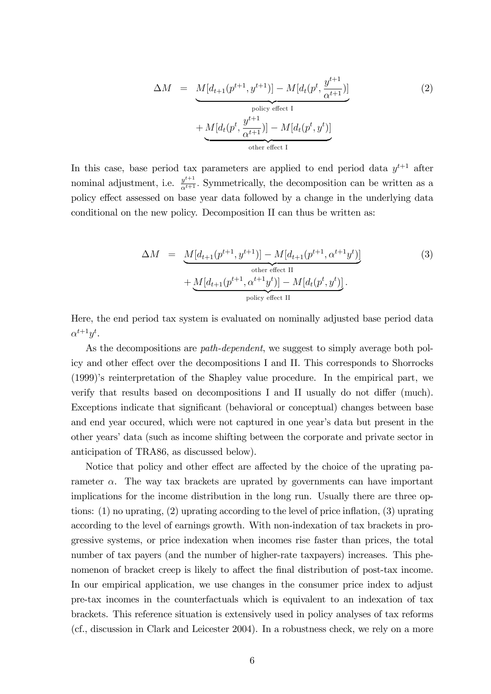$$
\Delta M = \underbrace{M[d_{t+1}(p^{t+1}, y^{t+1})] - M[d_t(p^t, \frac{y^{t+1}}{\alpha^{t+1}})]}_{\text{policy effect I}} + \underbrace{M[d_t(p^t, \frac{y^{t+1}}{\alpha^{t+1}})] - M[d_t(p^t, y^t)]}_{\text{other effect I}}
$$
\n
$$
(2)
$$

In this case, base period tax parameters are applied to end period data  $y^{t+1}$  after nominal adjustment, i.e.  $y^{t+1}$ . Symmetrically, the decomposition can be written as a policy effect assessed on base year data followed by a change in the underlying data conditional on the new policy. Decomposition II can thus be written as:

$$
\Delta M = \underbrace{M[d_{t+1}(p^{t+1}, y^{t+1})] - M[d_{t+1}(p^{t+1}, \alpha^{t+1}y^t)]}_{\text{other effect II}} + \underbrace{M[d_{t+1}(p^{t+1}, \alpha^{t+1}y^t)] - M[d_t(p^t, y^t)]}_{\text{policy effect II}}.
$$
\n(3)

Here, the end period tax system is evaluated on nominally adjusted base period data  $\alpha^{t+1}y^t$ .

As the decompositions are *path-dependent*, we suggest to simply average both policy and other effect over the decompositions I and II. This corresponds to Shorrocks (1999)ís reinterpretation of the Shapley value procedure. In the empirical part, we verify that results based on decompositions I and II usually do not differ (much). Exceptions indicate that significant (behavioral or conceptual) changes between base and end year occured, which were not captured in one year's data but present in the other yearsídata (such as income shifting between the corporate and private sector in anticipation of TRA86, as discussed below).

Notice that policy and other effect are affected by the choice of the uprating parameter  $\alpha$ . The way tax brackets are uprated by governments can have important implications for the income distribution in the long run. Usually there are three options:  $(1)$  no uprating,  $(2)$  uprating according to the level of price inflation,  $(3)$  uprating according to the level of earnings growth. With non-indexation of tax brackets in progressive systems, or price indexation when incomes rise faster than prices, the total number of tax payers (and the number of higher-rate taxpayers) increases. This phenomenon of bracket creep is likely to affect the final distribution of post-tax income. In our empirical application, we use changes in the consumer price index to adjust pre-tax incomes in the counterfactuals which is equivalent to an indexation of tax brackets. This reference situation is extensively used in policy analyses of tax reforms (cf., discussion in Clark and Leicester 2004). In a robustness check, we rely on a more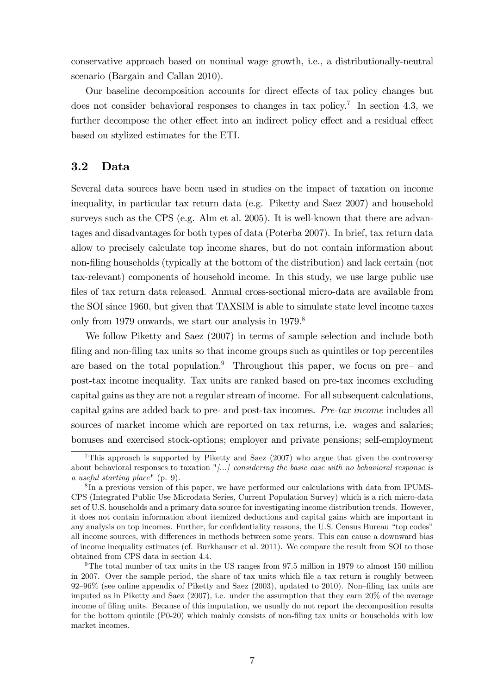conservative approach based on nominal wage growth, i.e., a distributionally-neutral scenario (Bargain and Callan 2010).

Our baseline decomposition accounts for direct effects of tax policy changes but does not consider behavioral responses to changes in tax policy.<sup>7</sup> In section 4.3, we further decompose the other effect into an indirect policy effect and a residual effect based on stylized estimates for the ETI.

### 3.2 Data

Several data sources have been used in studies on the impact of taxation on income inequality, in particular tax return data (e.g. Piketty and Saez 2007) and household surveys such as the CPS (e.g. Alm et al. 2005). It is well-known that there are advantages and disadvantages for both types of data (Poterba 2007). In brief, tax return data allow to precisely calculate top income shares, but do not contain information about non-filing households (typically at the bottom of the distribution) and lack certain (not tax-relevant) components of household income. In this study, we use large public use files of tax return data released. Annual cross-sectional micro-data are available from the SOI since 1960, but given that TAXSIM is able to simulate state level income taxes only from 1979 onwards, we start our analysis in 1979.<sup>8</sup>

We follow Piketty and Saez (2007) in terms of sample selection and include both filing and non-filing tax units so that income groups such as quintiles or top percentiles are based on the total population.<sup>9</sup> Throughout this paper, we focus on pre $\bar{P}$  and post-tax income inequality. Tax units are ranked based on pre-tax incomes excluding capital gains as they are not a regular stream of income. For all subsequent calculations, capital gains are added back to pre- and post-tax incomes. Pre-tax income includes all sources of market income which are reported on tax returns, i.e. wages and salaries; bonuses and exercised stock-options; employer and private pensions; self-employment

<sup>&</sup>lt;sup>7</sup>This approach is supported by Piketty and Saez (2007) who argue that given the controversy about behavioral responses to taxation "[...] considering the basic case with no behavioral response is a useful starting place" (p. 9).

<sup>&</sup>lt;sup>8</sup>In a previous version of this paper, we have performed our calculations with data from IPUMS-CPS (Integrated Public Use Microdata Series, Current Population Survey) which is a rich micro-data set of U.S. households and a primary data source for investigating income distribution trends. However, it does not contain information about itemized deductions and capital gains which are important in any analysis on top incomes. Further, for confidentiality reasons, the U.S. Census Bureau "top codes" all income sources, with differences in methods between some years. This can cause a downward bias of income inequality estimates (cf. Burkhauser et al. 2011). We compare the result from SOI to those obtained from CPS data in section 4.4.

<sup>9</sup>The total number of tax units in the US ranges from 97.5 million in 1979 to almost 150 million in 2007. Over the sample period, the share of tax units which Öle a tax return is roughly between  $92-96\%$  (see online appendix of Piketty and Saez (2003), updated to 2010). Non-filing tax units are imputed as in Piketty and Saez (2007), i.e. under the assumption that they earn 20% of the average income of filing units. Because of this imputation, we usually do not report the decomposition results for the bottom quintile (P0-20) which mainly consists of non-filing tax units or households with low market incomes.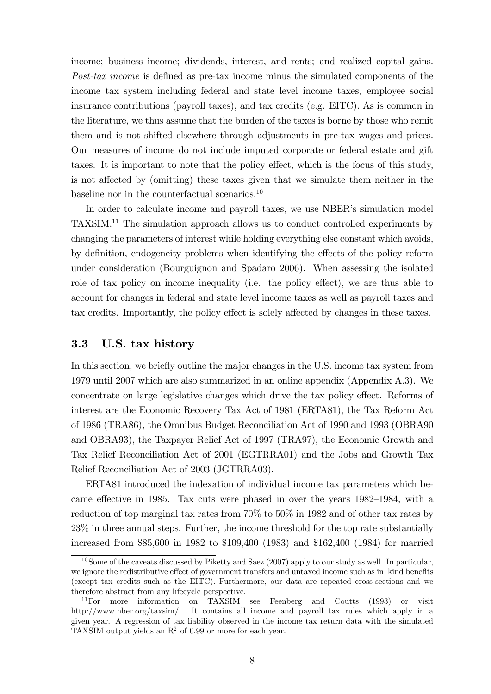income; business income; dividends, interest, and rents; and realized capital gains. Post-tax income is defined as pre-tax income minus the simulated components of the income tax system including federal and state level income taxes, employee social insurance contributions (payroll taxes), and tax credits (e.g. EITC). As is common in the literature, we thus assume that the burden of the taxes is borne by those who remit them and is not shifted elsewhere through adjustments in pre-tax wages and prices. Our measures of income do not include imputed corporate or federal estate and gift taxes. It is important to note that the policy effect, which is the focus of this study, is not affected by (omitting) these taxes given that we simulate them neither in the baseline nor in the counterfactual scenarios.<sup>10</sup>

In order to calculate income and payroll taxes, we use NBER's simulation model TAXSIM.<sup>11</sup> The simulation approach allows us to conduct controlled experiments by changing the parameters of interest while holding everything else constant which avoids, by definition, endogeneity problems when identifying the effects of the policy reform under consideration (Bourguignon and Spadaro 2006). When assessing the isolated role of tax policy on income inequality (i.e. the policy effect), we are thus able to account for changes in federal and state level income taxes as well as payroll taxes and tax credits. Importantly, the policy effect is solely affected by changes in these taxes.

#### 3.3 U.S. tax history

In this section, we briefly outline the major changes in the U.S. income tax system from 1979 until 2007 which are also summarized in an online appendix (Appendix A.3). We concentrate on large legislative changes which drive the tax policy effect. Reforms of interest are the Economic Recovery Tax Act of 1981 (ERTA81), the Tax Reform Act of 1986 (TRA86), the Omnibus Budget Reconciliation Act of 1990 and 1993 (OBRA90 and OBRA93), the Taxpayer Relief Act of 1997 (TRA97), the Economic Growth and Tax Relief Reconciliation Act of 2001 (EGTRRA01) and the Jobs and Growth Tax Relief Reconciliation Act of 2003 (JGTRRA03).

ERTA81 introduced the indexation of individual income tax parameters which became effective in 1985. Tax cuts were phased in over the years  $1982-1984$ , with a reduction of top marginal tax rates from 70% to 50% in 1982 and of other tax rates by 23% in three annual steps. Further, the income threshold for the top rate substantially increased from \$85,600 in 1982 to \$109,400 (1983) and \$162,400 (1984) for married

 $10$ Some of the caveats discussed by Piketty and Saez (2007) apply to our study as well. In particular, we ignore the redistributive effect of government transfers and untaxed income such as in-kind benefits (except tax credits such as the EITC). Furthermore, our data are repeated cross-sections and we therefore abstract from any lifecycle perspective.

<sup>&</sup>lt;sup>11</sup>For more information on TAXSIM see Feenberg and Coutts (1993) or visit http://www.nber.org/taxsim/. It contains all income and payroll tax rules which apply in a given year. A regression of tax liability observed in the income tax return data with the simulated TAXSIM output yields an  $\mathbb{R}^2$  of 0.99 or more for each year.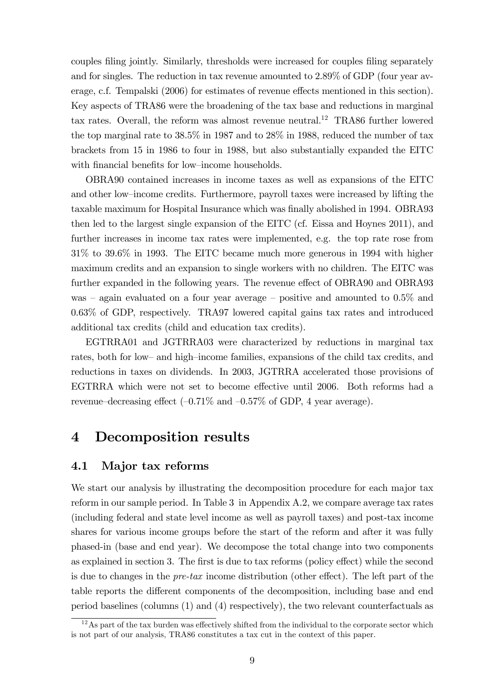couples filing jointly. Similarly, thresholds were increased for couples filing separately and for singles. The reduction in tax revenue amounted to 2.89% of GDP (four year average, c.f. Tempalski (2006) for estimates of revenue effects mentioned in this section). Key aspects of TRA86 were the broadening of the tax base and reductions in marginal tax rates. Overall, the reform was almost revenue neutral.<sup>12</sup> TRA86 further lowered the top marginal rate to 38.5% in 1987 and to 28% in 1988, reduced the number of tax brackets from 15 in 1986 to four in 1988, but also substantially expanded the EITC with financial benefits for low-income households.

OBRA90 contained increases in income taxes as well as expansions of the EITC and other low-income credits. Furthermore, payroll taxes were increased by lifting the taxable maximum for Hospital Insurance which was finally abolished in 1994. OBRA93 then led to the largest single expansion of the EITC (cf. Eissa and Hoynes 2011), and further increases in income tax rates were implemented, e.g. the top rate rose from 31% to 39.6% in 1993. The EITC became much more generous in 1994 with higher maximum credits and an expansion to single workers with no children. The EITC was further expanded in the following years. The revenue effect of OBRA90 and OBRA93 was  $\alpha$  again evaluated on a four year average  $\alpha$  positive and amounted to 0.5% and 0.63% of GDP, respectively. TRA97 lowered capital gains tax rates and introduced additional tax credits (child and education tax credits).

EGTRRA01 and JGTRRA03 were characterized by reductions in marginal tax rates, both for low- and high-income families, expansions of the child tax credits, and reductions in taxes on dividends. In 2003, JGTRRA accelerated those provisions of EGTRRA which were not set to become effective until 2006. Both reforms had a revenue-decreasing effect  $(-0.71\%$  and  $-0.57\%$  of GDP, 4 year average).

### 4 Decomposition results

#### 4.1 Major tax reforms

We start our analysis by illustrating the decomposition procedure for each major tax reform in our sample period. In Table 3 in Appendix A.2, we compare average tax rates (including federal and state level income as well as payroll taxes) and post-tax income shares for various income groups before the start of the reform and after it was fully phased-in (base and end year). We decompose the total change into two components as explained in section 3. The first is due to tax reforms (policy effect) while the second is due to changes in the  $pre\text{-}tax$  income distribution (other effect). The left part of the table reports the different components of the decomposition, including base and end period baselines (columns (1) and (4) respectively), the two relevant counterfactuals as

 $12\text{ As part of the tax burden was effectively shifted from the individual to the corporate sector which}$ is not part of our analysis, TRA86 constitutes a tax cut in the context of this paper.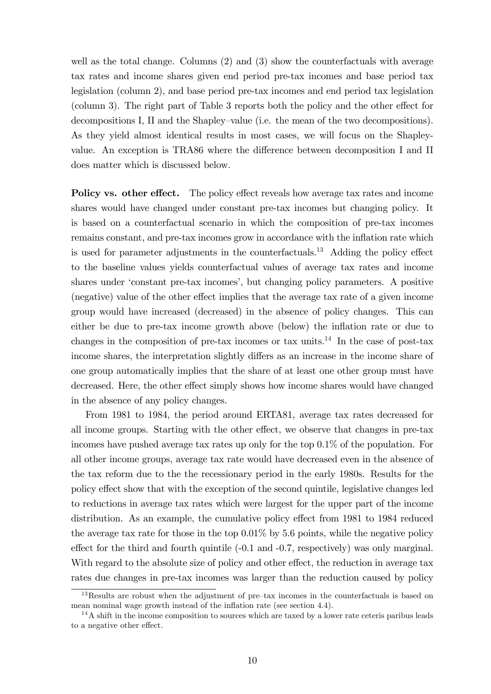well as the total change. Columns (2) and (3) show the counterfactuals with average tax rates and income shares given end period pre-tax incomes and base period tax legislation (column 2), and base period pre-tax incomes and end period tax legislation  $\alpha$  (column 3). The right part of Table 3 reports both the policy and the other effect for decompositions I, II and the Shapley-value (i.e. the mean of the two decompositions). As they yield almost identical results in most cases, we will focus on the Shapleyvalue. An exception is TRA86 where the difference between decomposition I and II does matter which is discussed below.

Policy vs. other effect. The policy effect reveals how average tax rates and income shares would have changed under constant pre-tax incomes but changing policy. It is based on a counterfactual scenario in which the composition of pre-tax incomes remains constant, and pre-tax incomes grow in accordance with the inflation rate which is used for parameter adjustments in the counterfactuals.<sup>13</sup> Adding the policy effect to the baseline values yields counterfactual values of average tax rates and income shares under 'constant pre-tax incomes', but changing policy parameters. A positive (negative) value of the other effect implies that the average tax rate of a given income group would have increased (decreased) in the absence of policy changes. This can either be due to pre-tax income growth above (below) the inflation rate or due to changes in the composition of pre-tax incomes or tax units.<sup>14</sup> In the case of post-tax income shares, the interpretation slightly differs as an increase in the income share of one group automatically implies that the share of at least one other group must have decreased. Here, the other effect simply shows how income shares would have changed in the absence of any policy changes.

From 1981 to 1984, the period around ERTA81, average tax rates decreased for all income groups. Starting with the other effect, we observe that changes in pre-tax incomes have pushed average tax rates up only for the top 0.1% of the population. For all other income groups, average tax rate would have decreased even in the absence of the tax reform due to the the recessionary period in the early 1980s. Results for the policy effect show that with the exception of the second quintile, legislative changes led to reductions in average tax rates which were largest for the upper part of the income distribution. As an example, the cumulative policy effect from 1981 to 1984 reduced the average tax rate for those in the top 0.01% by 5.6 points, while the negative policy effect for the third and fourth quintile  $(-0.1 \text{ and } -0.7,$  respectively) was only marginal. With regard to the absolute size of policy and other effect, the reduction in average tax rates due changes in pre-tax incomes was larger than the reduction caused by policy

 $13$ Results are robust when the adjustment of pre-tax incomes in the counterfactuals is based on mean nominal wage growth instead of the inflation rate (see section  $4.4$ ).

 $14A$  shift in the income composition to sources which are taxed by a lower rate ceteris paribus leads to a negative other effect.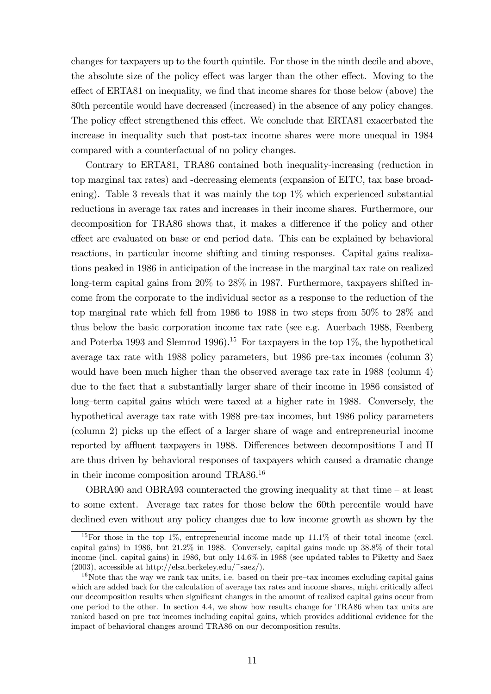changes for taxpayers up to the fourth quintile. For those in the ninth decile and above, the absolute size of the policy effect was larger than the other effect. Moving to the effect of ERTA81 on inequality, we find that income shares for those below (above) the 80th percentile would have decreased (increased) in the absence of any policy changes. The policy effect strengthened this effect. We conclude that ERTA81 exacerbated the increase in inequality such that post-tax income shares were more unequal in 1984 compared with a counterfactual of no policy changes.

Contrary to ERTA81, TRA86 contained both inequality-increasing (reduction in top marginal tax rates) and -decreasing elements (expansion of EITC, tax base broadening). Table 3 reveals that it was mainly the top 1% which experienced substantial reductions in average tax rates and increases in their income shares. Furthermore, our decomposition for TRA86 shows that, it makes a difference if the policy and other effect are evaluated on base or end period data. This can be explained by behavioral reactions, in particular income shifting and timing responses. Capital gains realizations peaked in 1986 in anticipation of the increase in the marginal tax rate on realized long-term capital gains from 20% to 28% in 1987. Furthermore, taxpayers shifted income from the corporate to the individual sector as a response to the reduction of the top marginal rate which fell from 1986 to 1988 in two steps from 50% to 28% and thus below the basic corporation income tax rate (see e.g. Auerbach 1988, Feenberg and Poterba 1993 and Slemrod 1996).<sup>15</sup> For taxpayers in the top  $1\%$ , the hypothetical average tax rate with 1988 policy parameters, but 1986 pre-tax incomes (column 3) would have been much higher than the observed average tax rate in 1988 (column 4) due to the fact that a substantially larger share of their income in 1986 consisted of long-term capital gains which were taxed at a higher rate in 1988. Conversely, the hypothetical average tax rate with 1988 pre-tax incomes, but 1986 policy parameters  $\alpha$  (column 2) picks up the effect of a larger share of wage and entrepreneurial income reported by affluent taxpayers in 1988. Differences between decompositions I and II are thus driven by behavioral responses of taxpayers which caused a dramatic change in their income composition around TRA86.<sup>16</sup>

OBRA90 and OBRA93 counteracted the growing inequality at that time  $-$  at least to some extent. Average tax rates for those below the 60th percentile would have declined even without any policy changes due to low income growth as shown by the

<sup>&</sup>lt;sup>15</sup>For those in the top 1%, entrepreneurial income made up  $11.1\%$  of their total income (excl. capital gains) in 1986, but 21.2% in 1988. Conversely, capital gains made up 38.8% of their total income (incl. capital gains) in 1986, but only 14.6% in 1988 (see updated tables to Piketty and Saez (2003), accessible at http://elsa.berkeley.edu/~saez/).

 $16$ Note that the way we rank tax units, i.e. based on their pre-tax incomes excluding capital gains which are added back for the calculation of average tax rates and income shares, might critically affect our decomposition results when significant changes in the amount of realized capital gains occur from one period to the other. In section 4.4, we show how results change for TRA86 when tax units are ranked based on pre-tax incomes including capital gains, which provides additional evidence for the impact of behavioral changes around TRA86 on our decomposition results.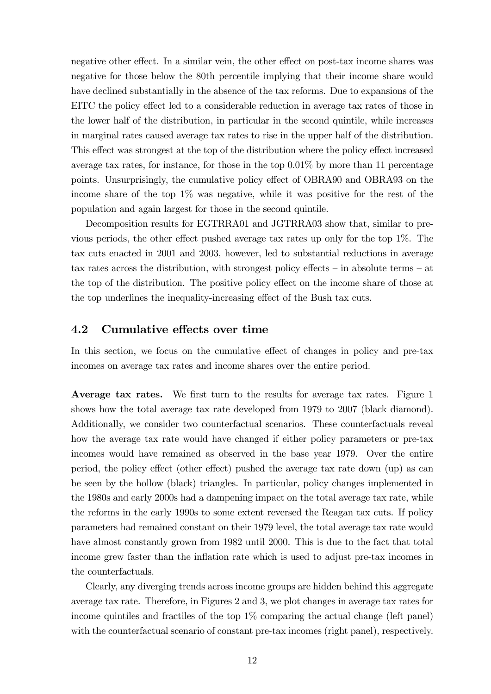negative other effect. In a similar vein, the other effect on post-tax income shares was negative for those below the 80th percentile implying that their income share would have declined substantially in the absence of the tax reforms. Due to expansions of the EITC the policy effect led to a considerable reduction in average tax rates of those in the lower half of the distribution, in particular in the second quintile, while increases in marginal rates caused average tax rates to rise in the upper half of the distribution. This effect was strongest at the top of the distribution where the policy effect increased average tax rates, for instance, for those in the top  $0.01\%$  by more than 11 percentage points. Unsurprisingly, the cumulative policy effect of OBRA90 and OBRA93 on the income share of the top  $1\%$  was negative, while it was positive for the rest of the population and again largest for those in the second quintile.

Decomposition results for EGTRRA01 and JGTRRA03 show that, similar to previous periods, the other effect pushed average tax rates up only for the top  $1\%$ . The tax cuts enacted in 2001 and 2003, however, led to substantial reductions in average tax rates across the distribution, with strongest policy effects  $-$  in absolute terms  $-$  at the top of the distribution. The positive policy effect on the income share of those at the top underlines the inequality-increasing effect of the Bush tax cuts.

### 4.2 Cumulative effects over time

In this section, we focus on the cumulative effect of changes in policy and pre-tax incomes on average tax rates and income shares over the entire period.

Average tax rates. We first turn to the results for average tax rates. Figure 1 shows how the total average tax rate developed from 1979 to 2007 (black diamond). Additionally, we consider two counterfactual scenarios. These counterfactuals reveal how the average tax rate would have changed if either policy parameters or pre-tax incomes would have remained as observed in the base year 1979. Over the entire period, the policy effect (other effect) pushed the average tax rate down (up) as can be seen by the hollow (black) triangles. In particular, policy changes implemented in the 1980s and early 2000s had a dampening impact on the total average tax rate, while the reforms in the early 1990s to some extent reversed the Reagan tax cuts. If policy parameters had remained constant on their 1979 level, the total average tax rate would have almost constantly grown from 1982 until 2000. This is due to the fact that total income grew faster than the inflation rate which is used to adjust pre-tax incomes in the counterfactuals.

Clearly, any diverging trends across income groups are hidden behind this aggregate average tax rate. Therefore, in Figures 2 and 3, we plot changes in average tax rates for income quintiles and fractiles of the top 1% comparing the actual change (left panel) with the counterfactual scenario of constant pre-tax incomes (right panel), respectively.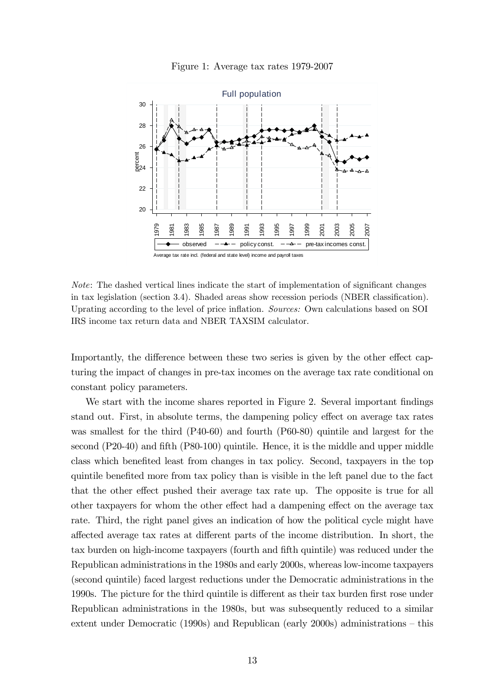

Figure 1: Average tax rates 1979-2007

 $Note: The dashed vertical lines indicate the start of implementation of significant changes$ in tax legislation (section 3.4). Shaded areas show recession periods (NBER classification). Uprating according to the level of price inflation. Sources: Own calculations based on SOI IRS income tax return data and NBER TAXSIM calculator.

Importantly, the difference between these two series is given by the other effect capturing the impact of changes in pre-tax incomes on the average tax rate conditional on constant policy parameters.

We start with the income shares reported in Figure 2. Several important findings stand out. First, in absolute terms, the dampening policy effect on average tax rates was smallest for the third (P40-60) and fourth (P60-80) quintile and largest for the second  $(P20-40)$  and fifth  $(P80-100)$  quintile. Hence, it is the middle and upper middle class which benefited least from changes in tax policy. Second, taxpayers in the top quintile benefited more from tax policy than is visible in the left panel due to the fact that the other effect pushed their average tax rate up. The opposite is true for all other taxpayers for whom the other effect had a dampening effect on the average tax rate. Third, the right panel gives an indication of how the political cycle might have affected average tax rates at different parts of the income distribution. In short, the tax burden on high-income taxpayers (fourth and fifth quintile) was reduced under the Republican administrations in the 1980s and early 2000s, whereas low-income taxpayers (second quintile) faced largest reductions under the Democratic administrations in the 1990s. The picture for the third quintile is different as their tax burden first rose under Republican administrations in the 1980s, but was subsequently reduced to a similar extent under Democratic (1990s) and Republican (early 2000s) administrations  $-$  this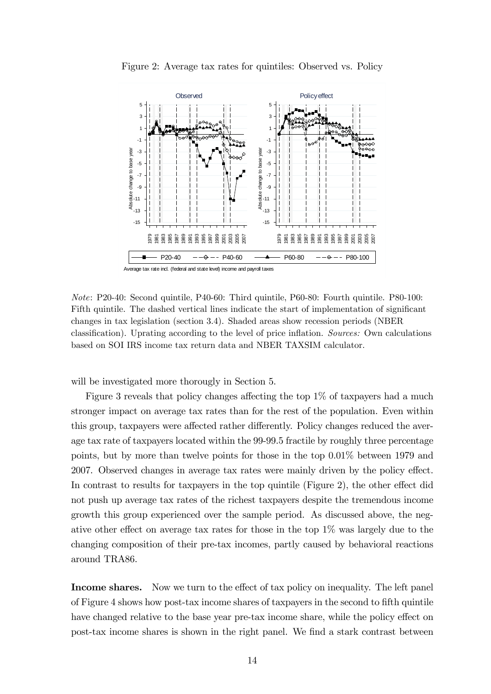

Figure 2: Average tax rates for quintiles: Observed vs. Policy

Note: P20-40: Second quintile, P40-60: Third quintile, P60-80: Fourth quintile. P80-100: Fifth quintile. The dashed vertical lines indicate the start of implementation of significant changes in tax legislation (section 3.4). Shaded areas show recession periods (NBER classification). Uprating according to the level of price inflation. Sources: Own calculations based on SOI IRS income tax return data and NBER TAXSIM calculator.

will be investigated more thorougly in Section 5.

Figure 3 reveals that policy changes affecting the top  $1\%$  of taxpayers had a much stronger impact on average tax rates than for the rest of the population. Even within this group, taxpayers were affected rather differently. Policy changes reduced the average tax rate of taxpayers located within the 99-99.5 fractile by roughly three percentage points, but by more than twelve points for those in the top 0.01% between 1979 and 2007. Observed changes in average tax rates were mainly driven by the policy effect. In contrast to results for taxpayers in the top quintile (Figure 2), the other effect did not push up average tax rates of the richest taxpayers despite the tremendous income growth this group experienced over the sample period. As discussed above, the negative other effect on average tax rates for those in the top  $1\%$  was largely due to the changing composition of their pre-tax incomes, partly caused by behavioral reactions around TRA86.

Income shares. Now we turn to the effect of tax policy on inequality. The left panel of Figure 4 shows how post-tax income shares of taxpayers in the second to Öfth quintile have changed relative to the base year pre-tax income share, while the policy effect on post-tax income shares is shown in the right panel. We Önd a stark contrast between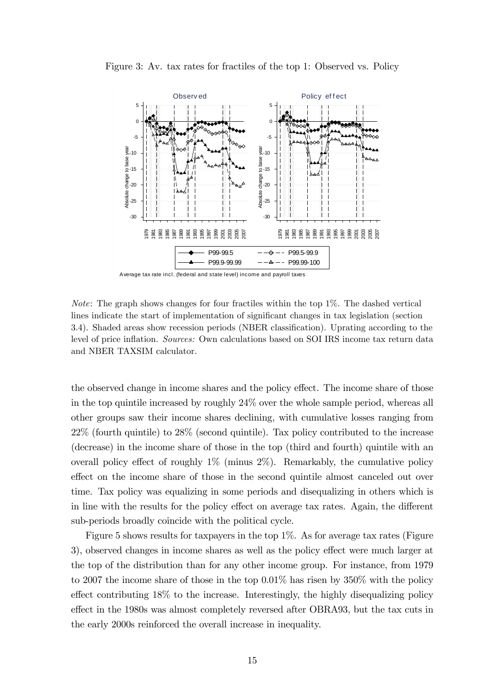

Figure 3: Av. tax rates for fractiles of the top 1: Observed vs. Policy

A verage tax rate incl. (federal and state level) income and payroll taxes

Note: The graph shows changes for four fractiles within the top 1%. The dashed vertical lines indicate the start of implementation of significant changes in tax legislation (section 3.4). Shaded areas show recession periods (NBER classification). Uprating according to the level of price inflation. Sources: Own calculations based on SOI IRS income tax return data and NBER TAXSIM calculator.

the observed change in income shares and the policy effect. The income share of those in the top quintile increased by roughly 24% over the whole sample period, whereas all other groups saw their income shares declining, with cumulative losses ranging from 22% (fourth quintile) to 28% (second quintile). Tax policy contributed to the increase (decrease) in the income share of those in the top (third and fourth) quintile with an overall policy effect of roughly  $1\%$  (minus  $2\%$ ). Remarkably, the cumulative policy effect on the income share of those in the second quintile almost canceled out over time. Tax policy was equalizing in some periods and disequalizing in others which is in line with the results for the policy effect on average tax rates. Again, the different sub-periods broadly coincide with the political cycle.

Figure 5 shows results for taxpayers in the top 1%. As for average tax rates (Figure 3), observed changes in income shares as well as the policy effect were much larger at the top of the distribution than for any other income group. For instance, from 1979 to 2007 the income share of those in the top 0.01% has risen by 350% with the policy effect contributing  $18\%$  to the increase. Interestingly, the highly disequalizing policy effect in the 1980s was almost completely reversed after OBRA93, but the tax cuts in the early 2000s reinforced the overall increase in inequality.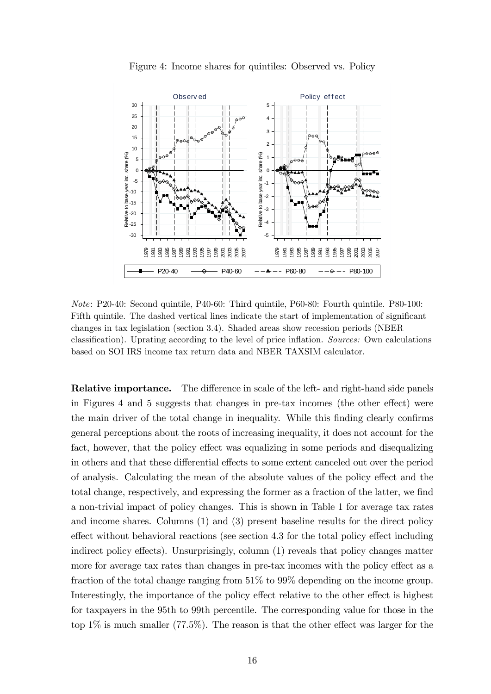

Figure 4: Income shares for quintiles: Observed vs. Policy

Note: P20-40: Second quintile, P40-60: Third quintile, P60-80: Fourth quintile. P80-100: Fifth quintile. The dashed vertical lines indicate the start of implementation of significant changes in tax legislation (section 3.4). Shaded areas show recession periods (NBER classification). Uprating according to the level of price inflation. Sources: Own calculations based on SOI IRS income tax return data and NBER TAXSIM calculator.

**Relative importance.** The difference in scale of the left- and right-hand side panels in Figures 4 and 5 suggests that changes in pre-tax incomes (the other effect) were the main driver of the total change in inequality. While this finding clearly confirms general perceptions about the roots of increasing inequality, it does not account for the fact, however, that the policy effect was equalizing in some periods and disequalizing in others and that these differential effects to some extent canceled out over the period of analysis. Calculating the mean of the absolute values of the policy effect and the total change, respectively, and expressing the former as a fraction of the latter, we find a non-trivial impact of policy changes. This is shown in Table 1 for average tax rates and income shares. Columns (1) and (3) present baseline results for the direct policy  $\epsilon$  effect without behavioral reactions (see section 4.3 for the total policy effect including indirect policy effects). Unsurprisingly, column  $(1)$  reveals that policy changes matter more for average tax rates than changes in pre-tax incomes with the policy effect as a fraction of the total change ranging from 51% to 99% depending on the income group. Interestingly, the importance of the policy effect relative to the other effect is highest for taxpayers in the 95th to 99th percentile. The corresponding value for those in the top  $1\%$  is much smaller (77.5%). The reason is that the other effect was larger for the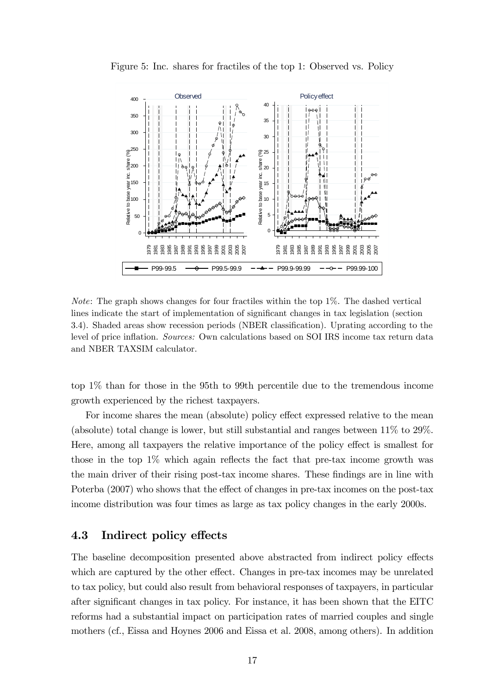

Figure 5: Inc. shares for fractiles of the top 1: Observed vs. Policy

Note: The graph shows changes for four fractiles within the top 1%. The dashed vertical lines indicate the start of implementation of significant changes in tax legislation (section 3.4). Shaded areas show recession periods (NBER classification). Uprating according to the level of price inflation. Sources: Own calculations based on SOI IRS income tax return data and NBER TAXSIM calculator.

top 1% than for those in the 95th to 99th percentile due to the tremendous income growth experienced by the richest taxpayers.

For income shares the mean (absolute) policy effect expressed relative to the mean (absolute) total change is lower, but still substantial and ranges between 11% to 29%. Here, among all taxpayers the relative importance of the policy effect is smallest for those in the top  $1\%$  which again reflects the fact that pre-tax income growth was the main driver of their rising post-tax income shares. These findings are in line with Poterba  $(2007)$  who shows that the effect of changes in pre-tax incomes on the post-tax income distribution was four times as large as tax policy changes in the early 2000s.

#### 4.3 Indirect policy effects

The baseline decomposition presented above abstracted from indirect policy effects which are captured by the other effect. Changes in pre-tax incomes may be unrelated to tax policy, but could also result from behavioral responses of taxpayers, in particular after significant changes in tax policy. For instance, it has been shown that the EITC reforms had a substantial impact on participation rates of married couples and single mothers (cf., Eissa and Hoynes 2006 and Eissa et al. 2008, among others). In addition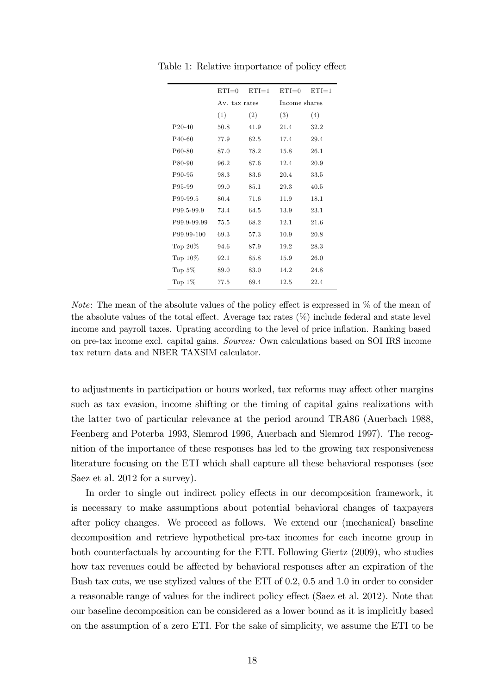|                     | $ETI=0$       | $ETI=1$ | $ETI=0$       | $ETI=1$ |
|---------------------|---------------|---------|---------------|---------|
|                     | Av. tax rates |         | Income shares |         |
|                     | (1)           | (2)     | (3)           | (4)     |
| $P_{20-40}$         | 50.8          | 41.9    | 21.4          | 32.2    |
| P <sub>40</sub> -60 | 77.9          | 62.5    | 17.4          | 29.4    |
| P60-80              | 87.0          | 78.2    | 15.8          | 26.1    |
| P80-90              | 96.2          | 87.6    | 12.4          | 20.9    |
| P90-95              | 98.3          | 83.6    | 20.4          | 33.5    |
| P95-99              | 99.0          | 85.1    | 29.3          | 40.5    |
| P99-99.5            | 80.4          | 71.6    | 11.9          | 18.1    |
| P99.5-99.9          | 73.4          | 64.5    | 13.9          | 23.1    |
| P99.9-99.99         | 75.5          | 68.2    | 12.1          | 21.6    |
| P99.99-100          | 69.3          | 57.3    | 10.9          | 20.8    |
| Top $20\%$          | 94.6          | 87.9    | 19.2          | 28.3    |
| Top $10\%$          | 92.1          | 85.8    | 15.9          | 26.0    |
| Top $5\%$           | 89.0          | 83.0    | 14.2          | 24.8    |
| Top $1\%$           | 77.5          | 69.4    | 12.5          | 22.4    |

Table 1: Relative importance of policy effect

*Note:* The mean of the absolute values of the policy effect is expressed in  $\%$  of the mean of the absolute values of the total effect. Average tax rates  $(\%)$  include federal and state level income and payroll taxes. Uprating according to the level of price inflation. Ranking based on pre-tax income excl. capital gains. Sources: Own calculations based on SOI IRS income tax return data and NBER TAXSIM calculator.

to adjustments in participation or hours worked, tax reforms may affect other margins such as tax evasion, income shifting or the timing of capital gains realizations with the latter two of particular relevance at the period around TRA86 (Auerbach 1988, Feenberg and Poterba 1993, Slemrod 1996, Auerbach and Slemrod 1997). The recognition of the importance of these responses has led to the growing tax responsiveness literature focusing on the ETI which shall capture all these behavioral responses (see Saez et al. 2012 for a survey).

In order to single out indirect policy effects in our decomposition framework, it is necessary to make assumptions about potential behavioral changes of taxpayers after policy changes. We proceed as follows. We extend our (mechanical) baseline decomposition and retrieve hypothetical pre-tax incomes for each income group in both counterfactuals by accounting for the ETI. Following Giertz (2009), who studies how tax revenues could be affected by behavioral responses after an expiration of the Bush tax cuts, we use stylized values of the ETI of 0.2, 0.5 and 1.0 in order to consider a reasonable range of values for the indirect policy effect (Saez et al. 2012). Note that our baseline decomposition can be considered as a lower bound as it is implicitly based on the assumption of a zero ETI. For the sake of simplicity, we assume the ETI to be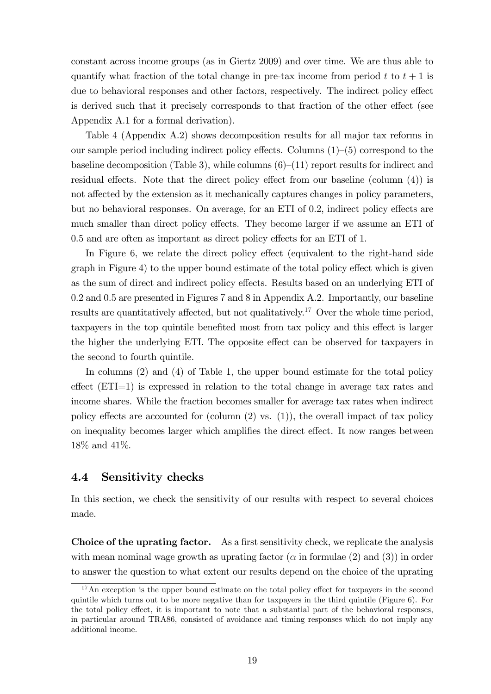constant across income groups (as in Giertz 2009) and over time. We are thus able to quantify what fraction of the total change in pre-tax income from period t to  $t + 1$  is due to behavioral responses and other factors, respectively. The indirect policy effect is derived such that it precisely corresponds to that fraction of the other effect (see Appendix A.1 for a formal derivation).

Table 4 (Appendix A.2) shows decomposition results for all major tax reforms in our sample period including indirect policy effects. Columns  $(1)$ – $(5)$  correspond to the baseline decomposition (Table 3), while columns  $(6)-(11)$  report results for indirect and residual effects. Note that the direct policy effect from our baseline (column  $(4)$ ) is not affected by the extension as it mechanically captures changes in policy parameters, but no behavioral responses. On average, for an ETI of 0.2, indirect policy effects are much smaller than direct policy effects. They become larger if we assume an ETI of  $0.5$  and are often as important as direct policy effects for an ETI of 1.

In Figure 6, we relate the direct policy effect (equivalent to the right-hand side  $graph$  in Figure 4) to the upper bound estimate of the total policy effect which is given as the sum of direct and indirect policy effects. Results based on an underlying ETI of 0.2 and 0.5 are presented in Figures 7 and 8 in Appendix A.2. Importantly, our baseline results are quantitatively affected, but not qualitatively.<sup>17</sup> Over the whole time period, taxpayers in the top quintile benefited most from tax policy and this effect is larger the higher the underlying ETI. The opposite effect can be observed for taxpayers in the second to fourth quintile.

In columns (2) and (4) of Table 1, the upper bound estimate for the total policy effect  $(ETI=1)$  is expressed in relation to the total change in average tax rates and income shares. While the fraction becomes smaller for average tax rates when indirect policy effects are accounted for (column  $(2)$  vs.  $(1)$ ), the overall impact of tax policy on inequality becomes larger which amplifies the direct effect. It now ranges between 18% and 41%.

### 4.4 Sensitivity checks

In this section, we check the sensitivity of our results with respect to several choices made.

Choice of the uprating factor. As a first sensitivity check, we replicate the analysis with mean nominal wage growth as uprating factor  $(\alpha$  in formulae (2) and (3)) in order to answer the question to what extent our results depend on the choice of the uprating

 $17$ An exception is the upper bound estimate on the total policy effect for taxpayers in the second quintile which turns out to be more negative than for taxpayers in the third quintile (Figure 6). For the total policy effect, it is important to note that a substantial part of the behavioral responses, in particular around TRA86, consisted of avoidance and timing responses which do not imply any additional income.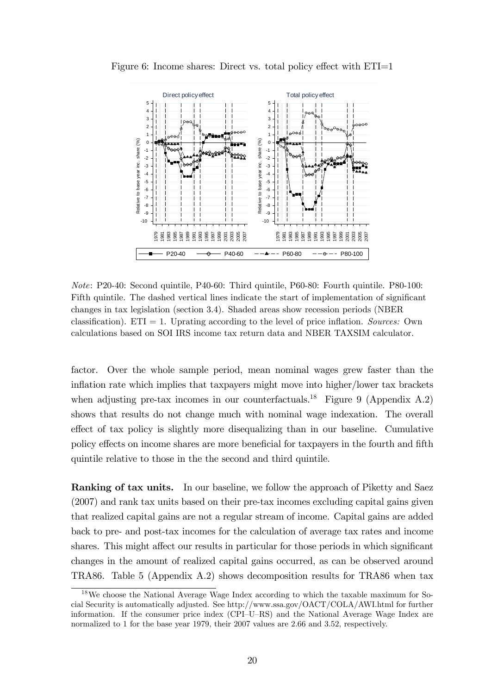



Note: P20-40: Second quintile, P40-60: Third quintile, P60-80: Fourth quintile. P80-100: Fifth quintile. The dashed vertical lines indicate the start of implementation of significant changes in tax legislation (section 3.4). Shaded areas show recession periods (NBER classification). ETI = 1. Uprating according to the level of price inflation. Sources: Own calculations based on SOI IRS income tax return data and NBER TAXSIM calculator.

factor. Over the whole sample period, mean nominal wages grew faster than the inflation rate which implies that taxpayers might move into higher/lower tax brackets when adjusting pre-tax incomes in our counterfactuals.<sup>18</sup> Figure 9 (Appendix A.2) shows that results do not change much with nominal wage indexation. The overall effect of tax policy is slightly more disequalizing than in our baseline. Cumulative policy effects on income shares are more beneficial for taxpayers in the fourth and fifth quintile relative to those in the the second and third quintile.

Ranking of tax units. In our baseline, we follow the approach of Piketty and Saez (2007) and rank tax units based on their pre-tax incomes excluding capital gains given that realized capital gains are not a regular stream of income. Capital gains are added back to pre- and post-tax incomes for the calculation of average tax rates and income shares. This might affect our results in particular for those periods in which significant changes in the amount of realized capital gains occurred, as can be observed around TRA86. Table 5 (Appendix A.2) shows decomposition results for TRA86 when tax

<sup>&</sup>lt;sup>18</sup>We choose the National Average Wage Index according to which the taxable maximum for Social Security is automatically adjusted. See http://www.ssa.gov/OACT/COLA/AWI.html for further information. If the consumer price index  $(CPI-U-RS)$  and the National Average Wage Index are normalized to 1 for the base year 1979, their 2007 values are 2.66 and 3.52, respectively.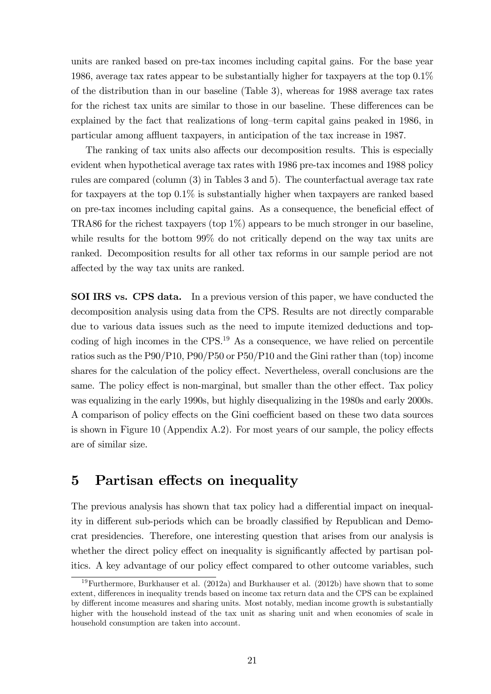units are ranked based on pre-tax incomes including capital gains. For the base year 1986, average tax rates appear to be substantially higher for taxpayers at the top 0.1% of the distribution than in our baseline (Table 3), whereas for 1988 average tax rates for the richest tax units are similar to those in our baseline. These differences can be explained by the fact that realizations of long-term capital gains peaked in 1986, in particular among affluent taxpayers, in anticipation of the tax increase in 1987.

The ranking of tax units also affects our decomposition results. This is especially evident when hypothetical average tax rates with 1986 pre-tax incomes and 1988 policy rules are compared (column (3) in Tables 3 and 5). The counterfactual average tax rate for taxpayers at the top 0.1% is substantially higher when taxpayers are ranked based on pre-tax incomes including capital gains. As a consequence, the beneficial effect of TRA86 for the richest taxpayers (top 1%) appears to be much stronger in our baseline, while results for the bottom 99% do not critically depend on the way tax units are ranked. Decomposition results for all other tax reforms in our sample period are not affected by the way tax units are ranked.

SOI IRS vs. CPS data. In a previous version of this paper, we have conducted the decomposition analysis using data from the CPS. Results are not directly comparable due to various data issues such as the need to impute itemized deductions and topcoding of high incomes in the CPS.<sup>19</sup> As a consequence, we have relied on percentile ratios such as the P90/P10, P90/P50 or P50/P10 and the Gini rather than (top) income shares for the calculation of the policy effect. Nevertheless, overall conclusions are the same. The policy effect is non-marginal, but smaller than the other effect. Tax policy was equalizing in the early 1990s, but highly disequalizing in the 1980s and early 2000s. A comparison of policy effects on the Gini coefficient based on these two data sources is shown in Figure 10 (Appendix A.2). For most years of our sample, the policy effects are of similar size.

### 5 Partisan effects on inequality

The previous analysis has shown that tax policy had a differential impact on inequality in different sub-periods which can be broadly classified by Republican and Democrat presidencies. Therefore, one interesting question that arises from our analysis is whether the direct policy effect on inequality is significantly affected by partisan politics. A key advantage of our policy effect compared to other outcome variables, such

<sup>&</sup>lt;sup>19</sup>Furthermore, Burkhauser et al. (2012a) and Burkhauser et al. (2012b) have shown that to some extent, differences in inequality trends based on income tax return data and the CPS can be explained by different income measures and sharing units. Most notably, median income growth is substantially higher with the household instead of the tax unit as sharing unit and when economies of scale in household consumption are taken into account.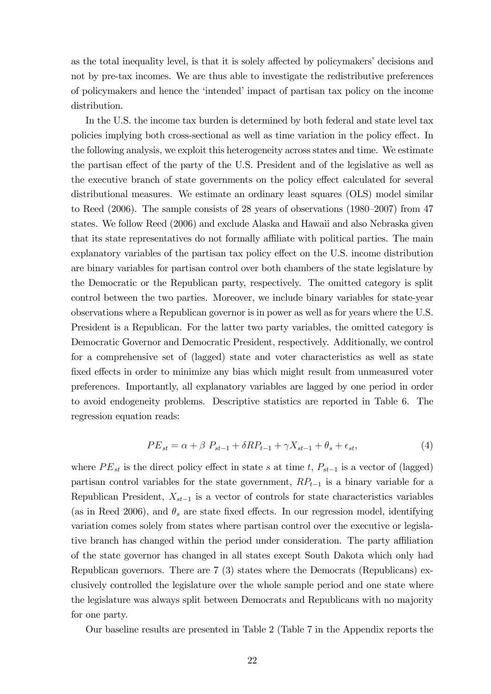as the total inequality level, is that it is solely affected by policymakers' decisions and not by pre-tax incomes. We are thus able to investigate the redistributive preferences of policymakers and hence the ëintendedíimpact of partisan tax policy on the income distribution.

In the U.S. the income tax burden is determined by both federal and state level tax policies implying both cross-sectional as well as time variation in the policy effect. In the following analysis, we exploit this heterogeneity across states and time. We estimate the partisan effect of the party of the U.S. President and of the legislative as well as the executive branch of state governments on the policy effect calculated for several distributional measures. We estimate an ordinary least squares (OLS) model similar to Reed  $(2006)$ . The sample consists of 28 years of observations  $(1980-2007)$  from 47 states. We follow Reed (2006) and exclude Alaska and Hawaii and also Nebraska given that its state representatives do not formally affiliate with political parties. The main explanatory variables of the partisan tax policy effect on the U.S. income distribution are binary variables for partisan control over both chambers of the state legislature by the Democratic or the Republican party, respectively. The omitted category is split control between the two parties. Moreover, we include binary variables for state-year observations where a Republican governor is in power as well as for years where the U.S. President is a Republican. For the latter two party variables, the omitted category is Democratic Governor and Democratic President, respectively. Additionally, we control for a comprehensive set of (lagged) state and voter characteristics as well as state fixed effects in order to minimize any bias which might result from unmeasured voter preferences. Importantly, all explanatory variables are lagged by one period in order to avoid endogeneity problems. Descriptive statistics are reported in Table 6. The regression equation reads:

$$
PE_{st} = \alpha + \beta \ P_{st-1} + \delta RP_{t-1} + \gamma X_{st-1} + \theta_s + \epsilon_{st},\tag{4}
$$

where  $PE_{st}$  is the direct policy effect in state s at time t,  $P_{st-1}$  is a vector of (lagged) partisan control variables for the state government,  $RP_{t-1}$  is a binary variable for a Republican President,  $X_{st-1}$  is a vector of controls for state characteristics variables (as in Reed 2006), and  $\theta_s$  are state fixed effects. In our regression model, identifying variation comes solely from states where partisan control over the executive or legislative branch has changed within the period under consideration. The party affiliation of the state governor has changed in all states except South Dakota which only had Republican governors. There are 7 (3) states where the Democrats (Republicans) exclusively controlled the legislature over the whole sample period and one state where the legislature was always split between Democrats and Republicans with no majority for one party.

Our baseline results are presented in Table 2 (Table 7 in the Appendix reports the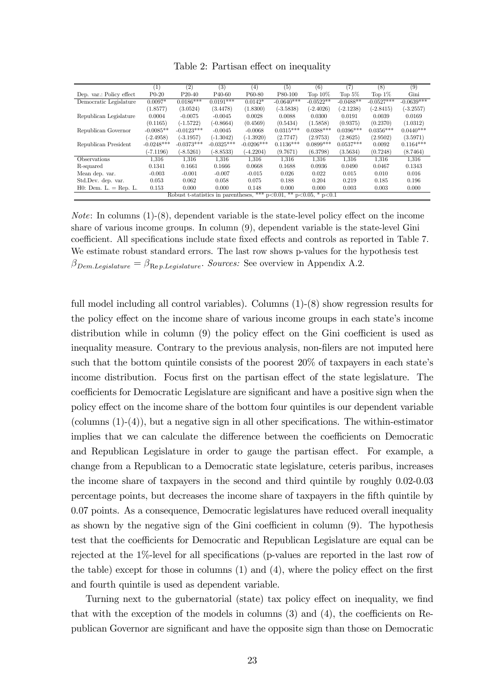|                          | $\left( 1\right)$ | (2)          | (3)                 | (4)                                                                        | (5)          | (6)         | (7)         | (8)          | (9)          |
|--------------------------|-------------------|--------------|---------------------|----------------------------------------------------------------------------|--------------|-------------|-------------|--------------|--------------|
| Dep. var.: Policy effect | $P0-20$           | $P20-40$     | P <sub>40</sub> -60 | P60-80                                                                     | P80-100      | Top $10\%$  | Top $5\%$   | Top $1\%$    | Gini         |
| Democratic Legislature   | $0.0097*$         | $0.0186***$  | $0.0191***$         | $0.0142*$                                                                  | $-0.0640***$ | $-0.0522**$ | $-0.0488**$ | $-0.0527***$ | $-0.0639***$ |
|                          | (1.8577)          | (3.0524)     | (3.4478)            | (1.8300)                                                                   | $(-3.5838)$  | $(-2.4026)$ | $(-2.1238)$ | $(-2.8415)$  | $(-3.2557)$  |
| Republican Legislature   | 0.0004            | $-0.0075$    | $-0.0045$           | 0.0028                                                                     | 0.0088       | 0.0300      | 0.0191      | 0.0039       | 0.0169       |
|                          | (0.1165)          | $(-1.5722)$  | $(-0.8664)$         | (0.4569)                                                                   | (0.5434)     | (1.5858)    | (0.9375)    | (0.2370)     | (1.0312)     |
| Republican Governor      | $-0.0085**$       | $-0.0123***$ | $-0.0045$           | $-0.0068$                                                                  | $0.0315***$  | $0.0388***$ | $0.0396***$ | $0.0356***$  | $0.0440***$  |
|                          | $(-2.4958)$       | $(-3.1957)$  | $(-1.3042)$         | $(-1.3920)$                                                                | (2.7747)     | (2.9753)    | (2.8625)    | (2.9502)     | (3.5971)     |
| Republican President     | $-0.0248***$      | $-0.0373***$ | $-0.0325***$        | $-0.0206***$                                                               | $0.1136***$  | $0.0899***$ | $0.0537***$ | 0.0092       | $0.1164***$  |
|                          | $(-7.1196)$       | $(-8.5261)$  | $(-8.8533)$         | $(-4.2204)$                                                                | (9.7671)     | (6.3798)    | (3.5634)    | (0.7248)     | (8.7464)     |
| Observations             | 1,316             | 1,316        | 1,316               | 1,316                                                                      | 1,316        | 1,316       | 1,316       | 1,316        | 1,316        |
| R-squared                | 0.1341            | 0.1661       | 0.1666              | 0.0668                                                                     | 0.1688       | 0.0936      | 0.0490      | 0.0467       | 0.1343       |
| Mean dep. var.           | $-0.003$          | $-0.001$     | $-0.007$            | $-0.015$                                                                   | 0.026        | 0.022       | 0.015       | 0.010        | 0.016        |
| Std.Dev. dep. var.       | 0.053             | 0.062        | 0.058               | 0.075                                                                      | 0.188        | 0.204       | 0.219       | 0.185        | 0.196        |
| $H0:$ Dem. $L = Rep. L.$ | 0.153             | 0.000        | 0.000               | 0.148                                                                      | 0.000        | 0.000       | 0.003       | 0.003        | 0.000        |
|                          |                   |              |                     | Robust t-statistics in parentheses, *** $p<0.01$ , ** $p<0.05$ , * $p<0.1$ |              |             |             |              |              |

*Note*: In columns  $(1)-(8)$ , dependent variable is the state-level policy effect on the income share of various income groups. In column (9), dependent variable is the state-level Gini coefficient. All specifications include state fixed effects and controls as reported in Table 7. We estimate robust standard errors. The last row shows p-values for the hypothesis test  $\beta_{Dem.Legislature} = \beta_{\text{Re }p.Legislature}$ . Sources: See overview in Appendix A.2.

full model including all control variables). Columns  $(1)-(8)$  show regression results for the policy effect on the income share of various income groups in each state's income distribution while in column  $(9)$  the policy effect on the Gini coefficient is used as inequality measure. Contrary to the previous analysis, non-filers are not imputed here such that the bottom quintile consists of the poorest  $20\%$  of taxpayers in each state's income distribution. Focus first on the partisan effect of the state legislature. The coefficients for Democratic Legislature are significant and have a positive sign when the policy effect on the income share of the bottom four quintiles is our dependent variable (columns  $(1)-(4)$ ), but a negative sign in all other specifications. The within-estimator implies that we can calculate the difference between the coefficients on Democratic and Republican Legislature in order to gauge the partisan effect. For example, a change from a Republican to a Democratic state legislature, ceteris paribus, increases the income share of taxpayers in the second and third quintile by roughly 0.02-0.03 percentage points, but decreases the income share of taxpayers in the Öfth quintile by 0.07 points. As a consequence, Democratic legislatures have reduced overall inequality as shown by the negative sign of the Gini coefficient in column  $(9)$ . The hypothesis test that the coefficients for Democratic and Republican Legislature are equal can be rejected at the  $1\%$ -level for all specifications (p-values are reported in the last row of the table) except for those in columns  $(1)$  and  $(4)$ , where the policy effect on the first and fourth quintile is used as dependent variable.

Turning next to the gubernatorial (state) tax policy effect on inequality, we find that with the exception of the models in columns  $(3)$  and  $(4)$ , the coefficients on Republican Governor are signiÖcant and have the opposite sign than those on Democratic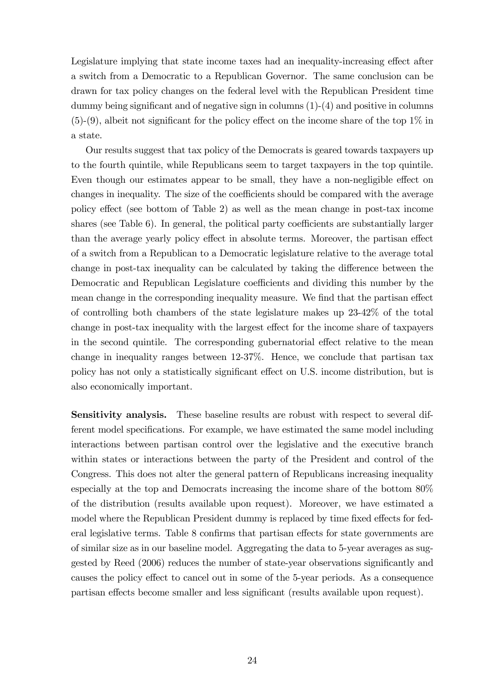Legislature implying that state income taxes had an inequality-increasing effect after a switch from a Democratic to a Republican Governor. The same conclusion can be drawn for tax policy changes on the federal level with the Republican President time dummy being significant and of negative sign in columns  $(1)-(4)$  and positive in columns  $(5)-(9)$ , albeit not significant for the policy effect on the income share of the top  $1\%$  in a state.

Our results suggest that tax policy of the Democrats is geared towards taxpayers up to the fourth quintile, while Republicans seem to target taxpayers in the top quintile. Even though our estimates appear to be small, they have a non-negligible effect on changes in inequality. The size of the coefficients should be compared with the average policy effect (see bottom of Table 2) as well as the mean change in post-tax income shares (see Table  $6$ ). In general, the political party coefficients are substantially larger than the average yearly policy effect in absolute terms. Moreover, the partisan effect of a switch from a Republican to a Democratic legislature relative to the average total change in post-tax inequality can be calculated by taking the difference between the Democratic and Republican Legislature coefficients and dividing this number by the mean change in the corresponding inequality measure. We find that the partisan effect of controlling both chambers of the state legislature makes up 23-42% of the total change in post-tax inequality with the largest effect for the income share of taxpayers in the second quintile. The corresponding gubernatorial effect relative to the mean change in inequality ranges between 12-37%. Hence, we conclude that partisan tax policy has not only a statistically significant effect on U.S. income distribution, but is also economically important.

Sensitivity analysis. These baseline results are robust with respect to several different model specifications. For example, we have estimated the same model including interactions between partisan control over the legislative and the executive branch within states or interactions between the party of the President and control of the Congress. This does not alter the general pattern of Republicans increasing inequality especially at the top and Democrats increasing the income share of the bottom 80% of the distribution (results available upon request). Moreover, we have estimated a model where the Republican President dummy is replaced by time fixed effects for federal legislative terms. Table 8 confirms that partisan effects for state governments are of similar size as in our baseline model. Aggregating the data to 5-year averages as suggested by Reed (2006) reduces the number of state-year observations significantly and causes the policy effect to cancel out in some of the 5-year periods. As a consequence partisan effects become smaller and less significant (results available upon request).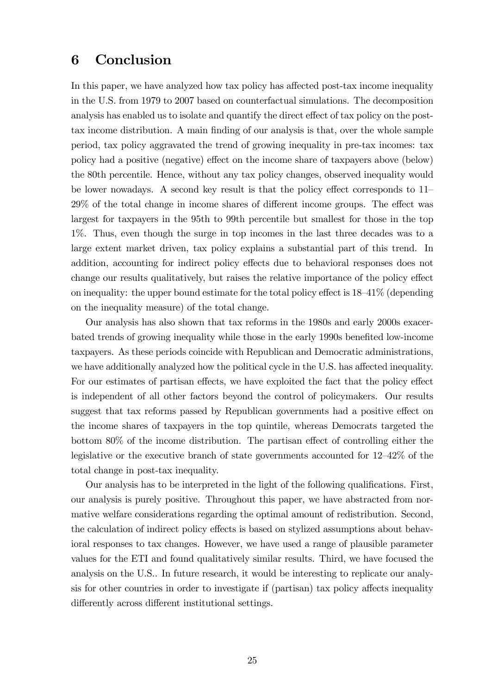### 6 Conclusion

In this paper, we have analyzed how tax policy has affected post-tax income inequality in the U.S. from 1979 to 2007 based on counterfactual simulations. The decomposition analysis has enabled us to isolate and quantify the direct effect of tax policy on the posttax income distribution. A main finding of our analysis is that, over the whole sample period, tax policy aggravated the trend of growing inequality in pre-tax incomes: tax policy had a positive (negative) effect on the income share of taxpayers above (below) the 80th percentile. Hence, without any tax policy changes, observed inequality would be lower nowadays. A second key result is that the policy effect corresponds to  $11$  $29\%$  of the total change in income shares of different income groups. The effect was largest for taxpayers in the 95th to 99th percentile but smallest for those in the top 1%. Thus, even though the surge in top incomes in the last three decades was to a large extent market driven, tax policy explains a substantial part of this trend. In addition, accounting for indirect policy effects due to behavioral responses does not change our results qualitatively, but raises the relative importance of the policy effect on inequality: the upper bound estimate for the total policy effect is  $18-41\%$  (depending on the inequality measure) of the total change.

Our analysis has also shown that tax reforms in the 1980s and early 2000s exacerbated trends of growing inequality while those in the early 1990s benefited low-income taxpayers. As these periods coincide with Republican and Democratic administrations, we have additionally analyzed how the political cycle in the U.S. has affected inequality. For our estimates of partisan effects, we have exploited the fact that the policy effect is independent of all other factors beyond the control of policymakers. Our results suggest that tax reforms passed by Republican governments had a positive effect on the income shares of taxpayers in the top quintile, whereas Democrats targeted the bottom  $80\%$  of the income distribution. The partisan effect of controlling either the legislative or the executive branch of state governments accounted for  $12-42\%$  of the total change in post-tax inequality.

Our analysis has to be interpreted in the light of the following qualifications. First, our analysis is purely positive. Throughout this paper, we have abstracted from normative welfare considerations regarding the optimal amount of redistribution. Second, the calculation of indirect policy effects is based on stylized assumptions about behavioral responses to tax changes. However, we have used a range of plausible parameter values for the ETI and found qualitatively similar results. Third, we have focused the analysis on the U.S.. In future research, it would be interesting to replicate our analy- $\sin$  for other countries in order to investigate if (partisan) tax policy affects inequality differently across different institutional settings.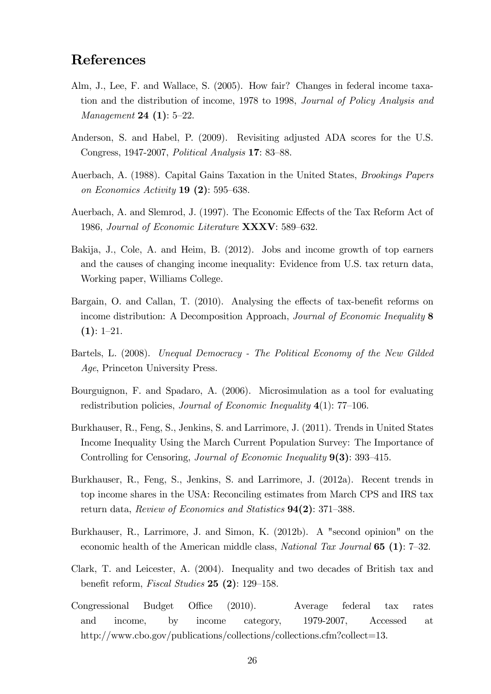### References

- Alm, J., Lee, F. and Wallace, S. (2005). How fair? Changes in federal income taxation and the distribution of income, 1978 to 1998, Journal of Policy Analysis and *Management* **24** (1):  $5-22$ .
- Anderson, S. and Habel, P. (2009). Revisiting adjusted ADA scores for the U.S. Congress, 1947-2007, *Political Analysis* 17: 83–88.
- Auerbach, A. (1988). Capital Gains Taxation in the United States, Brookings Papers on Economics Activity  $19(2)$ : 595–638.
- Auerbach, A. and Slemrod, J. (1997). The Economic Effects of the Tax Reform Act of 1986, Journal of Economic Literature  $\textbf{XXXV}: 589-632$ .
- Bakija, J., Cole, A. and Heim, B. (2012). Jobs and income growth of top earners and the causes of changing income inequality: Evidence from U.S. tax return data, Working paper, Williams College.
- Bargain, O. and Callan, T. (2010). Analysing the effects of tax-benefit reforms on income distribution: A Decomposition Approach, *Journal of Economic Inequality* 8  $(1): 1-21.$
- Bartels, L. (2008). Unequal Democracy The Political Economy of the New Gilded Age, Princeton University Press.
- Bourguignon, F. and Spadaro, A. (2006). Microsimulation as a tool for evaluating redistribution policies, *Journal of Economic Inequality*  $4(1)$ : 77–106.
- Burkhauser, R., Feng, S., Jenkins, S. and Larrimore, J. (2011). Trends in United States Income Inequality Using the March Current Population Survey: The Importance of Controlling for Censoring, Journal of Economic Inequality  $9(3)$ : 393-415.
- Burkhauser, R., Feng, S., Jenkins, S. and Larrimore, J. (2012a). Recent trends in top income shares in the USA: Reconciling estimates from March CPS and IRS tax return data, Review of Economics and Statistics  $94(2)$ : 371–388.
- Burkhauser, R., Larrimore, J. and Simon, K. (2012b). A "second opinion" on the economic health of the American middle class, National Tax Journal  $65 (1)$ : 7-32.
- Clark, T. and Leicester, A. (2004). Inequality and two decades of British tax and benefit reform, *Fiscal Studies* 25 (2):  $129-158$ .
- Congressional Budget Office (2010). Average federal tax rates and income, by income category, 1979-2007, Accessed at http://www.cbo.gov/publications/collections/collections.cfm?collect=13.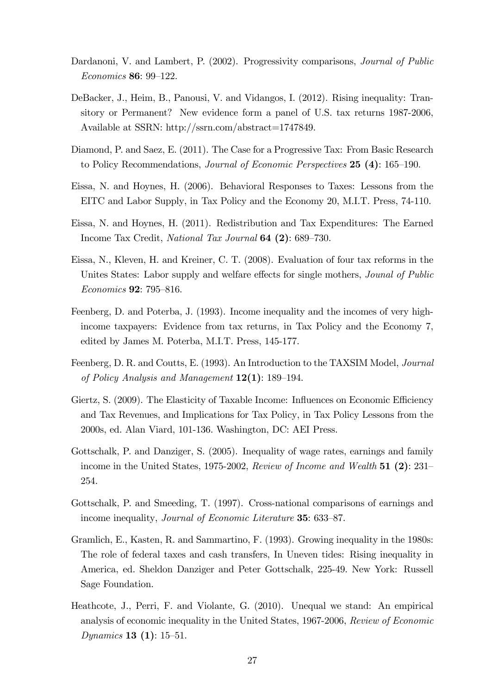- Dardanoni, V. and Lambert, P. (2002). Progressivity comparisons, *Journal of Public* Economics 86: 99-122.
- DeBacker, J., Heim, B., Panousi, V. and Vidangos, I. (2012). Rising inequality: Transitory or Permanent? New evidence form a panel of U.S. tax returns 1987-2006, Available at SSRN: http://ssrn.com/abstract=1747849.
- Diamond, P. and Saez, E. (2011). The Case for a Progressive Tax: From Basic Research to Policy Recommendations, *Journal of Economic Perspectives* **25** (4):  $165-190$ .
- Eissa, N. and Hoynes, H. (2006). Behavioral Responses to Taxes: Lessons from the EITC and Labor Supply, in Tax Policy and the Economy 20, M.I.T. Press, 74-110.
- Eissa, N. and Hoynes, H. (2011). Redistribution and Tax Expenditures: The Earned Income Tax Credit, National Tax Journal 64 (2): 689–730.
- Eissa, N., Kleven, H. and Kreiner, C. T. (2008). Evaluation of four tax reforms in the Unites States: Labor supply and welfare effects for single mothers, *Jounal of Public* Economics **92**: 795–816.
- Feenberg, D. and Poterba, J. (1993). Income inequality and the incomes of very highincome taxpayers: Evidence from tax returns, in Tax Policy and the Economy 7, edited by James M. Poterba, M.I.T. Press, 145-177.
- Feenberg, D. R. and Coutts, E. (1993). An Introduction to the TAXSIM Model, Journal of Policy Analysis and Management  $12(1)$ : 189–194.
- Giertz, S. (2009). The Elasticity of Taxable Income: Influences on Economic Efficiency and Tax Revenues, and Implications for Tax Policy, in Tax Policy Lessons from the 2000s, ed. Alan Viard, 101-136. Washington, DC: AEI Press.
- Gottschalk, P. and Danziger, S. (2005). Inequality of wage rates, earnings and family income in the United States, 1975-2002, Review of Income and Wealth  $51 (2): 231-$ 254.
- Gottschalk, P. and Smeeding, T. (1997). Cross-national comparisons of earnings and income inequality, *Journal of Economic Literature* 35: 633-87.
- Gramlich, E., Kasten, R. and Sammartino, F. (1993). Growing inequality in the 1980s: The role of federal taxes and cash transfers, In Uneven tides: Rising inequality in America, ed. Sheldon Danziger and Peter Gottschalk, 225-49. New York: Russell Sage Foundation.
- Heathcote, J., Perri, F. and Violante, G. (2010). Unequal we stand: An empirical analysis of economic inequality in the United States, 1967-2006, Review of Economic Dynamics **13** (**1**):  $15-51$ .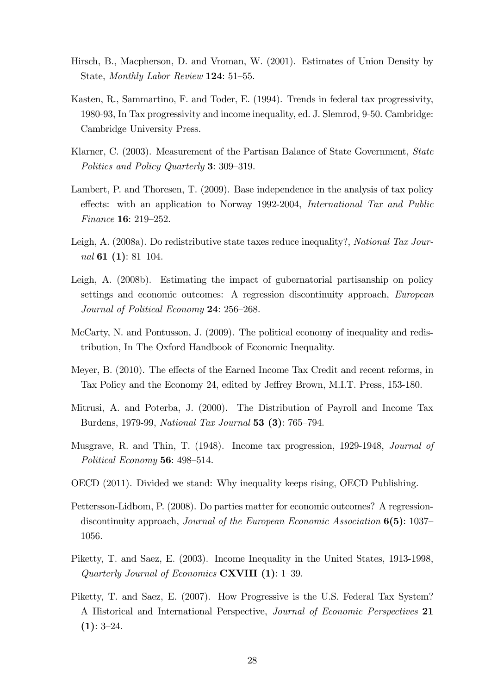- Hirsch, B., Macpherson, D. and Vroman, W. (2001). Estimates of Union Density by State, Monthly Labor Review 124: 51-55.
- Kasten, R., Sammartino, F. and Toder, E. (1994). Trends in federal tax progressivity, 1980-93, In Tax progressivity and income inequality, ed. J. Slemrod, 9-50. Cambridge: Cambridge University Press.
- Klarner, C. (2003). Measurement of the Partisan Balance of State Government, State Politics and Policy Quarterly 3: 309–319.
- Lambert, P. and Thoresen, T. (2009). Base independence in the analysis of tax policy effects: with an application to Norway 1992-2004, International Tax and Public Finance 16:  $219-252$ .
- Leigh, A. (2008a). Do redistributive state taxes reduce inequality?, National Tax Journal 61 $(1)$ : 81–104.
- Leigh, A. (2008b). Estimating the impact of gubernatorial partisanship on policy settings and economic outcomes: A regression discontinuity approach, European Journal of Political Economy  $24: 256-268$ .
- McCarty, N. and Pontusson, J. (2009). The political economy of inequality and redistribution, In The Oxford Handbook of Economic Inequality.
- Meyer, B. (2010). The effects of the Earned Income Tax Credit and recent reforms, in Tax Policy and the Economy 24, edited by Jeffrey Brown, M.I.T. Press, 153-180.
- Mitrusi, A. and Poterba, J. (2000). The Distribution of Payroll and Income Tax Burdens, 1979-99, National Tax Journal 53 (3): 765–794.
- Musgrave, R. and Thin, T. (1948). Income tax progression, 1929-1948, Journal of Political Economy 56:  $498-514$ .
- OECD (2011). Divided we stand: Why inequality keeps rising, OECD Publishing.
- Pettersson-Lidbom, P. (2008). Do parties matter for economic outcomes? A regressiondiscontinuity approach, Journal of the European Economic Association  $6(5)$ : 1037 1056.
- Piketty, T. and Saez, E. (2003). Income Inequality in the United States, 1913-1998, Quarterly Journal of Economics  $\text{CXVIII}$  (1): 1–39.
- Piketty, T. and Saez, E. (2007). How Progressive is the U.S. Federal Tax System? A Historical and International Perspective, Journal of Economic Perspectives 21  $(1): 3-24.$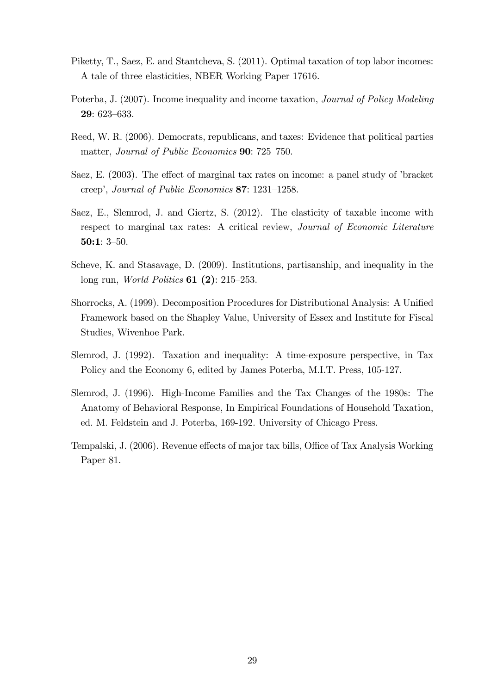- Piketty, T., Saez, E. and Stantcheva, S. (2011). Optimal taxation of top labor incomes: A tale of three elasticities, NBER Working Paper 17616.
- Poterba, J. (2007). Income inequality and income taxation, Journal of Policy Modeling 29: 623-633.
- Reed, W. R. (2006). Democrats, republicans, and taxes: Evidence that political parties matter, Journal of Public Economics 90: 725–750.
- Saez, E. (2003). The effect of marginal tax rates on income: a panel study of 'bracket creep', Journal of Public Economics  $87: 1231-1258$ .
- Saez, E., Slemrod, J. and Giertz, S. (2012). The elasticity of taxable income with respect to marginal tax rates: A critical review, Journal of Economic Literature 50:1:  $3-50$ .
- Scheve, K. and Stasavage, D. (2009). Institutions, partisanship, and inequality in the long run, *World Politics* **61** (2): 215–253.
- Shorrocks, A. (1999). Decomposition Procedures for Distributional Analysis: A Unified Framework based on the Shapley Value, University of Essex and Institute for Fiscal Studies, Wivenhoe Park.
- Slemrod, J. (1992). Taxation and inequality: A time-exposure perspective, in Tax Policy and the Economy 6, edited by James Poterba, M.I.T. Press, 105-127.
- Slemrod, J. (1996). High-Income Families and the Tax Changes of the 1980s: The Anatomy of Behavioral Response, In Empirical Foundations of Household Taxation, ed. M. Feldstein and J. Poterba, 169-192. University of Chicago Press.
- Tempalski, J. (2006). Revenue effects of major tax bills, Office of Tax Analysis Working Paper 81.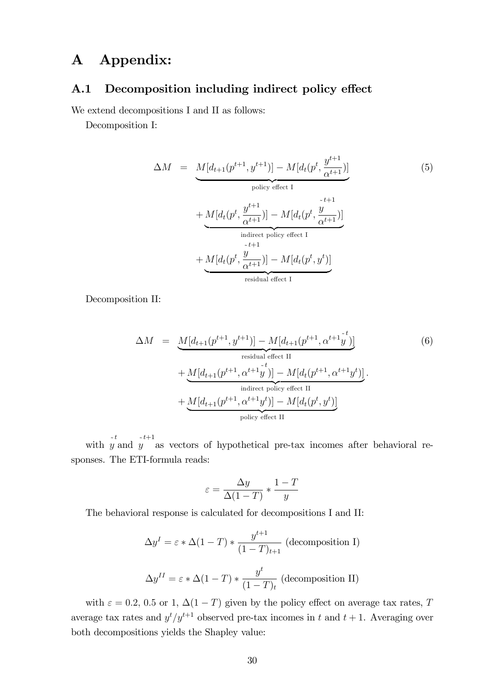## A Appendix:

### A.1 Decomposition including indirect policy effect

We extend decompositions I and II as follows:

Decomposition I:

$$
\Delta M = \underbrace{M[d_{t+1}(p^{t+1}, y^{t+1})] - M[d_t(p^t, \frac{y^{t+1}}{\alpha^{t+1}})]}_{\text{policy effect I}} + \underbrace{M[d_t(p^t, \frac{y^{t+1}}{\alpha^{t+1}})] - M[d_t(p^t, \frac{y}{\alpha^{t+1}})]}_{\text{indirect policy effect I}} + \underbrace{M[d_t(p^t, \frac{y}{\alpha^{t+1}})] - M[d_t(p^t, y^t)]}_{\text{residual effect I}}
$$
\n
$$
(5)
$$

Decomposition II:

$$
\Delta M = \underbrace{M[d_{t+1}(p^{t+1}, y^{t+1})] - M[d_{t+1}(p^{t+1}, \alpha^{t+1}y^{t})]}_{\text{residual effect II}} + \underbrace{M[d_{t+1}(p^{t+1}, \alpha^{t+1}y^{t})] - M[d_t(p^{t+1}, \alpha^{t+1}y^{t})]}_{\text{indirect policy effect II}}.
$$
\n
$$
+ \underbrace{M[d_{t+1}(p^{t+1}, \alpha^{t+1}y^{t})] - M[d_t(p^{t}, y^{t})]}_{\text{policy effect II}}
$$
\n(6)

with  $y$  and  $y'$  as vectors of hypothetical pre-tax incomes after behavioral re- $\sim t$  $-t+1$ sponses. The ETI-formula reads:

$$
\varepsilon = \frac{\Delta y}{\Delta (1 - T)} * \frac{1 - T}{y}
$$

The behavioral response is calculated for decompositions I and II:

$$
\Delta y^I = \varepsilon * \Delta (1 - T) * \frac{y^{t+1}}{(1 - T)_{t+1}} \text{ (decomposition I)}
$$

$$
\Delta y^{II} = \varepsilon * \Delta (1 - T) * \frac{y^t}{(1 - T)_t} \text{ (decomposition II)}
$$

with  $\varepsilon = 0.2, 0.5$  or 1,  $\Delta(1 - T)$  given by the policy effect on average tax rates, T average tax rates and  $y^{t}/y^{t+1}$  observed pre-tax incomes in t and  $t + 1$ . Averaging over both decompositions yields the Shapley value: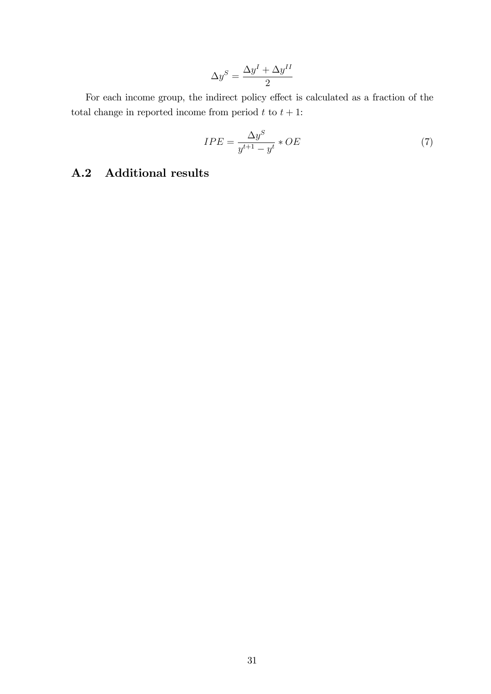$$
\Delta y^S = \frac{\Delta y^I + \Delta y^{II}}{2}
$$

For each income group, the indirect policy effect is calculated as a fraction of the total change in reported income from period  $t$  to  $t + 1$ :

$$
IPE = \frac{\Delta y^S}{y^{t+1} - y^t} * OE \tag{7}
$$

### A.2 Additional results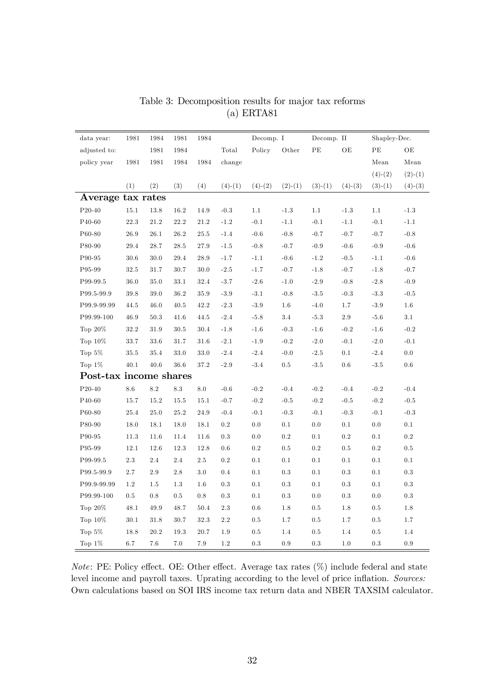| data year:             | 1981     | 1984     | 1981            | 1984    |           | Decomp. I |             | Decomp. II      |                 | Shapley-Dec.    |               |
|------------------------|----------|----------|-----------------|---------|-----------|-----------|-------------|-----------------|-----------------|-----------------|---------------|
| adjusted to:           |          | 1981     | 1984            |         | Total     | Policy    | $\rm Other$ | $\rm{PE}$       | $\rm{OE}$       | $\rm{PE}$       | OE            |
| policy year            | 1981     | 1981     | 1984            | 1984    | change    |           |             |                 |                 | Mean            | Mean          |
|                        |          |          |                 |         |           |           |             |                 |                 | $(4)-(2)$       | $(2)-(1)$     |
|                        | (1)      | (2)      | (3)             | (4)     | $(4)-(1)$ | $(4)-(2)$ | $(2)-(1)$   | $(3)-(1)$       | $(4)-(3)$       | $(3)-(1)$       | $(4)-(3)$     |
| Average tax rates      |          |          |                 |         |           |           |             |                 |                 |                 |               |
| P20-40                 | 15.1     | 13.8     | 16.2            | 14.9    | $-0.3$    | 1.1       | $-1.3$      | 1.1             | $\textbf{-}1.3$ | 1.1             | $-1.3$        |
| P40-60                 | 22.3     | 21.2     | $22.2\,$        | 21.2    | $-1.2$    | $-0.1$    | $-1.1$      | $-0.1$          | $-1.1$          | $-0.1$          | $-1.1$        |
| P60-80                 | 26.9     | 26.1     | 26.2            | 25.5    | $-1.4$    | $-0.6$    | $-0.8$      | $-0.7$          | $-0.7$          | $-0.7$          | $-0.8$        |
| P80-90                 | 29.4     | 28.7     | 28.5            | 27.9    | $-1.5$    | $-0.8$    | $-0.7$      | $-0.9$          | $-0.6$          | $-0.9$          | $\mbox{-}0.6$ |
| P90-95                 | 30.6     | 30.0     | 29.4            | 28.9    | $-1.7$    | $-1.1$    | $-0.6$      | $-1.2$          | $-0.5$          | $-1.1$          | $-0.6$        |
| P95-99                 | 32.5     | 31.7     | 30.7            | 30.0    | $-2.5$    | $-1.7$    | $-0.7$      | $-1.8$          | $-0.7$          | $-1.8$          | $-0.7$        |
| P99-99.5               | 36.0     | 35.0     | 33.1            | 32.4    | $-3.7$    | $-2.6$    | $-1.0$      | $-2.9$          | $-0.8$          | $-2.8$          | $-0.9$        |
| P99.5-99.9             | $39.8\,$ | $39.0\,$ | $36.2\,$        | 35.9    | $-3.9$    | $-3.1$    | $-0.8$      | $\textbf{-3.5}$ | $-0.3$          | $-3.3$          | $-0.5$        |
| P99.9-99.99            | 44.5     | 46.0     | 40.5            | 42.2    | $-2.3$    | $-3.9$    | 1.6         | $-4.0$          | 1.7             | $\textbf{-3.9}$ | 1.6           |
| P99.99-100             | 46.9     | 50.3     | 41.6            | 44.5    | $-2.4$    | $-5.8$    | 3.4         | $-5.3$          | $2.9\,$         | $-5.6$          | 3.1           |
| Top $20\%$             | 32.2     | 31.9     | 30.5            | 30.4    | $-1.8$    | $-1.6$    | $-0.3$      | $-1.6$          | $-0.2$          | $-1.6$          | $-0.2$        |
| Top $10\%$             | 33.7     | 33.6     | 31.7            | 31.6    | $-2.1$    | $-1.9$    | $-0.2$      | $-2.0$          | $-0.1$          | $-2.0$          | $-0.1$        |
| Top $5\%$              | 35.5     | 35.4     | 33.0            | 33.0    | $-2.4$    | $-2.4$    | $-0.0$      | $-2.5$          | 0.1             | $-2.4$          | 0.0           |
| Top $1\%$              | 40.1     | 40.6     | 36.6            | 37.2    | $-2.9$    | $-3.4$    | $0.5\,$     | $-3.5$          | 0.6             | $-3.5$          | $0.6\,$       |
| Post-tax income shares |          |          |                 |         |           |           |             |                 |                 |                 |               |
| $P20-40$               | $8.6\,$  | $8.2\,$  | $\!\!\!\!\!8.3$ | $8.0\,$ | $-0.6$    | $-0.2$    | $-0.4$      | $-0.2$          | $-0.4$          | $-0.2$          | $-0.4$        |
| P40-60                 | 15.7     | 15.2     | 15.5            | 15.1    | $-0.7$    | $-0.2$    | $-0.5$      | $-0.2$          | $-0.5$          | $-0.2$          | $-0.5$        |
| P60-80                 | 25.4     | 25.0     | 25.2            | 24.9    | $-0.4$    | $-0.1$    | $-0.3$      | $-0.1$          | $-0.3$          | $-0.1$          | $-0.3$        |
| P80-90                 | 18.0     | 18.1     | 18.0            | 18.1    | 0.2       | 0.0       | 0.1         | $0.0\,$         | 0.1             | $0.0\,$         | 0.1           |
| P90-95                 | 11.3     | 11.6     | 11.4            | 11.6    | 0.3       | 0.0       | $0.2\,$     | 0.1             | $0.2\,$         | $0.1\,$         | 0.2           |
| P95-99                 | 12.1     | 12.6     | 12.3            | 12.8    | 0.6       | $\rm 0.2$ | $0.5\,$     | $\rm 0.2$       | 0.5             | $0.2\,$         | $0.5\,$       |
| P99-99.5               | $2.3\,$  | $2.4\,$  | 2.4             | $2.5\,$ | $\rm 0.2$ | $0.1\,$   | $0.1\,$     | $0.1\,$         | $0.1\,$         | $0.1\,$         | $0.1\,$       |
| P99.5-99.9             | 2.7      | $2.9\,$  | $2.8\,$         | $3.0\,$ | 0.4       | 0.1       | $\rm 0.3$   | 0.1             | $\rm 0.3$       | $0.1\,$         | $\rm 0.3$     |
| P99.9-99.99            | 1.2      | 1.5      | 1.3             | 1.6     | 0.3       | 0.1       | $\rm 0.3$   | 0.1             | $\rm 0.3$       | $0.1\,$         | $\rm 0.3$     |
| P99.99-100             | $0.5\,$  | 0.8      | $0.5\,$         | 0.8     | 0.3       | 0.1       | $\rm 0.3$   | 0.0             | $\rm 0.3$       | 0.0             | $\rm 0.3$     |
| Top $20\%$             | 48.1     | 49.9     | 48.7            | 50.4    | 2.3       | $0.6\,$   | 1.8         | $0.5\,$         | 1.8             | $0.5\,$         | 1.8           |
| Top $10\%$             | 30.1     | 31.8     | 30.7            | 32.3    | $2.2\,$   | $0.5\,$   | 1.7         | $0.5\,$         | 1.7             | $0.5\,$         | 1.7           |
| Top $5\%$              | 18.8     | 20.2     | 19.3            | 20.7    | 1.9       | $0.5\,$   | 1.4         | $0.5\,$         | 1.4             | $0.5\,$         | 1.4           |
| Top $1\%$              | 6.7      | 7.6      | 7.0             | 7.9     | 1.2       | 0.3       | $\rm 0.9$   | 0.3             | $1.0\,$         | 0.3             | $\rm 0.9$     |

Table 3: Decomposition results for major tax reforms (a) ERTA81

Note: PE: Policy effect. OE: Other effect. Average tax rates  $(\%)$  include federal and state level income and payroll taxes. Uprating according to the level of price inflation. Sources: Own calculations based on SOI IRS income tax return data and NBER TAXSIM calculator.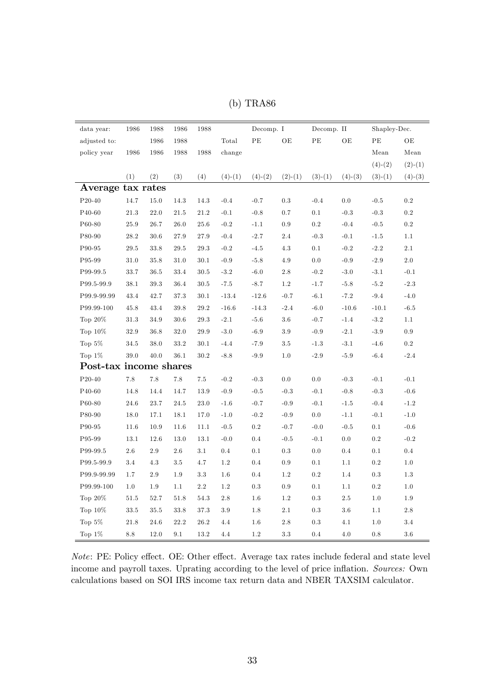| data year:             | 1986     | 1988    | 1986    | 1988     |           | Decomp. I |           | Decomp. II |           | Shapley-Dec. |           |
|------------------------|----------|---------|---------|----------|-----------|-----------|-----------|------------|-----------|--------------|-----------|
| adjusted to:           |          | 1986    | 1988    |          | Total     | $\rm{PE}$ | $\rm{OE}$ | PE         | $\rm{OE}$ | PE           | OE        |
| policy year            | 1986     | 1986    | 1988    | 1988     | change    |           |           |            |           | Mean         | Mean      |
|                        |          |         |         |          |           |           |           |            |           | $(4)-(2)$    | $(2)-(1)$ |
|                        | (1)      | (2)     | (3)     | (4)      | $(4)-(1)$ | $(4)-(2)$ | $(2)-(1)$ | $(3)-(1)$  | $(4)-(3)$ | $(3)-(1)$    | $(4)-(3)$ |
| Average tax rates      |          |         |         |          |           |           |           |            |           |              |           |
| P20-40                 | 14.7     | 15.0    | 14.3    | 14.3     | $-0.4$    | $-0.7$    | $\rm 0.3$ | $-0.4$     | 0.0       | $-0.5$       | $0.2\,$   |
| P40-60                 | 21.3     | 22.0    | 21.5    | 21.2     | $-0.1$    | $-0.8$    | 0.7       | 0.1        | $-0.3$    | $-0.3$       | 0.2       |
| P60-80                 | 25.9     | 26.7    | 26.0    | 25.6     | $-0.2$    | $-1.1$    | $0.9\,$   | $\rm 0.2$  | $-0.4$    | $-0.5$       | $\rm 0.2$ |
| P80-90                 | 28.2     | 30.6    | 27.9    | 27.9     | $-0.4$    | $-2.7$    | 2.4       | $-0.3$     | $-0.1$    | $-1.5$       | 1.1       |
| P90-95                 | 29.5     | 33.8    | 29.5    | 29.3     | $-0.2$    | $-4.5$    | 4.3       | 0.1        | $-0.2$    | $-2.2$       | 2.1       |
| P95-99                 | 31.0     | 35.8    | 31.0    | 30.1     | $-0.9$    | $-5.8$    | 4.9       | 0.0        | $-0.9$    | $-2.9$       | $2.0\,$   |
| P99-99.5               | 33.7     | 36.5    | 33.4    | $30.5\,$ | $-3.2$    | $-6.0$    | 2.8       | $-0.2$     | $-3.0$    | $-3.1$       | $-0.1$    |
| P99.5-99.9             | 38.1     | 39.3    | 36.4    | 30.5     | $-7.5$    | $-8.7$    | 1.2       | $-1.7$     | $-5.8$    | $-5.2$       | $-2.3$    |
| P99.9-99.99            | 43.4     | 42.7    | 37.3    | 30.1     | $-13.4$   | $-12.6$   | $-0.7$    | $-6.1$     | $-7.2$    | $-9.4$       | $-4.0$    |
| P99.99-100             | 45.8     | 43.4    | 39.8    | 29.2     | $-16.6$   | $-14.3$   | $-2.4$    | $-6.0$     | $-10.6$   | $-10.1$      | $-6.5$    |
| Top $20\%$             | 31.3     | 34.9    | 30.6    | $29.3\,$ | $-2.1$    | $-5.6$    | $3.6\,$   | $-0.7$     | $-1.4$    | $-3.2$       | 1.1       |
| Top 10%                | 32.9     | 36.8    | 32.0    | 29.9     | $-3.0$    | $-6.9$    | $3.9\,$   | $-0.9$     | $-2.1$    | $-3.9$       | 0.9       |
| Top $5\%$              | 34.5     | 38.0    | 33.2    | 30.1     | $-4.4$    | $-7.9$    | $3.5\,$   | $-1.3$     | $-3.1$    | $-4.6$       | $0.2\,$   |
| Top $1\%$              | 39.0     | 40.0    | 36.1    | 30.2     | $-8.8$    | $-9.9$    | 1.0       | $-2.9$     | $-5.9$    | $-6.4$       | $-2.4$    |
| Post-tax income shares |          |         |         |          |           |           |           |            |           |              |           |
| $P20-40$               | $7.8\,$  | 7.8     | 7.8     | $7.5\,$  | $-0.2$    | $-0.3$    | 0.0       | 0.0        | $-0.3$    | $-0.1$       | $-0.1$    |
| P40-60                 | 14.8     | 14.4    | 14.7    | 13.9     | $-0.9$    | $-0.5$    | $-0.3$    | $-0.1$     | $-0.8$    | $-0.3$       | $-0.6$    |
| P60-80                 | 24.6     | 23.7    | 24.5    | 23.0     | $-1.6$    | $-0.7$    | $-0.9$    | $-0.1$     | $-1.5$    | $-0.4$       | $-1.2$    |
| P80-90                 | $18.0\,$ | 17.1    | 18.1    | 17.0     | $-1.0$    | $-0.2$    | $-0.9$    | $0.0\,$    | $-1.1$    | $-0.1$       | $-1.0$    |
| P90-95                 | 11.6     | 10.9    | 11.6    | 11.1     | $-0.5$    | $\rm 0.2$ | $-0.7$    | $-0.0$     | $-0.5$    | $0.1\,$      | $-0.6$    |
| P95-99                 | 13.1     | 12.6    | 13.0    | 13.1     | $-0.0$    | 0.4       | $-0.5$    | $-0.1$     | 0.0       | $\rm 0.2$    | $-0.2$    |
| P99-99.5               | 2.6      | 2.9     | 2.6     | 3.1      | 0.4       | 0.1       | $\rm 0.3$ | $0.0\,$    | 0.4       | 0.1          | $0.4\,$   |
| P99.5-99.9             | 3.4      | 4.3     | $3.5\,$ | 4.7      | $1.2\,$   | 0.4       | 0.9       | $0.1\,$    | 1.1       | $\rm 0.2$    | $1.0\,$   |
| P99.9-99.99            | 1.7      | $2.9\,$ | 1.9     | $3.3\,$  | 1.6       | 0.4       | 1.2       | $0.2\,$    | 1.4       | $\rm 0.3$    | 1.3       |
| P99.99-100             | 1.0      | 1.9     | 1.1     | 2.2      | 1.2       | 0.3       | 0.9       | 0.1        | 1.1       | $\rm 0.2$    | 1.0       |
| Top $20\%$             | 51.5     | 52.7    | 51.8    | 54.3     | 2.8       | 1.6       | 1.2       | 0.3        | $2.5\,$   | 1.0          | 1.9       |
| Top $10\%$             | 33.5     | 35.5    | 33.8    | 37.3     | 3.9       | 1.8       | 2.1       | 0.3        | $3.6\,$   | 1.1          | $2.8\,$   |
| Top $5\%$              | 21.8     | 24.6    | 22.2    | 26.2     | 4.4       | 1.6       | $2.8\,$   | $\rm 0.3$  | 4.1       | 1.0          | 3.4       |
| Top $1\%$              | 8.8      | 12.0    | 9.1     | 13.2     | 4.4       | $1.2\,$   | $3.3\,$   | 0.4        | 4.0       | 0.8          | $3.6\,$   |

(b) TRA86

 $Note: PE: Policy effect. OE: Other effect. Average tax rates include federal and state level$ income and payroll taxes. Uprating according to the level of price inflation. Sources: Own calculations based on SOI IRS income tax return data and NBER TAXSIM calculator.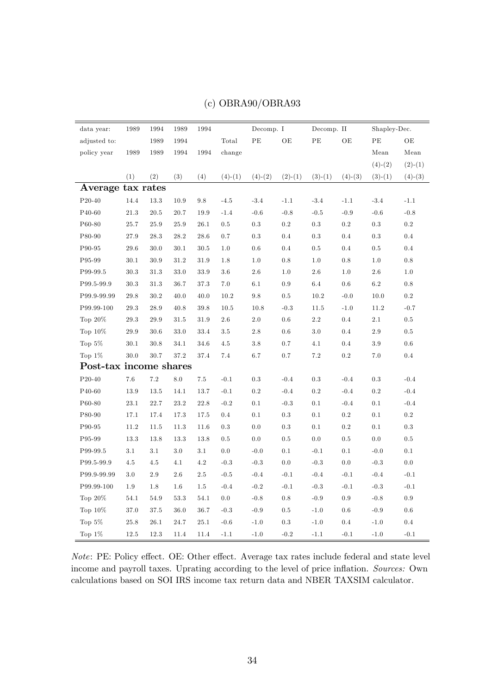| data year:               | 1989     | 1994     | 1989     | 1994    |           | Decomp. I |           | Decomp. II |           | Shapley-Dec. |           |
|--------------------------|----------|----------|----------|---------|-----------|-----------|-----------|------------|-----------|--------------|-----------|
| adjusted to:             |          | 1989     | 1994     |         | Total     | $\rm PE$  | OE        | $\rm{PE}$  | OE        | $\rm{PE}$    | ОE        |
| policy year              | 1989     | 1989     | 1994     | 1994    | change    |           |           |            |           | Mean         | Mean      |
|                          |          |          |          |         |           |           |           |            |           | $(4)-(2)$    | $(2)-(1)$ |
|                          | (1)      | (2)      | (3)      | (4)     | $(4)-(1)$ | $(4)-(2)$ | $(2)-(1)$ | $(3)-(1)$  | $(4)-(3)$ | $(3)-(1)$    | $(4)-(3)$ |
| Average tax rates        |          |          |          |         |           |           |           |            |           |              |           |
| P20-40                   | 14.4     | 13.3     | 10.9     | 9.8     | $-4.5$    | $-3.4$    | $-1.1$    | $-3.4$     | $-1.1$    | $-3.4$       | $-1.1$    |
| P40-60                   | 21.3     | 20.5     | 20.7     | 19.9    | $-1.4$    | $-0.6$    | $-0.8$    | $-0.5$     | $-0.9$    | $-0.6$       | $-0.8$    |
| $P60-80$                 | 25.7     | $25.9\,$ | $25.9\,$ | 26.1    | 0.5       | $\rm 0.3$ | $\rm 0.2$ | $\rm 0.3$  | $\rm 0.2$ | $\rm 0.3$    | $\rm 0.2$ |
| P80-90                   | 27.9     | 28.3     | 28.2     | 28.6    | 0.7       | 0.3       | 0.4       | 0.3        | 0.4       | $\rm 0.3$    | 0.4       |
| P90-95                   | 29.6     | 30.0     | 30.1     | 30.5    | 1.0       | $0.6\,$   | 0.4       | 0.5        | 0.4       | $0.5\,$      | 0.4       |
| P95-99                   | 30.1     | 30.9     | 31.2     | 31.9    | 1.8       | 1.0       | 0.8       | 1.0        | 0.8       | 1.0          | $\rm 0.8$ |
| P99-99.5                 | 30.3     | 31.3     | 33.0     | 33.9    | 3.6       | $2.6\,$   | 1.0       | 2.6        | 1.0       | 2.6          | 1.0       |
| P99.5-99.9               | 30.3     | 31.3     | 36.7     | 37.3    | 7.0       | 6.1       | $\rm 0.9$ | $6.4\,$    | $0.6\,$   | 6.2          | $\rm 0.8$ |
| P99.9-99.99              | 29.8     | 30.2     | 40.0     | 40.0    | 10.2      | 9.8       | 0.5       | 10.2       | $-0.0$    | 10.0         | $\rm 0.2$ |
| P99.99-100               | 29.3     | 28.9     | 40.8     | 39.8    | $10.5\,$  | 10.8      | $-0.3$    | $11.5\,$   | $-1.0$    | 11.2         | $-0.7$    |
| Top $20\%$               | 29.3     | 29.9     | 31.5     | 31.9    | 2.6       | 2.0       | 0.6       | $2.2\,$    | 0.4       | 2.1          | $0.5\,$   |
| Top $10\%$               | 29.9     | 30.6     | 33.0     | 33.4    | $3.5\,$   | 2.8       | 0.6       | 3.0        | 0.4       | $2.9\,$      | $0.5\,$   |
| Top $5\%$                | 30.1     | 30.8     | 34.1     | 34.6    | $4.5\,$   | $3.8\,$   | 0.7       | 4.1        | 0.4       | $3.9\,$      | $0.6\,$   |
| Top $1\%$                | 30.0     | 30.7     | 37.2     | 37.4    | 7.4       | 6.7       | 0.7       | 7.2        | $\rm 0.2$ | 7.0          | 0.4       |
| Post-tax income shares   |          |          |          |         |           |           |           |            |           |              |           |
| $\mathrm{P}20\text{-}40$ | $7.6\,$  | $7.2\,$  | $8.0\,$  | $7.5\,$ | $-0.1$    | 0.3       | $-0.4$    | $\rm 0.3$  | $-0.4$    | $\rm 0.3$    | $-0.4$    |
| P40-60                   | 13.9     | 13.5     | 14.1     | 13.7    | $-0.1$    | 0.2       | $-0.4$    | 0.2        | $-0.4$    | $\rm 0.2$    | $-0.4$    |
| P60-80                   | $23.1\,$ | $22.7\,$ | 23.2     | 22.8    | $-0.2$    | $0.1\,$   | $-0.3$    | 0.1        | $-0.4$    | $0.1\,$      | $-0.4$    |
| P80-90                   | 17.1     | 17.4     | 17.3     | 17.5    | 0.4       | 0.1       | 0.3       | 0.1        | $\rm 0.2$ | 0.1          | 0.2       |
| P90-95                   | 11.2     | 11.5     | 11.3     | 11.6    | 0.3       | 0.0       | 0.3       | 0.1        | $\rm 0.2$ | 0.1          | $\rm 0.3$ |
| P95-99                   | 13.3     | 13.8     | 13.3     | 13.8    | 0.5       | 0.0       | 0.5       | 0.0        | $0.5\,$   | 0.0          | $0.5\,$   |
| P99-99.5                 | 3.1      | 3.1      | 3.0      | 3.1     | 0.0       | $-0.0$    | 0.1       | $-0.1$     | 0.1       | $-0.0$       | 0.1       |
| P99.5-99.9               | 4.5      | $4.5\,$  | 4.1      | 4.2     | $-0.3$    | $-0.3$    | $0.0\,$   | $-0.3$     | $0.0\,$   | $-0.3$       | $0.0\,$   |
| P99.9-99.99              | 3.0      | 2.9      | 2.6      | $2.5\,$ | $-0.5$    | $-0.4$    | $-0.1$    | $-0.4$     | $-0.1$    | $-0.4$       | $-0.1$    |
| P99.99-100               | 1.9      | 1.8      | $1.6\,$  | $1.5\,$ | $-0.4$    | $-0.2$    | $-0.1$    | $-0.3$     | $-0.1$    | $-0.3$       | $-0.1$    |
| Top 20%                  | 54.1     | 54.9     | 53.3     | 54.1    | 0.0       | $-0.8$    | 0.8       | $-0.9$     | $\rm 0.9$ | $-0.8$       | $\rm 0.9$ |
| Top $10\%$               | 37.0     | 37.5     | 36.0     | 36.7    | $-0.3$    | $-0.9$    | 0.5       | $-1.0$     | $0.6\,$   | $-0.9$       | $0.6\,$   |
| Top $5\%$                | 25.8     | 26.1     | $24.7\,$ | 25.1    | $-0.6$    | $-1.0$    | $\rm 0.3$ | $-1.0$     | $0.4\,$   | $-1.0$       | $0.4\,$   |
| Top $1\%$                | 12.5     | 12.3     | 11.4     | 11.4    | $-1.1$    | $-1.0$    | $-0.2$    | $-1.1$     | $-0.1$    | $-1.0$       | $-0.1$    |

### (c) OBRA90/OBRA93

 $Note: PE: Policy effect. OE: Other effect. Average tax rates include federal and state level$ income and payroll taxes. Uprating according to the level of price inflation. Sources: Own calculations based on SOI IRS income tax return data and NBER TAXSIM calculator.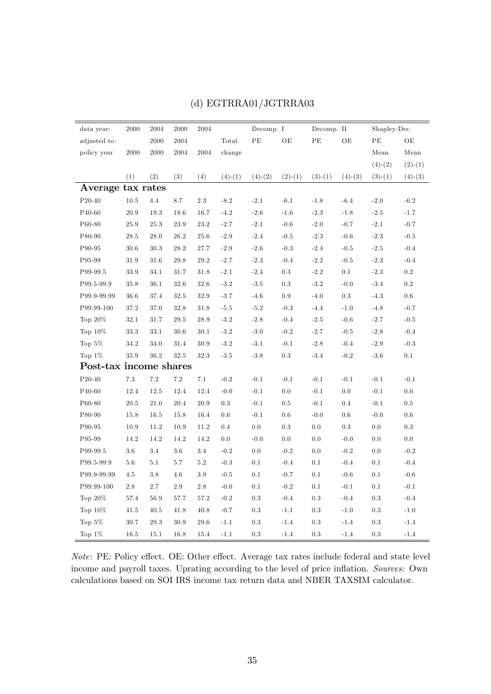| data year:             | 2000     | 2004     | 2000       | 2004    |           | Decomp. I |           | Decomp. II |           | Shapley-Dec. |           |
|------------------------|----------|----------|------------|---------|-----------|-----------|-----------|------------|-----------|--------------|-----------|
| adjusted to:           |          | $2000\,$ | $\,2004\,$ |         | Total     | $\rm{PE}$ | OE        | $\rm{PE}$  | OE        | PE           | OE        |
| policy year            | 2000     | 2000     | 2004       | 2004    | change    |           |           |            |           | Mean         | Mean      |
|                        |          |          |            |         |           |           |           |            |           | $(4)-(2)$    | $(2)-(1)$ |
|                        | (1)      | (2)      | (3)        | (4)     | $(4)-(1)$ | $(4)-(2)$ | $(2)-(1)$ | $(3)-(1)$  | $(4)-(3)$ | $(3)-(1)$    | $(4)-(3)$ |
| Average tax rates      |          |          |            |         |           |           |           |            |           |              |           |
| P20-40                 | $10.5\,$ | 4.4      | 8.7        | 2.3     | $-8.2$    | $-2.1$    | $-6.1$    | $-1.8$     | $-6.4$    | $-2.0$       | $-6.2$    |
| P40-60                 | $20.9\,$ | 19.3     | 18.6       | 16.7    | $-4.2$    | $-2.6$    | $-1.6$    | $-2.3$     | $-1.8$    | $-2.5$       | $-1.7$    |
| P60-80                 | 25.9     | 25.3     | 23.9       | 23.2    | $-2.7$    | $-2.1$    | $-0.6$    | $-2.0$     | $-0.7$    | $-2.1$       | $-0.7$    |
| P80-90                 | 28.5     | 28.0     | $26.2\,$   | 25.6    | $-2.9$    | $-2.4$    | $-0.5$    | $-2.3$     | $-0.6$    | $-2.3$       | $-0.5$    |
| P90-95                 | 30.6     | 30.3     | 28.2       | 27.7    | $-2.9$    | $-2.6$    | $-0.3$    | $-2.4$     | $-0.5$    | $-2.5$       | $-0.4$    |
| P95-99                 | 31.9     | 31.6     | 29.8       | 29.2    | $-2.7$    | $-2.3$    | $-0.4$    | $-2.2$     | $-0.5$    | $-2.3$       | $-0.4$    |
| P99-99.5               | 33.9     | 34.1     | 31.7       | 31.8    | $-2.1$    | $-2.4$    | 0.3       | $-2.2$     | $0.1\,$   | $-2.3$       | $\rm 0.2$ |
| P99.5-99.9             | 35.8     | 36.1     | 32.6       | 32.6    | $-3.2$    | $-3.5$    | 0.3       | $-3.2$     | $-0.0$    | $-3.4$       | $\rm 0.2$ |
| P99.9-99.99            | 36.6     | 37.4     | 32.5       | 32.9    | $-3.7$    | $-4.6$    | 0.9       | $-4.0$     | $\rm 0.3$ | $-4.3$       | $0.6\,$   |
| P99.99-100             | 37.2     | 37.0     | 32.8       | 31.8    | $-5.5$    | $-5.2$    | $-0.3$    | $-4.4$     | $-1.0$    | $-4.8$       | $-0.7$    |
| Top $20\%$             | 32.1     | 31.7     | 29.5       | 28.9    | $-3.2$    | $-2.8$    | $-0.4$    | $-2.5$     | $-0.6$    | $-2.7$       | $-0.5$    |
| Top $10\%$             | 33.3     | 33.1     | 30.6       | 30.1    | $-3.2$    | $-3.0$    | $-0.2$    | $-2.7$     | $-0.5$    | $-2.8$       | $-0.4$    |
| Top $5\%$              | 34.2     | 34.0     | 31.4       | 30.9    | $-3.2$    | $-3.1$    | $-0.1$    | $-2.8$     | $-0.4$    | $-2.9$       | $-0.3$    |
| Top $1\%$              | 35.9     | 36.2     | 32.5       | 32.3    | $-3.5$    | $-3.8$    | 0.3       | $-3.4$     | $-0.2$    | $-3.6$       | $0.1\,$   |
| Post-tax income shares |          |          |            |         |           |           |           |            |           |              |           |
| P20-40                 | 7.3      | 7.2      | $7.2\,$    | 7.1     | $-0.2$    | $-0.1$    | $-0.1$    | $-0.1$     | $-0.1$    | $-0.1$       | $-0.1$    |
| P40-60                 | 12.4     | 12.5     | 12.4       | 12.4    | $-0.0$    | $-0.1$    | 0.0       | $-0.1$     | $0.0\,$   | $-0.1$       | $0.0\,$   |
| P60-80                 | $20.5\,$ | 21.0     | 20.4       | 20.9    | $\rm 0.3$ | $-0.1$    | 0.5       | $-0.1$     | 0.4       | $-0.1$       | $0.5\,$   |
| P80-90                 | 15.8     | 16.5     | 15.8       | 16.4    | 0.6       | $-0.1$    | 0.6       | $-0.0$     | $0.6\,$   | $-0.0$       | 0.6       |
| P90-95                 | 10.9     | 11.2     | 10.9       | 11.2    | 0.4       | 0.0       | $\rm 0.3$ | 0.0        | $0.3\,$   | $0.0\,$      | $\rm 0.3$ |
| P95-99                 | 14.2     | 14.2     | 14.2       | 14.2    | 0.0       | $-0.0$    | 0.0       | 0.0        | $-0.0$    | 0.0          | 0.0       |
| P99-99.5               | $3.6\,$  | 3.4      | $3.6\,$    | 3.4     | $-0.2$    | 0.0       | $-0.2$    | 0.0        | $-0.2$    | $0.0\,$      | $-0.2$    |
| P99.5-99.9             | 5.6      | $5.1\,$  | 5.7        | $5.2\,$ | $-0.3$    | $0.1\,$   | $-0.4$    | $0.1\,$    | $-0.4$    | $0.1\,$      | $-0.4$    |
| P99.9-99.99            | 4.5      | 3.8      | 4.6        | 3.9     | $-0.5$    | 0.1       | $-0.7$    | 0.1        | $-0.6$    | 0.1          | $-0.6$    |
| P99.99-100             | 2.8      | 2.7      | 2.9        | $2.8\,$ | $-0.0$    | 0.1       | $-0.2$    | 0.1        | $-0.1$    | 0.1          | $-0.1$    |
| Top $20\%$             | 57.4     | 56.9     | 57.7       | 57.2    | $-0.2$    | 0.3       | $-0.4$    | 0.3        | $-0.4$    | $\rm 0.3$    | $-0.4$    |
| Top $10\%$             | 41.5     | 40.5     | 41.8       | 40.8    | $-0.7$    | $0.3\,$   | $-1.1$    | 0.3        | $-1.0$    | 0.3          | $-1.0$    |
| Top $5\%$              | 30.7     | 29.3     | 30.9       | 29.6    | $-1.1$    | $\rm 0.3$ | $-1.4$    | 0.3        | $-1.4$    | 0.3          | $-1.4$    |
| Top $1\%$              | 16.5     | 15.1     | 16.8       | 15.4    | $-1.1$    | $\rm 0.3$ | $-1.4$    | $\rm 0.3$  | $-1.4$    | $\rm 0.3$    | $-1.4$    |

### (d) EGTRRA01/JGTRRA03

 $Note: PE: Policy effect. OE: Other effect. Average tax rates include federal and state level$ income and payroll taxes. Uprating according to the level of price inflation. Sources: Own calculations based on SOI IRS income tax return data and NBER TAXSIM calculator.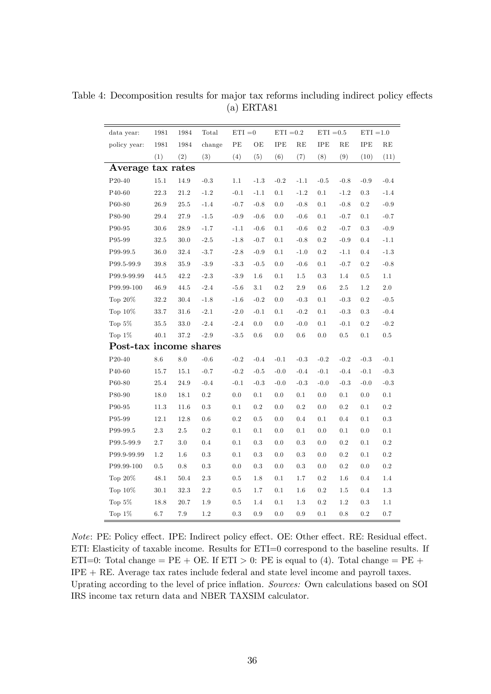| data year:             | 1981     | 1984    | Total     | $ETI = 0$ |         | $ETI = 0.2$ |           | $ETI = 0.5$ |         | $ETI = 1.0$ |           |
|------------------------|----------|---------|-----------|-----------|---------|-------------|-----------|-------------|---------|-------------|-----------|
| policy year:           | 1981     | 1984    | change    | PE        | OE      | IPE         | RE        | ${\rm IPE}$ | RE      | ${\rm IPE}$ | RE        |
|                        | (1)      | (2)     | (3)       | (4)       | (5)     | (6)         | (7)       | (8)         | (9)     | (10)        | (11)      |
| Average tax rates      |          |         |           |           |         |             |           |             |         |             |           |
| $P20-40$               | 15.1     | 14.9    | $-0.3$    | 1.1       | $-1.3$  | $-0.2$      | $-1.1$    | $-0.5$      | $-0.8$  | $-0.9$      | $-0.4$    |
| P40-60                 | $22.3\,$ | 21.2    | $-1.2$    | $-0.1$    | $-1.1$  | 0.1         | $-1.2$    | 0.1         | $-1.2$  | $\rm 0.3$   | $-1.4$    |
| P60-80                 | 26.9     | 25.5    | $-1.4$    | $-0.7$    | $-0.8$  | 0.0         | $-0.8$    | 0.1         | $-0.8$  | 0.2         | $-0.9$    |
| P80-90                 | 29.4     | 27.9    | $-1.5$    | $-0.9$    | $-0.6$  | 0.0         | $-0.6$    | 0.1         | $-0.7$  | 0.1         | $-0.7$    |
| P90-95                 | 30.6     | 28.9    | $-1.7$    | $-1.1$    | $-0.6$  | 0.1         | $-0.6$    | 0.2         | $-0.7$  | 0.3         | $-0.9$    |
| P95-99                 | $32.5\,$ | 30.0    | $-2.5$    | $-1.8$    | $-0.7$  | 0.1         | $-0.8$    | 0.2         | $-0.9$  | 0.4         | $-1.1$    |
| P99-99.5               | 36.0     | 32.4    | $-3.7$    | $-2.8$    | $-0.9$  | 0.1         | $-1.0$    | 0.2         | $-1.1$  | 0.4         | $-1.3$    |
| P99.5-99.9             | 39.8     | 35.9    | $-3.9$    | $-3.3$    | $-0.5$  | 0.0         | $-0.6$    | 0.1         | $-0.7$  | 0.2         | $-0.8$    |
| P99.9-99.99            | 44.5     | 42.2    | $-2.3$    | $-3.9$    | $1.6\,$ | 0.1         | 1.5       | 0.3         | 1.4     | 0.5         | 1.1       |
| P99.99-100             | 46.9     | 44.5    | $-2.4$    | $-5.6$    | 3.1     | 0.2         | $2.9\,$   | 0.6         | 2.5     | 1.2         | $2.0\,$   |
| Top $20\%$             | 32.2     | 30.4    | $-1.8$    | $-1.6$    | $-0.2$  | 0.0         | $-0.3$    | 0.1         | $-0.3$  | 0.2         | $-0.5$    |
| Top $10\%$             | 33.7     | 31.6    | $-2.1$    | $-2.0$    | $-0.1$  | 0.1         | $-0.2$    | 0.1         | $-0.3$  | 0.3         | $-0.4$    |
| Top $5\%$              | 35.5     | 33.0    | $-2.4$    | $-2.4$    | 0.0     | 0.0         | $-0.0$    | 0.1         | $-0.1$  | 0.2         | $-0.2$    |
| Top $1\%$              | 40.1     | 37.2    | $-2.9$    | $-3.5$    | 0.6     | 0.0         | 0.6       | 0.0         | $0.5\,$ | 0.1         | $0.5\,$   |
| Post-tax income shares |          |         |           |           |         |             |           |             |         |             |           |
| $P20-40$               | $8.6\,$  | $8.0\,$ | $-0.6$    | $-0.2$    | $-0.4$  | $-0.1$      | $-0.3$    | $-0.2$      | $-0.2$  | $-0.3$      | $-0.1$    |
| P40-60                 | 15.7     | 15.1    | $-0.7$    | $-0.2$    | $-0.5$  | $-0.0$      | $-0.4$    | $-0.1$      | $-0.4$  | $-0.1$      | $-0.3$    |
| P60-80                 | 25.4     | 24.9    | $-0.4$    | $-0.1$    | $-0.3$  | $-0.0$      | $-0.3$    | $-0.0$      | $-0.3$  | $-0.0$      | $-0.3$    |
| P80-90                 | 18.0     | 18.1    | 0.2       | 0.0       | 0.1     | 0.0         | 0.1       | 0.0         | 0.1     | 0.0         | $0.1\,$   |
| P90-95                 | 11.3     | 11.6    | 0.3       | 0.1       | $0.2\,$ | 0.0         | $0.2\,$   | 0.0         | $0.2\,$ | 0.1         | $\rm 0.2$ |
| P95-99                 | 12.1     | 12.8    | $0.6\,$   | 0.2       | 0.5     | 0.0         | 0.4       | 0.1         | 0.4     | 0.1         | 0.3       |
| P99-99.5               | 2.3      | $2.5\,$ | 0.2       | 0.1       | 0.1     | 0.0         | 0.1       | 0.0         | 0.1     | 0.0         | $0.1\,$   |
| P99.5-99.9             | 2.7      | 3.0     | 0.4       | 0.1       | 0.3     | 0.0         | 0.3       | 0.0         | 0.2     | 0.1         | $\rm 0.2$ |
| P99.9-99.99            | 1.2      | 1.6     | 0.3       | 0.1       | 0.3     | 0.0         | 0.3       | 0.0         | 0.2     | 0.1         | 0.2       |
| P99.99-100             | $0.5\,$  | $0.8\,$ | $\rm 0.3$ | 0.0       | 0.3     | 0.0         | $\rm 0.3$ | 0.0         | $0.2\,$ | 0.0         | 0.2       |
| Top $20\%$             | 48.1     | 50.4    | $2.3\,$   | 0.5       | 1.8     | 0.1         | 1.7       | 0.2         | 1.6     | 0.4         | $1.4\,$   |
| $\text{Top 10\%}$      | 30.1     | 32.3    | $2.2\,$   | $0.5\,$   | 1.7     | 0.1         | 1.6       | 0.2         | 1.5     | 0.4         | $1.3\,$   |
| Top $5\%$              | 18.8     | 20.7    | 1.9       | 0.5       | 1.4     | 0.1         | 1.3       | 0.2         | 1.2     | 0.3         | 1.1       |
| Top $1\%$              | 6.7      | 7.9     | 1.2       | 0.3       | 0.9     | 0.0         | 0.9       | 0.1         | 0.8     | 0.2         | 0.7       |

Table 4: Decomposition results for major tax reforms including indirect policy effects (a) ERTA81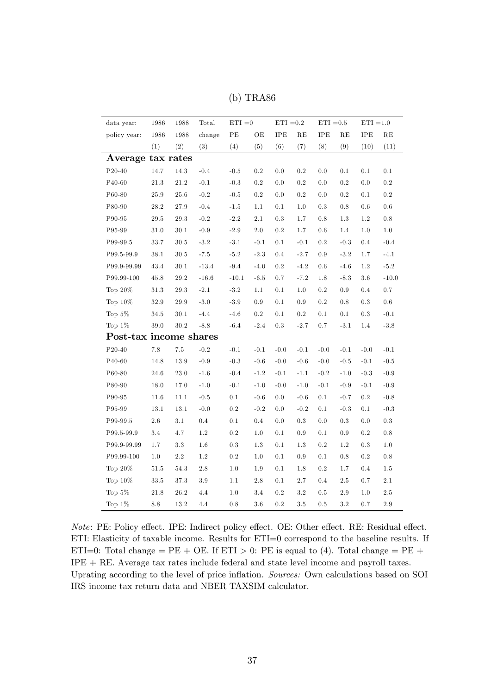| data year:             | 1986      | 1988     | Total   | $ETI = 0$ |                 | $ETI = 0.2$ |           | $ETI = 0.5$ |         | $ETI = 1.0$  |           |
|------------------------|-----------|----------|---------|-----------|-----------------|-------------|-----------|-------------|---------|--------------|-----------|
| policy year:           | 1986      | 1988     | change  | PE        | OE              | IPE         | RE        | <b>IPE</b>  | RE      | $_{\rm IPE}$ | RE        |
|                        | (1)       | (2)      | (3)     | (4)       | (5)             | (6)         | (7)       | (8)         | (9)     | (10)         | (11)      |
| Average                | tax rates |          |         |           |                 |             |           |             |         |              |           |
| $P20-40$               | $14.7\,$  | 14.3     | $-0.4$  | $-0.5$    | 0.2             | 0.0         | $\rm 0.2$ | 0.0         | 0.1     | 0.1          | 0.1       |
| P40-60                 | $21.3\,$  | $21.2\,$ | $-0.1$  | $-0.3$    | 0.2             | 0.0         | $\rm 0.2$ | 0.0         | 0.2     | 0.0          | $\rm 0.2$ |
| P60-80                 | 25.9      | 25.6     | $-0.2$  | $-0.5$    | 0.2             | 0.0         | 0.2       | 0.0         | 0.2     | 0.1          | $0.2\,$   |
| P80-90                 | 28.2      | 27.9     | $-0.4$  | $-1.5$    | 1.1             | 0.1         | 1.0       | 0.3         | 0.8     | 0.6          | 0.6       |
| P90-95                 | 29.5      | 29.3     | $-0.2$  | $-2.2$    | 2.1             | 0.3         | 1.7       | 0.8         | 1.3     | 1.2          | 0.8       |
| P95-99                 | 31.0      | 30.1     | $-0.9$  | $-2.9$    | 2.0             | 0.2         | 1.7       | 0.6         | 1.4     | 1.0          | 1.0       |
| P99-99.5               | 33.7      | 30.5     | $-3.2$  | $-3.1$    | $-0.1$          | 0.1         | $-0.1$    | $0.2\,$     | $-0.3$  | $0.4\,$      | $-0.4$    |
| P99.5-99.9             | 38.1      | 30.5     | $-7.5$  | $-5.2$    | $-2.3$          | 0.4         | $-2.7$    | $0.9\,$     | $-3.2$  | 1.7          | $-4.1$    |
| P99.9-99.99            | 43.4      | 30.1     | $-13.4$ | $-9.4$    | $-4.0$          | 0.2         | $-4.2$    | $0.6\,$     | $-4.6$  | 1.2          | $-5.2$    |
| P99.99-100             | 45.8      | $29.2\,$ | $-16.6$ | $-10.1$   | $-6.5$          | 0.7         | $-7.2$    | 1.8         | $-8.3$  | $3.6\,$      | $-10.0$   |
| Top $20\%$             | 31.3      | 29.3     | $-2.1$  | $-3.2$    | 1.1             | 0.1         | 1.0       | 0.2         | 0.9     | 0.4          | 0.7       |
| Top $10\%$             | 32.9      | 29.9     | $-3.0$  | $-3.9$    | 0.9             | 0.1         | 0.9       | $0.2\,$     | 0.8     | 0.3          | $0.6\,$   |
| Top $5\%$              | 34.5      | 30.1     | $-4.4$  | $-4.6$    | 0.2             | 0.1         | 0.2       | $0.1\,$     | 0.1     | 0.3          | $-0.1$    |
| Top $1\%$              | $39.0\,$  | $30.2\,$ | $-8.8$  | $-6.4$    | $-2.4$          | 0.3         | $-2.7$    | 0.7         | $-3.1$  | 1.4          | $-3.8$    |
| Post-tax income shares |           |          |         |           |                 |             |           |             |         |              |           |
| P20-40                 | $7.8\,$   | $7.5\,$  | $-0.2$  | $-0.1$    | $-0.1$          | $-0.0$      | $-0.1$    | $-0.0$      | $-0.1$  | $-0.0$       | $-0.1$    |
| P <sub>40</sub> -60    | $14.8\,$  | $13.9\,$ | $-0.9$  | $-0.3$    | $-0.6$          | $-0.0$      | $-0.6$    | $-0.0$      | $-0.5$  | $-0.1$       | $-0.5$    |
| P60-80                 | $24.6\,$  | 23.0     | $-1.6$  | $-0.4$    | $\textbf{-1.2}$ | $-0.1$      | $-1.1$    | $-0.2$      | $-1.0$  | $-0.3$       | $-0.9$    |
| P80-90                 | 18.0      | 17.0     | $-1.0$  | $-0.1$    | $-1.0$          | $-0.0$      | $-1.0$    | $-0.1$      | $-0.9$  | $-0.1$       | $-0.9$    |
| P90-95                 | 11.6      | 11.1     | $-0.5$  | 0.1       | $-0.6$          | 0.0         | $-0.6$    | 0.1         | $-0.7$  | 0.2          | $-0.8$    |
| P95-99                 | 13.1      | 13.1     | $-0.0$  | $0.2\,$   | $-0.2$          | 0.0         | $-0.2$    | 0.1         | $-0.3$  | 0.1          | $-0.3$    |
| P99-99.5               | 2.6       | 3.1      | 0.4     | 0.1       | $0.4\,$         | 0.0         | 0.3       | 0.0         | 0.3     | 0.0          | 0.3       |
| P99.5-99.9             | 3.4       | 4.7      | 1.2     | $0.2\,$   | 1.0             | 0.1         | 0.9       | 0.1         | 0.9     | 0.2          | 0.8       |
| P99.9-99.99            | 1.7       | $3.3\,$  | 1.6     | 0.3       | 1.3             | 0.1         | 1.3       | 0.2         | 1.2     | 0.3          | 1.0       |
| P99.99-100             | 1.0       | $2.2\,$  | $1.2\,$ | $0.2\,$   | 1.0             | 0.1         | 0.9       | 0.1         | 0.8     | $0.2\,$      | 0.8       |
| Top $20\%$             | 51.5      | 54.3     | 2.8     | 1.0       | 1.9             | 0.1         | 1.8       | 0.2         | 1.7     | 0.4          | 1.5       |
| Top $10\%$             | 33.5      | 37.3     | 3.9     | 1.1       | 2.8             | 0.1         | 2.7       | $0.4\,$     | 2.5     | 0.7          | 2.1       |
| Top $5\%$              | 21.8      | 26.2     | $4.4\,$ | 1.0       | 3.4             | $0.2\,$     | $3.2\,$   | $0.5\,$     | $2.9\,$ | 1.0          | $2.5\,$   |
| Top $1\%$              | 8.8       | 13.2     | 4.4     | 0.8       | 3.6             | 0.2         | 3.5       | 0.5         | $3.2\,$ | 0.7          | 2.9       |

(b) TRA86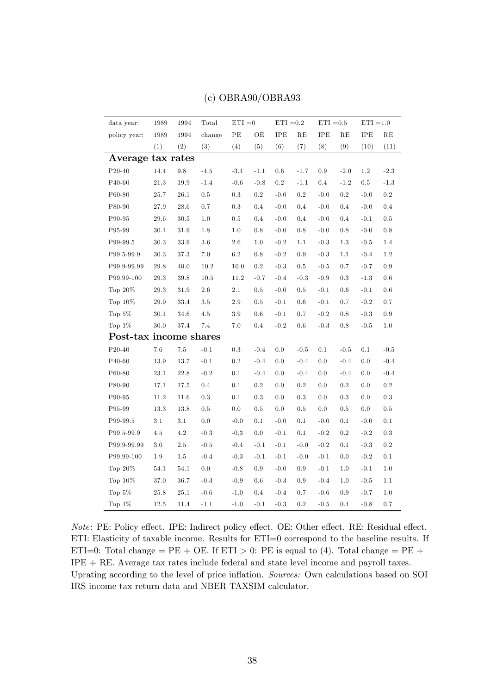| data year:             | 1989     | 1994               | Total  | $ETI = 0$ |         | $ETI = 0.2$ |               | $ETI = 0.5$ |           | $ETI = 1.0$ |           |
|------------------------|----------|--------------------|--------|-----------|---------|-------------|---------------|-------------|-----------|-------------|-----------|
| policy year:           | 1989     | 1994               | change | $\rm{PE}$ | OЕ      | IPE         | RE            | IPE         | RE        | IPE         | RE        |
|                        | (1)      | (2)                | (3)    | (4)       | (5)     | (6)         | (7)           | (8)         | (9)       | (10)        | (11)      |
| Average tax rates      |          |                    |        |           |         |             |               |             |           |             |           |
| P20-40                 | $14.4\,$ | $\boldsymbol{9.8}$ | $-4.5$ | $-3.4$    | $-1.1$  | $0.6\,$     | $\text{-}1.7$ | 0.9         | $-2.0$    | 1.2         | $-2.3$    |
| $\rm P40\text{-}60$    | $21.3\,$ | $19.9\,$           | $-1.4$ | $-0.6$    | $-0.8$  | $\rm 0.2$   | $-1.1$        | 0.4         | $-1.2$    | $0.5\,$     | $-1.3$    |
| P60-80                 | 25.7     | 26.1               | 0.5    | $\rm 0.3$ | 0.2     | $-0.0$      | 0.2           | $-0.0$      | $0.2\,$   | $-0.0$      | $\rm 0.2$ |
| P80-90                 | 27.9     | 28.6               | 0.7    | 0.3       | 0.4     | $-0.0$      | 0.4           | $-0.0$      | $0.4\,$   | $-0.0$      | 0.4       |
| P90-95                 | 29.6     | 30.5               | 1.0    | $0.5\,$   | 0.4     | $-0.0$      | 0.4           | $-0.0$      | $0.4\,$   | $-0.1$      | $0.5\,$   |
| P95-99                 | 30.1     | 31.9               | 1.8    | 1.0       | $0.8\,$ | $-0.0$      | $0.8\,$       | $-0.0$      | $0.8\,$   | $-0.0$      | $0.8\,$   |
| P99-99.5               | $30.3\,$ | 33.9               | 3.6    | 2.6       | 1.0     | $-0.2$      | 1.1           | $-0.3$      | 1.3       | $-0.5$      | 1.4       |
| P99.5-99.9             | 30.3     | 37.3               | 7.0    | $6.2\,$   | 0.8     | $-0.2$      | 0.9           | $-0.3$      | 1.1       | $-0.4$      | 1.2       |
| P99.9-99.99            | 29.8     | 40.0               | 10.2   | 10.0      | $0.2\,$ | $-0.3$      | 0.5           | $-0.5$      | 0.7       | $-0.7$      | 0.9       |
| P99.99-100             | 29.3     | $39.8\,$           | 10.5   | 11.2      | $-0.7$  | $-0.4$      | $-0.3$        | $-0.9$      | 0.3       | $-1.3$      | $0.6\,$   |
| Top $20\%$             | 29.3     | 31.9               | 2.6    | 2.1       | 0.5     | $-0.0$      | 0.5           | $-0.1$      | $0.6\,$   | $-0.1$      | $0.6\,$   |
| Top 10%                | 29.9     | 33.4               | 3.5    | 2.9       | 0.5     | $-0.1$      | 0.6           | $-0.1$      | 0.7       | $-0.2$      | 0.7       |
| Top $5\%$              | 30.1     | 34.6               | 4.5    | 3.9       | 0.6     | $-0.1$      | 0.7           | $-0.2$      | 0.8       | $-0.3$      | 0.9       |
| Top $1\%$              | 30.0     | 37.4               | 7.4    | $7.0\,$   | 0.4     | $-0.2$      | 0.6           | $-0.3$      | 0.8       | $-0.5$      | $1.0\,$   |
| Post-tax income shares |          |                    |        |           |         |             |               |             |           |             |           |
| $P20-40$               | $7.6\,$  | $7.5\,$            | $-0.1$ | 0.3       | $-0.4$  | 0.0         | $-0.5$        | 0.1         | $-0.5$    | 0.1         | $-0.5$    |
| P40-60                 | $13.9\,$ | 13.7               | $-0.1$ | $0.2\,$   | $-0.4$  | 0.0         | $-0.4$        | 0.0         | $-0.4$    | 0.0         | $-0.4$    |
| P60-80                 | $23.1\,$ | 22.8               | $-0.2$ | 0.1       | $-0.4$  | 0.0         | $-0.4$        | 0.0         | $-0.4$    | 0.0         | $-0.4$    |
| P80-90                 | 17.1     | 17.5               | 0.4    | 0.1       | 0.2     | 0.0         | $0.2\,$       | 0.0         | $0.2\,$   | 0.0         | $\rm 0.2$ |
| P90-95                 | $11.2\,$ | 11.6               | 0.3    | 0.1       | 0.3     | $0.0\,$     | 0.3           | 0.0         | 0.3       | 0.0         | $\rm 0.3$ |
| P95-99                 | 13.3     | 13.8               | 0.5    | 0.0       | 0.5     | $0.0\,$     | 0.5           | 0.0         | $0.5\,$   | 0.0         | $0.5\,$   |
| P99-99.5               | $3.1\,$  | 3.1                | 0.0    | $-0.0$    | 0.1     | $-0.0$      | 0.1           | $-0.0$      | 0.1       | $-0.0$      | $0.1\,$   |
| P99.5-99.9             | 4.5      | 4.2                | $-0.3$ | $-0.3$    | 0.0     | $-0.1$      | 0.1           | $-0.2$      | $\rm 0.2$ | $-0.2$      | $\rm 0.3$ |
| P99.9-99.99            | 3.0      | $2.5\,$            | $-0.5$ | $-0.4$    | $-0.1$  | $-0.1$      | $-0.0$        | $-0.2$      | 0.1       | $-0.3$      | $\rm 0.2$ |
| P99.99-100             | 1.9      | 1.5                | $-0.4$ | $-0.3$    | $-0.1$  | $-0.1$      | $-0.0$        | $-0.1$      | 0.0       | $-0.2$      | $0.1\,$   |
| Top $20\%$             | 54.1     | 54.1               | 0.0    | $-0.8$    | 0.9     | $-0.0$      | 0.9           | $-0.1$      | 1.0       | $-0.1$      | $1.0\,$   |
| Top $10\%$             | 37.0     | 36.7               | $-0.3$ | $-0.9$    | 0.6     | $-0.3$      | 0.9           | $-0.4$      | 1.0       | $-0.5$      | $1.1\,$   |
| Top 5%                 | 25.8     | 25.1               | $-0.6$ | $-1.0$    | 0.4     | $-0.4$      | 0.7           | $-0.6$      | 0.9       | $-0.7$      | $1.0\,$   |
| Top $1\%$              | $12.5\,$ | 11.4               | $-1.1$ | $-1.0$    | $-0.1$  | $-0.3$      | 0.2           | $-0.5$      | 0.4       | $-0.8$      | 0.7       |

#### (c) OBRA90/OBRA93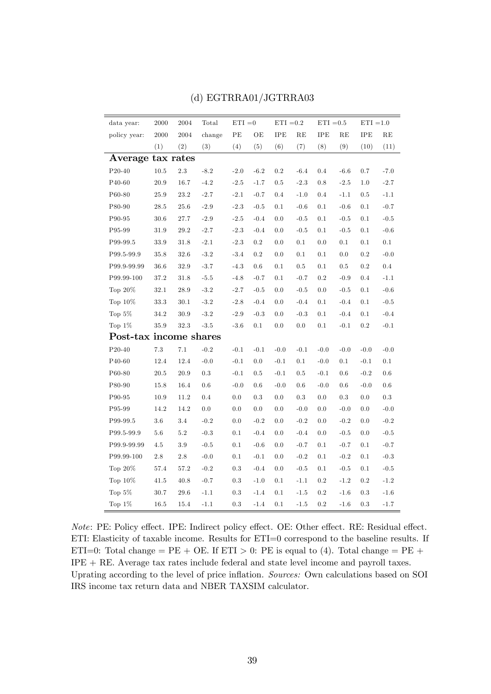| data year:             | $\,2000\,$ | 2004     | Total  | $ETI = 0$ |         | $ETI = 0.2$ |         | $ETI = 0.5$ |         | $ETI = 1.0$ |               |
|------------------------|------------|----------|--------|-----------|---------|-------------|---------|-------------|---------|-------------|---------------|
| policy year:           | 2000       | 2004     | change | PE        | OЕ      | <b>IPE</b>  | RE      | <b>IPE</b>  | RE      | IPE         | RE            |
|                        | (1)        | (2)      | (3)    | (4)       | (5)     | (6)         | (7)     | (8)         | (9)     | (10)        | (11)          |
| Average tax rates      |            |          |        |           |         |             |         |             |         |             |               |
| $P20-40$               | 10.5       | $2.3\,$  | $-8.2$ | $-2.0$    | $-6.2$  | 0.2         | $-6.4$  | 0.4         | $-6.6$  | 0.7         | $-7.0$        |
| P40-60                 | $20.9\,$   | 16.7     | $-4.2$ | $-2.5$    | $-1.7$  | 0.5         | $-2.3$  | 0.8         | $-2.5$  | 1.0         | $-2.7$        |
| P60-80                 | 25.9       | 23.2     | $-2.7$ | $-2.1$    | $-0.7$  | 0.4         | $-1.0$  | 0.4         | $-1.1$  | 0.5         | $-1.1$        |
| P80-90                 | 28.5       | 25.6     | $-2.9$ | $-2.3$    | $-0.5$  | 0.1         | $-0.6$  | 0.1         | $-0.6$  | 0.1         | $-0.7$        |
| P90-95                 | 30.6       | 27.7     | $-2.9$ | $-2.5$    | $-0.4$  | 0.0         | $-0.5$  | 0.1         | $-0.5$  | 0.1         | $-0.5$        |
| P95-99                 | 31.9       | 29.2     | $-2.7$ | $-2.3$    | $-0.4$  | 0.0         | $-0.5$  | 0.1         | $-0.5$  | 0.1         | $-0.6$        |
| P99-99.5               | 33.9       | 31.8     | $-2.1$ | $-2.3$    | 0.2     | 0.0         | 0.1     | 0.0         | 0.1     | 0.1         | $0.1\,$       |
| P99.5-99.9             | 35.8       | 32.6     | $-3.2$ | $-3.4$    | $0.2\,$ | 0.0         | 0.1     | 0.1         | 0.0     | $0.2\,$     | $-0.0$        |
| P99.9-99.99            | 36.6       | 32.9     | $-3.7$ | $-4.3$    | 0.6     | 0.1         | $0.5\,$ | 0.1         | $0.5\,$ | 0.2         | $\rm 0.4$     |
| P99.99-100             | $37.2\,$   | $31.8\,$ | $-5.5$ | $-4.8$    | $-0.7$  | 0.1         | $-0.7$  | 0.2         | $-0.9$  | 0.4         | $-1.1$        |
| Top $20\%$             | 32.1       | 28.9     | $-3.2$ | $-2.7$    | $-0.5$  | 0.0         | $-0.5$  | 0.0         | $-0.5$  | 0.1         | $\mbox{-}0.6$ |
| Top 10%                | 33.3       | 30.1     | $-3.2$ | $-2.8$    | $-0.4$  | 0.0         | $-0.4$  | 0.1         | $-0.4$  | 0.1         | $-0.5$        |
| Top $5\%$              | 34.2       | 30.9     | $-3.2$ | $-2.9$    | $-0.3$  | 0.0         | $-0.3$  | 0.1         | $-0.4$  | 0.1         | $-0.4$        |
| Top $1\%$              | 35.9       | 32.3     | $-3.5$ | $-3.6$    | 0.1     | 0.0         | $0.0\,$ | 0.1         | $-0.1$  | 0.2         | $-0.1$        |
| Post-tax income shares |            |          |        |           |         |             |         |             |         |             |               |
| $P20-40$               | $7.3\,$    | $7.1\,$  | $-0.2$ | $-0.1$    | $-0.1$  | $-0.0$      | $-0.1$  | $-0.0$      | $-0.0$  | $-0.0$      | $-0.0$        |
| P <sub>40</sub> -60    | 12.4       | 12.4     | $-0.0$ | $-0.1$    | 0.0     | $-0.1$      | 0.1     | $-0.0$      | 0.1     | $-0.1$      | $0.1\,$       |
| P60-80                 | 20.5       | 20.9     | 0.3    | $-0.1$    | 0.5     | $-0.1$      | 0.5     | $-0.1$      | 0.6     | $-0.2$      | $0.6\,$       |
| P80-90                 | 15.8       | 16.4     | 0.6    | $-0.0$    | 0.6     | $-0.0$      | 0.6     | $-0.0$      | 0.6     | $-0.0$      | $0.6\,$       |
| P90-95                 | 10.9       | 11.2     | 0.4    | 0.0       | 0.3     | 0.0         | 0.3     | 0.0         | 0.3     | 0.0         | 0.3           |
| P95-99                 | 14.2       | 14.2     | 0.0    | 0.0       | 0.0     | 0.0         | $-0.0$  | 0.0         | $-0.0$  | 0.0         | $-0.0$        |
| P99-99.5               | 3.6        | 3.4      | $-0.2$ | 0.0       | $-0.2$  | 0.0         | $-0.2$  | 0.0         | $-0.2$  | 0.0         | $-0.2$        |
| P99.5-99.9             | 5.6        | 5.2      | $-0.3$ | 0.1       | $-0.4$  | 0.0         | $-0.4$  | 0.0         | $-0.5$  | 0.0         | $-0.5$        |
| P99.9-99.99            | 4.5        | 3.9      | $-0.5$ | 0.1       | $-0.6$  | 0.0         | $-0.7$  | 0.1         | $-0.7$  | 0.1         | $-0.7$        |
| P99.99-100             | $2.8\,$    | $2.8\,$  | $-0.0$ | 0.1       | $-0.1$  | 0.0         | $-0.2$  | 0.1         | $-0.2$  | 0.1         | $-0.3$        |
| Top $20\%$             | 57.4       | 57.2     | $-0.2$ | 0.3       | $-0.4$  | 0.0         | $-0.5$  | 0.1         | $-0.5$  | 0.1         | $-0.5$        |
| Top $10\%$             | 41.5       | 40.8     | $-0.7$ | $0.3\,$   | $-1.0$  | 0.1         | $-1.1$  | 0.2         | $-1.2$  | 0.2         | $-1.2$        |
| Top $5\%$              | 30.7       | 29.6     | $-1.1$ | 0.3       | $-1.4$  | 0.1         | $-1.5$  | 0.2         | $-1.6$  | 0.3         | $-1.6$        |
| Top $1\%$              | 16.5       | 15.4     | $-1.1$ | 0.3       | $-1.4$  | 0.1         | $-1.5$  | 0.2         | $-1.6$  | 0.3         | $-1.7$        |

#### (d) EGTRRA01/JGTRRA03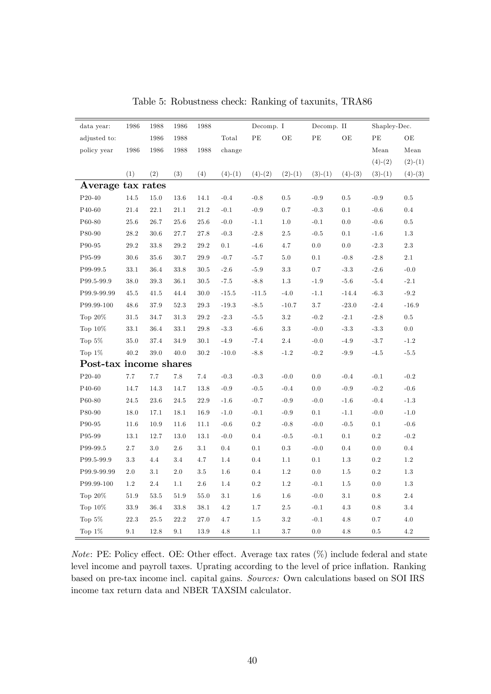| data year:             | 1986    | 1988    | 1986    | 1988    |           | Decomp. I |           | Decomp. II |           | Shapley-Dec. |           |
|------------------------|---------|---------|---------|---------|-----------|-----------|-----------|------------|-----------|--------------|-----------|
| adjusted to:           |         | 1986    | 1988    |         | Total     | $\rm{PE}$ | OE        | $\rm{PE}$  | OЕ        | PE           | OE        |
| policy year            | 1986    | 1986    | 1988    | 1988    | change    |           |           |            |           | Mean         | Mean      |
|                        |         |         |         |         |           |           |           |            |           | $(4)-(2)$    | $(2)-(1)$ |
|                        | (1)     | (2)     | (3)     | (4)     | $(4)-(1)$ | $(4)-(2)$ | $(2)-(1)$ | $(3)-(1)$  | $(4)-(3)$ | $(3)-(1)$    | $(4)-(3)$ |
| Average tax rates      |         |         |         |         |           |           |           |            |           |              |           |
| P20-40                 | 14.5    | 15.0    | 13.6    | 14.1    | $-0.4$    | $-0.8$    | 0.5       | $-0.9$     | $0.5\,$   | $-0.9$       | $0.5\,$   |
| P40-60                 | 21.4    | 22.1    | 21.1    | 21.2    | $-0.1$    | $-0.9$    | 0.7       | $-0.3$     | 0.1       | $-0.6$       | $0.4\,$   |
| P60-80                 | 25.6    | 26.7    | 25.6    | 25.6    | $-0.0$    | $-1.1$    | 1.0       | $-0.1$     | 0.0       | $-0.6$       | $0.5\,$   |
| P80-90                 | 28.2    | 30.6    | 27.7    | 27.8    | $-0.3$    | $-2.8$    | $2.5\,$   | $-0.5$     | 0.1       | $-1.6$       | 1.3       |
| P90-95                 | 29.2    | 33.8    | 29.2    | 29.2    | 0.1       | $-4.6$    | 4.7       | $0.0\,$    | 0.0       | $-2.3$       | $2.3\,$   |
| P95-99                 | 30.6    | 35.6    | 30.7    | 29.9    | $-0.7$    | $-5.7$    | 5.0       | 0.1        | $-0.8$    | $-2.8$       | 2.1       |
| P99-99.5               | 33.1    | 36.4    | 33.8    | 30.5    | $-2.6$    | $-5.9$    | 3.3       | 0.7        | $-3.3$    | $-2.6$       | $-0.0$    |
| P99.5-99.9             | 38.0    | 39.3    | 36.1    | 30.5    | $-7.5$    | $-8.8$    | 1.3       | $-1.9$     | $-5.6$    | $-5.4$       | $-2.1$    |
| P99.9-99.99            | 45.5    | 41.5    | 44.4    | 30.0    | $-15.5$   | $-11.5$   | $-4.0$    | $-1.1$     | $-14.4$   | $-6.3$       | $-9.2$    |
| P99.99-100             | 48.6    | 37.9    | 52.3    | 29.3    | $-19.3$   | $-8.5$    | $-10.7$   | 3.7        | $-23.0$   | $-2.4$       | $-16.9$   |
| Top $20\%$             | 31.5    | 34.7    | 31.3    | 29.2    | $-2.3$    | $-5.5$    | 3.2       | $-0.2$     | $-2.1$    | $-2.8$       | $0.5\,$   |
| Top $10\%$             | 33.1    | 36.4    | 33.1    | 29.8    | $-3.3$    | $-6.6$    | $3.3\,$   | $-0.0$     | $-3.3$    | $-3.3$       | 0.0       |
| Top $5\%$              | 35.0    | 37.4    | 34.9    | 30.1    | $-4.9$    | $-7.4$    | 2.4       | $-0.0$     | $-4.9$    | $-3.7$       | $-1.2$    |
| Top $1\%$              | 40.2    | 39.0    | 40.0    | 30.2    | $-10.0$   | $-8.8$    | $-1.2$    | $-0.2$     | $-9.9$    | $-4.5$       | $-5.5$    |
| Post-tax income shares |         |         |         |         |           |           |           |            |           |              |           |
| $\rm P20\text{-}40$    | 7.7     | 7.7     | 7.8     | 7.4     | $-0.3$    | $-0.3$    | $-0.0$    | 0.0        | $-0.4$    | $-0.1$       | $-0.2$    |
| P40-60                 | 14.7    | 14.3    | 14.7    | 13.8    | $-0.9$    | $-0.5$    | $-0.4$    | 0.0        | $-0.9$    | $-0.2$       | $-0.6$    |
| P60-80                 | 24.5    | 23.6    | 24.5    | 22.9    | $-1.6$    | $-0.7$    | $-0.9$    | $-0.0$     | $-1.6$    | $-0.4$       | $-1.3$    |
| P80-90                 | 18.0    | 17.1    | 18.1    | 16.9    | $-1.0$    | $-0.1$    | $-0.9$    | 0.1        | $-1.1$    | $-0.0$       | $-1.0$    |
| P90-95                 | 11.6    | 10.9    | 11.6    | 11.1    | $-0.6$    | $0.2\,$   | $-0.8$    | $-0.0$     | $-0.5$    | 0.1          | $-0.6$    |
| P95-99                 | 13.1    | 12.7    | 13.0    | 13.1    | $-0.0$    | 0.4       | $-0.5$    | $-0.1$     | 0.1       | $\rm 0.2$    | $-0.2$    |
| P99-99.5               | 2.7     | $3.0\,$ | 2.6     | 3.1     | 0.4       | 0.1       | $\rm 0.3$ | $-0.0$     | 0.4       | 0.0          | $0.4\,$   |
| P99.5-99.9             | 3.3     | 4.4     | 3.4     | 4.7     | 1.4       | 0.4       | 1.1       | $0.1\,$    | $1.3\,$   | $\rm 0.2$    | 1.2       |
| P99.9-99.99            | $2.0\,$ | 3.1     | $2.0\,$ | $3.5\,$ | 1.6       | 0.4       | 1.2       | 0.0        | $1.5\,$   | $0.2\,$      | 1.3       |
| P99.99-100             | 1.2     | 2.4     | 1.1     | 2.6     | 1.4       | $\rm 0.2$ | 1.2       | $-0.1$     | 1.5       | 0.0          | $1.3\,$   |
| Top $20\%$             | 51.9    | 53.5    | 51.9    | 55.0    | $3.1\,$   | 1.6       | $1.6\,$   | $-0.0$     | 3.1       | 0.8          | 2.4       |
| Top $10\%$             | 33.9    | 36.4    | 33.8    | 38.1    | 4.2       | 1.7       | $2.5\,$   | $-0.1$     | 4.3       | 0.8          | 3.4       |
| Top $5\%$              | 22.3    | 25.5    | 22.2    | 27.0    | $4.7\,$   | 1.5       | $3.2\,$   | $-0.1$     | 4.8       | 0.7          | 4.0       |
| Top $1\%$              | 9.1     | 12.8    | 9.1     | 13.9    | 4.8       | 1.1       | 3.7       | $0.0\,$    | 4.8       | 0.5          | 4.2       |

Table 5: Robustness check: Ranking of taxunits, TRA86

Note: PE: Policy effect. OE: Other effect. Average tax rates  $(\%)$  include federal and state level income and payroll taxes. Uprating according to the level of price inflation. Ranking based on pre-tax income incl. capital gains. Sources: Own calculations based on SOI IRS income tax return data and NBER TAXSIM calculator.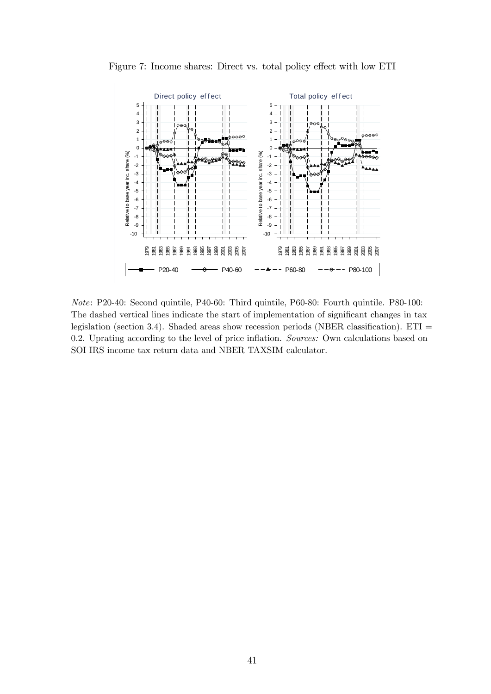



Note: P20-40: Second quintile, P40-60: Third quintile, P60-80: Fourth quintile. P80-100: The dashed vertical lines indicate the start of implementation of significant changes in tax legislation (section 3.4). Shaded areas show recession periods (NBER classification).  $ETI =$ 0.2. Uprating according to the level of price inflation. Sources: Own calculations based on SOI IRS income tax return data and NBER TAXSIM calculator.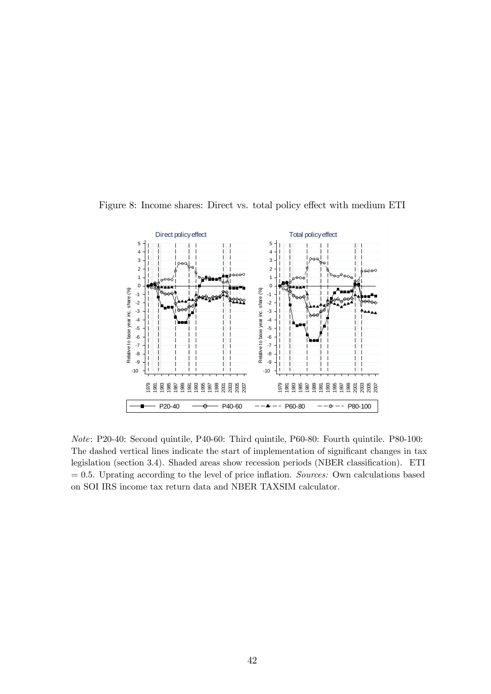

Figure 8: Income shares: Direct vs. total policy effect with medium ETI

Note: P20-40: Second quintile, P40-60: Third quintile, P60-80: Fourth quintile. P80-100: The dashed vertical lines indicate the start of implementation of significant changes in tax legislation (section 3.4). Shaded areas show recession periods (NBER classification). ETI  $= 0.5$ . Uprating according to the level of price inflation. Sources: Own calculations based on SOI IRS income tax return data and NBER TAXSIM calculator.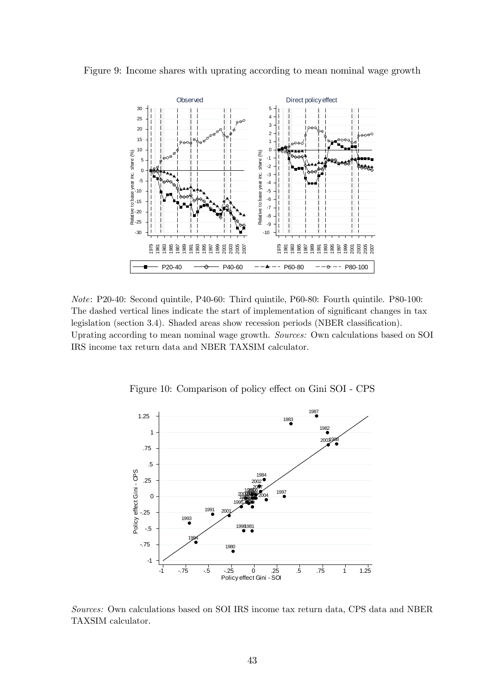



Note: P20-40: Second quintile, P40-60: Third quintile, P60-80: Fourth quintile. P80-100: The dashed vertical lines indicate the start of implementation of significant changes in tax legislation (section 3.4). Shaded areas show recession periods (NBER classification). Uprating according to mean nominal wage growth. Sources: Own calculations based on SOI IRS income tax return data and NBER TAXSIM calculator.



Figure 10: Comparison of policy effect on Gini SOI - CPS

Sources: Own calculations based on SOI IRS income tax return data, CPS data and NBER TAXSIM calculator.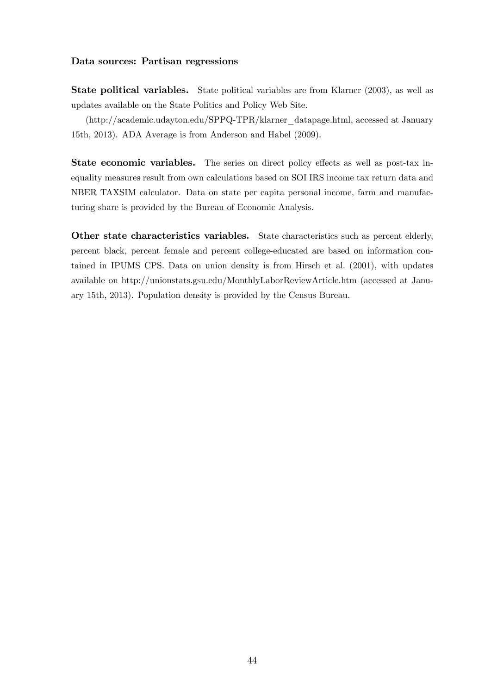#### Data sources: Partisan regressions

State political variables. State political variables are from Klarner (2003), as well as updates available on the State Politics and Policy Web Site.

(http://academic.udayton.edu/SPPQ-TPR/klarner\_datapage.html, accessed at January 15th, 2013). ADA Average is from Anderson and Habel (2009).

**State economic variables.** The series on direct policy effects as well as post-tax inequality measures result from own calculations based on SOI IRS income tax return data and NBER TAXSIM calculator. Data on state per capita personal income, farm and manufacturing share is provided by the Bureau of Economic Analysis.

Other state characteristics variables. State characteristics such as percent elderly, percent black, percent female and percent college-educated are based on information contained in IPUMS CPS. Data on union density is from Hirsch et al. (2001), with updates available on http://unionstats.gsu.edu/MonthlyLaborReviewArticle.htm (accessed at January 15th, 2013). Population density is provided by the Census Bureau.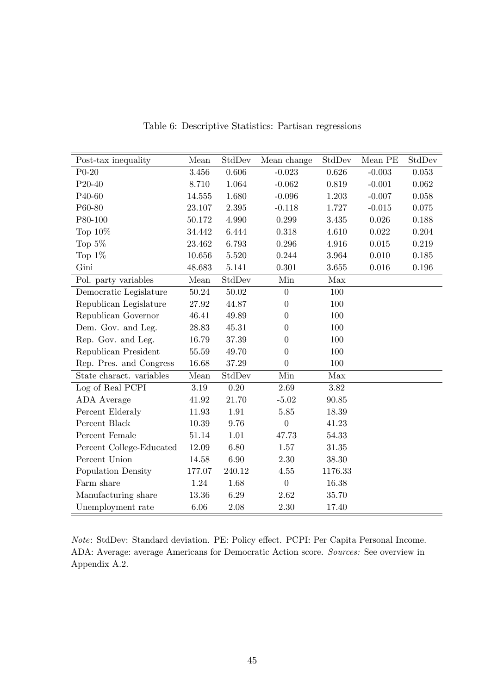| Post-tax inequality      | Mean   | StdDev    | Mean change      | StdDev  | Mean PE   | StdDev |
|--------------------------|--------|-----------|------------------|---------|-----------|--------|
| $P0-20$                  | 3.456  | 0.606     | $-0.023$         | 0.626   | $-0.003$  | 0.053  |
| P20-40                   | 8.710  | 1.064     | $-0.062$         | 0.819   | $-0.001$  | 0.062  |
| P40-60                   | 14.555 | 1.680     | $-0.096$         | 1.203   | $-0.007$  | 0.058  |
| P60-80                   | 23.107 | $2.395\,$ | $-0.118$         | 1.727   | $-0.015$  | 0.075  |
| P80-100                  | 50.172 | 4.990     | 0.299            | 3.435   | 0.026     | 0.188  |
| Top $10\%$               | 34.442 | 6.444     | 0.318            | 4.610   | 0.022     | 0.204  |
| Top $5\%$                | 23.462 | 6.793     | 0.296            | 4.916   | 0.015     | 0.219  |
| Top $1\%$                | 10.656 | $5.520\,$ | 0.244            | 3.964   | 0.010     | 0.185  |
| Gini                     | 48.683 | 5.141     | 0.301            | 3.655   | $0.016\,$ | 0.196  |
| Pol. party variables     | Mean   | StdDev    | Min              | Max     |           |        |
| Democratic Legislature   | 50.24  | 50.02     | $\overline{0}$   | 100     |           |        |
| Republican Legislature   | 27.92  | 44.87     | $\boldsymbol{0}$ | 100     |           |        |
| Republican Governor      | 46.41  | 49.89     | $\overline{0}$   | 100     |           |        |
| Dem. Gov. and Leg.       | 28.83  | 45.31     | $\overline{0}$   | 100     |           |        |
| Rep. Gov. and Leg.       | 16.79  | 37.39     | $\overline{0}$   | 100     |           |        |
| Republican President     | 55.59  | 49.70     | $\overline{0}$   | 100     |           |        |
| Rep. Pres. and Congress  | 16.68  | 37.29     | $\overline{0}$   | 100     |           |        |
| State charact. variables | Mean   | StdDev    | Min              | Max     |           |        |
| Log of Real PCPI         | 3.19   | 0.20      | 2.69             | 3.82    |           |        |
| ADA Average              | 41.92  | 21.70     | $-5.02$          | 90.85   |           |        |
| Percent Elderaly         | 11.93  | 1.91      | 5.85             | 18.39   |           |        |
| Percent Black            | 10.39  | 9.76      | $\overline{0}$   | 41.23   |           |        |
| Percent Female           | 51.14  | 1.01      | 47.73            | 54.33   |           |        |
| Percent College-Educated | 12.09  | 6.80      | 1.57             | 31.35   |           |        |
| Percent Union            | 14.58  | 6.90      | 2.30             | 38.30   |           |        |
| Population Density       | 177.07 | 240.12    | $4.55\,$         | 1176.33 |           |        |
| Farm share               | 1.24   | 1.68      | $\boldsymbol{0}$ | 16.38   |           |        |
| Manufacturing share      | 13.36  | 6.29      | 2.62             | 35.70   |           |        |
| Unemployment rate        | 6.06   | 2.08      | 2.30             | 17.40   |           |        |

Table 6: Descriptive Statistics: Partisan regressions

Note: StdDev: Standard deviation. PE: Policy effect. PCPI: Per Capita Personal Income. ADA: Average: average Americans for Democratic Action score. Sources: See overview in Appendix A.2.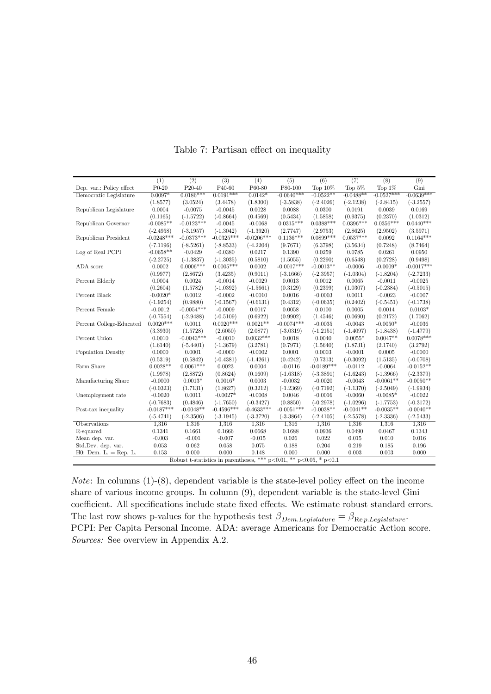|                          | (1)          | (2)                                                                        | (3)          | (4)          | (5)          | (6)          | (7)         | (8)          | (9)          |
|--------------------------|--------------|----------------------------------------------------------------------------|--------------|--------------|--------------|--------------|-------------|--------------|--------------|
| Dep. var.: Policy effect | $P0-20$      | P <sub>20</sub> -40                                                        | P40-60       | P60-80       | P80-100      | Top $10\%$   | Top $5\%$   | Top $1\%$    | Gini         |
| Democratic Legislature   | $0.0097*$    | $0.0186***$                                                                | $0.0191***$  | $0.0142*$    | $-0.0640***$ | $-0.0522**$  | $-0.0488**$ | $-0.0527***$ | $-0.0639***$ |
|                          | (1.8577)     | (3.0524)                                                                   | (3.4478)     | (1.8300)     | $(-3.5838)$  | $(-2.4026)$  | $(-2.1238)$ | $(-2.8415)$  | $(-3.2557)$  |
| Republican Legislature   | 0.0004       | $-0.0075$                                                                  | $-0.0045$    | 0.0028       | 0.0088       | 0.0300       | 0.0191      | 0.0039       | 0.0169       |
|                          | (0.1165)     | $(-1.5722)$                                                                | $(-0.8664)$  | (0.4569)     | (0.5434)     | (1.5858)     | (0.9375)    | (0.2370)     | (1.0312)     |
| Republican Governor      | $-0.0085**$  | $-0.0123***$                                                               | $-0.0045$    | $-0.0068$    | $0.0315***$  | $0.0388***$  | $0.0396***$ | $0.0356***$  | $0.0440***$  |
|                          | $(-2.4958)$  | $(-3.1957)$                                                                | $(-1.3042)$  | $(-1.3920)$  | (2.7747)     | (2.9753)     | (2.8625)    | (2.9502)     | (3.5971)     |
| Republican President     | $-0.0248***$ | $-0.0373***$                                                               | $-0.0325***$ | $-0.0206***$ | $0.1136***$  | $0.0899***$  | $0.0537***$ | 0.0092       | $0.1164***$  |
|                          | $(-7.1196)$  | $(-8.5261)$                                                                | $(-8.8533)$  | $(-4.2204)$  | (9.7671)     | (6.3798)     | (3.5634)    | (0.7248)     | (8.7464)     |
| Log of Real PCPI         | $-0.0658**$  | $-0.0429$                                                                  | $-0.0380$    | 0.0217       | 0.1390       | 0.0259       | 0.0785      | 0.0261       | 0.0950       |
|                          | $(-2.2725)$  | $(-1.3837)$                                                                | $(-1.3035)$  | (0.5810)     | (1.5055)     | (0.2290)     | (0.6548)    | (0.2728)     | (0.9498)     |
| ADA score                | 0.0002       | $0.0006***$                                                                | $0.0005***$  | 0.0002       | $-0.0017***$ | $-0.0013**$  | $-0.0006$   | $-0.0009*$   | $-0.0017***$ |
|                          | (0.9977)     | (2.8672)                                                                   | (3.4235)     | (0.9011)     | $(-3.1666)$  | $(-2.3957)$  | $(-1.0304)$ | $(-1.8204)$  | $(-2.7233)$  |
| Percent Elderly          | 0.0004       | 0.0024                                                                     | $-0.0014$    | $-0.0029$    | 0.0013       | 0.0012       | 0.0065      | $-0.0011$    | $-0.0025$    |
|                          | (0.2604)     | (1.5782)                                                                   | $(-1.0392)$  | $(-1.5661)$  | (0.3129)     | (0.2399)     | (1.0307)    | $(-0.2384)$  | $(-0.5015)$  |
| Percent Black            | $-0.0020*$   | 0.0012                                                                     | $-0.0002$    | $-0.0010$    | 0.0016       | $-0.0003$    | 0.0011      | $-0.0023$    | $-0.0007$    |
|                          | $(-1.9254)$  | (0.9880)                                                                   | $(-0.1567)$  | $(-0.6131)$  | (0.4312)     | $(-0.0635)$  | (0.2402)    | $(-0.5451)$  | $(-0.1738)$  |
| Percent Female           | $-0.0012$    | $-0.0054***$                                                               | $-0.0009$    | 0.0017       | 0.0058       | 0.0100       | 0.0005      | 0.0014       | $0.0103*$    |
|                          | $(-0.7554)$  | $(-2.9488)$                                                                | $(-0.5109)$  | (0.6922)     | (0.9902)     | (1.4546)     | (0.0690)    | (0.2172)     | (1.7062)     |
| Percent College-Educated | $0.0020***$  | 0.0011                                                                     | $0.0020***$  | $0.0021**$   | $-0.0074***$ | $-0.0035$    | $-0.0043$   | $-0.0050*$   | $-0.0036$    |
|                          | (3.3930)     | (1.5728)                                                                   | (2.6050)     | (2.0877)     | $(-3.0319)$  | $(-1.2151)$  | $(-1.4097)$ | $(-1.8438)$  | $(-1.4779)$  |
| Percent Union            | 0.0010       | $-0.0043***$                                                               | $-0.0010$    | $0.0032***$  | 0.0018       | 0.0040       | $0.0055*$   | $0.0047**$   | $0.0078***$  |
|                          | (1.6140)     | $(-5.4401)$                                                                | $(-1.3679)$  | (3.2781)     | (0.7971)     | (1.5640)     | (1.8731)    | (2.1740)     | (3.2792)     |
| Population Density       | 0.0000       | 0.0001                                                                     | $-0.0000$    | $-0.0002$    | 0.0001       | 0.0003       | $-0.0001$   | 0.0005       | $-0.0000$    |
|                          | (0.5319)     | (0.5842)                                                                   | $(-0.4381)$  | $(-1.4261)$  | (0.4242)     | (0.7313)     | $(-0.3092)$ | (1.5135)     | $(-0.0708)$  |
| Farm Share               | $0.0028**$   | $0.0061***$                                                                | 0.0023       | 0.0004       | $-0.0116$    | $-0.0189***$ | $-0.0112$   | $-0.0064$    | $-0.0152**$  |
|                          | (1.9978)     | (2.8872)                                                                   | (0.8624)     | (0.1609)     | $(-1.6318)$  | $(-3.3891)$  | $(-1.6243)$ | $(-1.3966)$  | $(-2.3379)$  |
| Manufacturing Share      | $-0.0000$    | $0.0013*$                                                                  | $0.0016*$    | 0.0003       | $-0.0032$    | $-0.0020$    | $-0.0043$   | $-0.0061**$  | $-0.0050**$  |
|                          | $(-0.0323)$  | (1.7131)                                                                   | (1.8627)     | (0.3212)     | $(-1.2369)$  | $(-0.7192)$  | $(-1.1370)$ | $(-2.5049)$  | $(-1.9934)$  |
| Unemployment rate        | $-0.0020$    | 0.0011                                                                     | $-0.0027*$   | $-0.0008$    | 0.0046       | $-0.0016$    | $-0.0060$   | $-0.0085*$   | $-0.0022$    |
|                          | $(-0.7683)$  | (0.4846)                                                                   | $(-1.7650)$  | $(-0.3427)$  | (0.8850)     | $(-0.2978)$  | $(-1.0296)$ | $(-1.7753)$  | $(-0.3172)$  |
| Post-tax inequality      | $-0.0187***$ | $-0.0048**$                                                                | $-0.4596***$ | $-0.4633***$ | $-0.0051***$ | $-0.0038**$  | $-0.0041**$ | $-0.0035**$  | $-0.0040**$  |
|                          | $(-5.4741)$  | $(-2.3506)$                                                                | $(-3.1945)$  | $(-3.3720)$  | $(-3.3864)$  | $(-2.4105)$  | $(-2.5578)$ | $(-2.3336)$  | $(-2.5433)$  |
| Observations             | 1,316        | 1,316                                                                      | 1,316        | 1,316        | 1,316        | 1,316        | 1,316       | 1,316        | 1,316        |
| R-squared                | 0.1341       | 0.1661                                                                     | 0.1666       | 0.0668       | 0.1688       | 0.0936       | 0.0490      | 0.0467       | 0.1343       |
| Mean dep. var.           | $-0.003$     | $-0.001$                                                                   | $-0.007$     | $-0.015$     | 0.026        | 0.022        | 0.015       | 0.010        | 0.016        |
| Std.Dev. dep. var.       | 0.053        | 0.062                                                                      | 0.058        | 0.075        | 0.188        | 0.204        | 0.219       | 0.185        | 0.196        |
| $H0:$ Dem. $L = Rep. L.$ | 0.153        | 0.000                                                                      | 0.000        | 0.148        | 0.000        | 0.000        | 0.003       | 0.003        | 0.000        |
|                          |              | Robust t-statistics in parentheses, *** $p<0.01$ , ** $p<0.05$ , * $p<0.1$ |              |              |              |              |             |              |              |

Table 7: Partisan effect on inequality

*Note*: In columns  $(1)-(8)$ , dependent variable is the state-level policy effect on the income share of various income groups. In column (9), dependent variable is the state-level Gini  ${\rm coefficient}.$  All specifications include state fixed effects. We estimate robust standard errors. The last row shows p-values for the hypothesis test  $\beta_{Dem.Legislature} = \beta_{\text{Re }p.Legislature}$ . PCPI: Per Capita Personal Income. ADA: average Americans for Democratic Action score. Sources: See overview in Appendix A.2.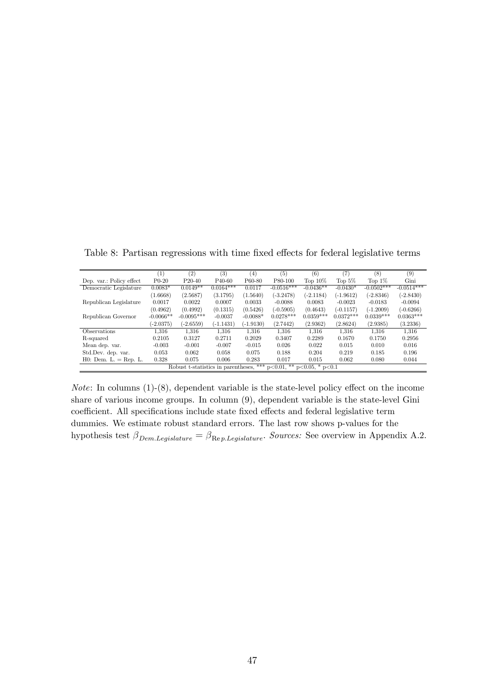|                          | (1)         | $\left( 2\right)$                   | $^{(3)}$            | (4)         | (5)                                | (6)         | (7)         | (8)          | $^{(9)}$     |
|--------------------------|-------------|-------------------------------------|---------------------|-------------|------------------------------------|-------------|-------------|--------------|--------------|
| Dep. var.: Policy effect | $P0-20$     | $P20-40$                            | P <sub>40</sub> -60 | P60-80      | P80-100                            | Top $10\%$  | Top $5\%$   | Top $1\%$    | Gini         |
| Democratic Legislature   | $0.0083*$   | $0.0149**$                          | $0.0164***$         | 0.0117      | $-0.0516***$                       | $-0.0436**$ | $-0.0430*$  | $-0.0502***$ | $-0.0514***$ |
|                          | (1.6668)    | (2.5687)                            | (3.1795)            | (1.5640)    | $(-3.2478)$                        | $(-2.1184)$ | $(-1.9612)$ | $(-2.8346)$  | $(-2.8430)$  |
| Republican Legislature   | 0.0017      | 0.0022                              | 0.0007              | 0.0033      | $-0.0088$                          | 0.0083      | $-0.0023$   | $-0.0183$    | $-0.0094$    |
|                          | (0.4962)    | (0.4992)                            | (0.1315)            | (0.5426)    | $(-0.5905)$                        | (0.4643)    | $(-0.1157)$ | $(-1.2009)$  | $(-0.6266)$  |
| Republican Governor      | $-0.0066**$ | $-0.0095***$                        | $-0.0037$           | $-0.0088*$  | $0.0278***$                        | $0.0359***$ | $0.0372***$ | $0.0339***$  | $0.0363***$  |
|                          | $(-2.0375)$ | $(-2.6559)$                         | (-1.1431)           | $(-1.9130)$ | (2.7442)                           | (2.9362)    | (2.8624)    | (2.9385)     | (3.2336)     |
| <b>Observations</b>      | 1.316       | 1.316                               | 1.316               | 1.316       | 1.316                              | 1.316       | 1.316       | 1.316        | 1.316        |
| R-squared                | 0.2105      | 0.3127                              | 0.2711              | 0.2029      | 0.3407                             | 0.2289      | 0.1670      | 0.1750       | 0.2956       |
| Mean dep. var.           | $-0.003$    | $-0.001$                            | $-0.007$            | $-0.015$    | 0.026                              | 0.022       | 0.015       | 0.010        | 0.016        |
| Std.Dev. dep. var.       | 0.053       | 0.062                               | 0.058               | 0.075       | 0.188                              | 0.204       | 0.219       | 0.185        | 0.196        |
| $H0:$ Dem. L. = Rep. L.  | 0.328       | 0.075                               | 0.006               | 0.283       | 0.017                              | 0.015       | 0.062       | 0.080        | 0.044        |
|                          |             | Robust t-statistics in parentheses, |                     | ***         | $p<0.01$ , ** $p<0.05$ , * $p<0.1$ |             |             |              |              |

Table 8: Partisan regressions with time fixed effects for federal legislative terms

*Note*: In columns  $(1)-(8)$ , dependent variable is the state-level policy effect on the income share of various income groups. In column (9), dependent variable is the state-level Gini  $\,$  coefficient. All specifications include state fixed effects and federal legislative term dummies. We estimate robust standard errors. The last row shows p-values for the hypothesis test  $\beta_{Dem.Legislature} = \beta_{Rep.Legislature}$ . Sources: See overview in Appendix A.2.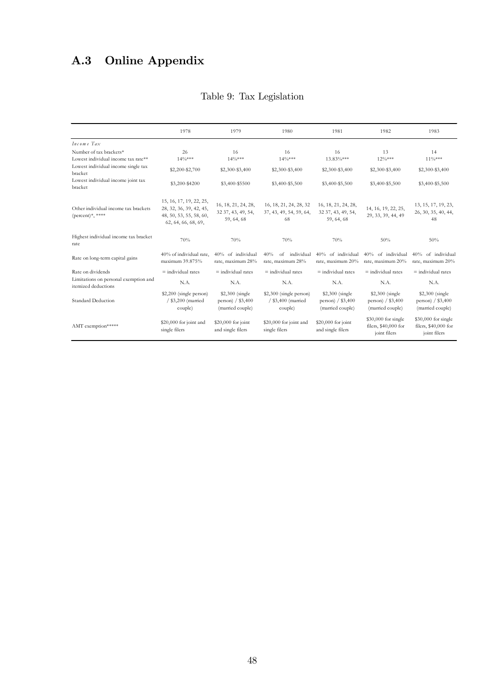# A.3 Online Appendix

|                                                                | 1978                                                                                                 | 1979                                                      | 1980                                                     | 1981                                                     | 1982                                                         | 1983                                                         |
|----------------------------------------------------------------|------------------------------------------------------------------------------------------------------|-----------------------------------------------------------|----------------------------------------------------------|----------------------------------------------------------|--------------------------------------------------------------|--------------------------------------------------------------|
| Income Tax                                                     |                                                                                                      |                                                           |                                                          |                                                          |                                                              |                                                              |
| Number of tax brackets*<br>Lowest individual income tax rate** | 26<br>$14\%***$                                                                                      | 16<br>$14\%***$                                           | 16<br>$14\frac{0}{8}$ ***                                | 16<br>$13.83\%***$                                       | 13<br>$12\%***$                                              | 14<br>11%***                                                 |
| Lowest individual income single tax<br>bracket                 | \$2,200-\$2,700                                                                                      | \$2,300-\$3,400                                           | \$2,300-\$3,400                                          | \$2,300-\$3,400                                          | \$2,300-\$3,400                                              | \$2,300-\$3,400                                              |
| Lowest individual income joint tax<br>bracket                  | \$3,200-\$4200                                                                                       | \$3,400-\$5500                                            | \$3,400-\$5,500                                          | \$3,400-\$5,500                                          | \$3,400-\$5,500                                              | \$3,400-\$5,500                                              |
| Other individual income tax brackets<br>(percent)*, ****       | 15, 16, 17, 19, 22, 25,<br>28, 32, 36, 39, 42, 45,<br>48, 50, 53, 55, 58, 60,<br>62, 64, 66, 68, 69, | 16, 18, 21, 24, 28,<br>32 37, 43, 49, 54,<br>59, 64, 68   | 16, 18, 21, 24, 28, 32<br>37, 43, 49, 54, 59, 64,<br>68  | 16, 18, 21, 24, 28,<br>32 37, 43, 49, 54,<br>59.64.68    | 14, 16, 19, 22, 25,<br>29, 33, 39, 44, 49                    | 13, 15, 17, 19, 23,<br>26, 30, 35, 40, 44,<br>48             |
| Highest individual income tax bracket<br>rate                  | 70%                                                                                                  | 70%                                                       | 70%                                                      | 70%                                                      | 50%                                                          | 50%                                                          |
| Rate on long-term capital gains                                | 40% of individual rate.<br>maximum 39.875%                                                           | 40% of individual<br>rate, maximum 28%                    | individual<br>40%<br>of<br>rate, maximum 28%             | 40% of individual<br>rate, maximum 20%                   | 40% of individual<br>rate, maximum 20%                       | 40% of individual<br>rate, maximum 20%                       |
| Rate on dividends                                              | $=$ individual rates                                                                                 | $\equiv$ individual rates                                 | $=$ individual rates                                     | $\equiv$ individual rates                                | $=$ individual rates                                         | $=$ individual rates                                         |
| Limitations on personal exemption and<br>itemized deductions   | N.A.                                                                                                 | N.A.                                                      | N.A.                                                     | N.A.                                                     | N.A.                                                         | N.A.                                                         |
| <b>Standard Deduction</b>                                      | \$2,200 (single person)<br>/ \$3,200 (married<br>couple)                                             | \$2,300 (single)<br>person) / \$3,400<br>(married couple) | \$2,300 (single person)<br>/ \$3,400 (married<br>couple) | \$2,300 (single<br>person) / \$3,400<br>(married couple) | \$2,300 (single<br>person) / \$3,400<br>(married couple)     | \$2,300 (single)<br>person) / \$3,400<br>(married couple)    |
| AMT exemption*****                                             | \$20,000 for joint and<br>single filers                                                              | $$20,000$ for joint<br>and single filers                  | \$20,000 for joint and<br>single filers                  | \$20,000 for joint<br>and single filers                  | $$30,000$ for single<br>filers, \$40,000 for<br>joint filers | $$30,000$ for single<br>filers, \$40,000 for<br>joint filers |

### Table 9: Tax Legislation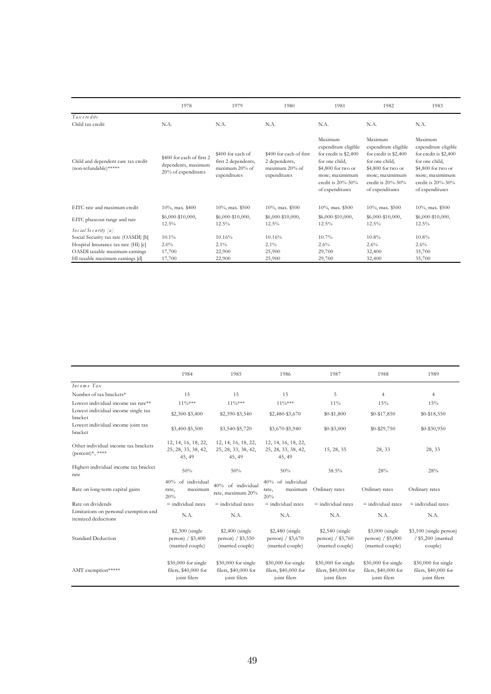|                                                              | 1978                                                                    | 1979                                                                       | 1980                                                                       | 1981                                                                                                                                                              | 1982                                                                                                                                                              | 1983                                                                                                                                                              |
|--------------------------------------------------------------|-------------------------------------------------------------------------|----------------------------------------------------------------------------|----------------------------------------------------------------------------|-------------------------------------------------------------------------------------------------------------------------------------------------------------------|-------------------------------------------------------------------------------------------------------------------------------------------------------------------|-------------------------------------------------------------------------------------------------------------------------------------------------------------------|
| Tax credits<br>Child tax credit                              | N.A.                                                                    | N.A.                                                                       | N.A.                                                                       | N.A.                                                                                                                                                              | N.A.                                                                                                                                                              | N.A.                                                                                                                                                              |
| Child and dependent care tax credit<br>(non-refundable)***** | \$400 for each of first 2<br>dependents, maximum<br>20% of expenditures | \$400 for each of<br>first 2 dependents,<br>maximum 20% of<br>expenditures | \$400 for each of first<br>2 dependents,<br>maximum 20% of<br>expenditures | Maximum<br>expenditure eligible<br>for credit is \$2,400<br>for one child,<br>\$4,800 for two or<br>more; maximimum<br>credit is $20\% - 30\%$<br>of expenditures | Maximum<br>expenditure eligible<br>for credit is \$2,400<br>for one child,<br>\$4,800 for two or<br>more; maximimum<br>credit is $20\% - 30\%$<br>of expenditures | Maximum<br>expenditure eligible<br>for credit is \$2,400<br>for one child,<br>\$4,800 for two or<br>more; maximimum<br>credit is $20\% - 30\%$<br>of expenditures |
| EITC rate and maximum credit                                 | $10\%$ , max. \$400                                                     | $10\%$ , max. \$500                                                        | $10\%$ , max. \$500                                                        | $10\%$ , max. \$500                                                                                                                                               | $10\%$ , max. \$500                                                                                                                                               | $10\%$ , max. \$500                                                                                                                                               |
| EITC phaseout range and rate                                 | \$6,000-\$10,000,<br>12.5%                                              | \$6,000-\$10,000,<br>12.5%                                                 | \$6,000-\$10,000,<br>$12.5\%$                                              | \$6,000-\$10,000,<br>12.5%                                                                                                                                        | $$6,000-$10,000,$<br>$12.5\%$                                                                                                                                     | \$6,000-\$10,000,<br>$12.5\%$                                                                                                                                     |
| Social Security [a]                                          |                                                                         |                                                                            |                                                                            |                                                                                                                                                                   |                                                                                                                                                                   |                                                                                                                                                                   |
| Social Security tax rate (OASDI) [b]                         | $10.1\%$                                                                | 10.16%                                                                     | 10.16%                                                                     | 10.7%                                                                                                                                                             | 10.8%                                                                                                                                                             | 10.8%                                                                                                                                                             |
| Hospital Insurance tax rate (HI) [c]                         | $2.0\%$                                                                 | $2.1\%$                                                                    | $2.1\%$                                                                    | $2.6\%$                                                                                                                                                           | 2.6%                                                                                                                                                              | $2.6\%$                                                                                                                                                           |
| OASDI taxable maximum earnings                               | 17,700                                                                  | 22,900                                                                     | 25,900                                                                     | 29,700                                                                                                                                                            | 32,400                                                                                                                                                            | 35,700                                                                                                                                                            |
| HI taxable maximum earnings [d]                              | 17,700                                                                  | 22,900                                                                     | 25,900                                                                     | 29,700                                                                                                                                                            | 32,400                                                                                                                                                            | 35,700                                                                                                                                                            |

|                                                                    | 1984                                                        | 1985                                                         | 1986                                                        | 1987                                                         | 1988                                                         | 1989                                                        |
|--------------------------------------------------------------------|-------------------------------------------------------------|--------------------------------------------------------------|-------------------------------------------------------------|--------------------------------------------------------------|--------------------------------------------------------------|-------------------------------------------------------------|
| Income Tax                                                         |                                                             |                                                              |                                                             |                                                              |                                                              |                                                             |
| Number of tax brackets*                                            | 15                                                          | 15                                                           | 15                                                          | 5                                                            | $\overline{4}$                                               | $\overline{4}$                                              |
| Lowest individual income tax rate**                                | $11\frac{0}{8}$ ***                                         | $11\%***$                                                    | $11\%***$                                                   | $11\%$                                                       | 15%                                                          | 15%                                                         |
| Lowest individual income single tax<br>bracket                     | \$2,300-\$3,400                                             | \$2,390-\$3,540                                              | \$2,480-\$3,670                                             | $$0 - $1,800$                                                | \$0-\$17,850                                                 | \$0-\$18,550                                                |
| Lowest individual income joint tax<br>bracket                      | \$3,400-\$5,500                                             | \$3,540-\$5,720                                              | \$3,670-\$5,940                                             | $$0 - $3,000$                                                | \$0-\$29,750                                                 | $$0 - $30,950$                                              |
| Other individual income tax brackets<br>$(\text{percent})^*,$ **** | 12, 14, 16, 18, 22,                                         | 12, 14, 16, 18, 22,                                          | 12, 14, 16, 18, 22,                                         |                                                              |                                                              |                                                             |
|                                                                    | 25, 28, 33, 38, 42,                                         | 25, 28, 33, 38, 42,                                          | 25, 28, 33, 38, 42,                                         | 15, 28, 35                                                   | 28, 33                                                       | 28, 33                                                      |
|                                                                    | 45, 49                                                      | 45, 49                                                       | 45, 49                                                      |                                                              |                                                              |                                                             |
| Highest individual income tax bracket<br>rate                      | 50%                                                         | 50%                                                          | 50%                                                         | 38.5%                                                        | 28%                                                          | 28%                                                         |
| Rate on long-term capital gains                                    | 40% of individual<br>maximum<br>rate,<br>20%                | 40% of individual<br>rate, maximum 20%                       | 40% of individual<br>maximum<br>rate,<br>20%                | Ordinary rates                                               | Ordinary rates                                               | Ordinary rates                                              |
| Rate on dividends                                                  | $\equiv$ individual rates                                   | $=$ individual rates                                         | $\equiv$ individual rates                                   | $\equiv$ individual rates                                    | $=$ individual rates                                         | $=$ individual rates                                        |
| Limitations on personal exemption and<br>itemized deductions       | N.A.                                                        | N.A.                                                         | N.A.                                                        | N.A.                                                         | N.A.                                                         | N.A.                                                        |
| <b>Standard Deduction</b>                                          | $$2,300$ (single<br>person $/$ \$3,400<br>(married couple)  | \$2,400 (single<br>person $/$ \$3,550<br>(married couple)    | \$2,480 (single<br>person) / \$3,670<br>(married couple)    | \$2,540 (single<br>person $/$ \$3,760<br>(married couple)    | \$3,000 (single<br>person) $/$ \$5,000<br>(married couple)   | \$3,100 (single person)<br>/ \$5,200 (married<br>couple)    |
| AMT exemption*****                                                 | \$30,000 for single<br>filers, \$40,000 for<br>joint filers | $$30,000$ for single<br>filers, \$40,000 for<br>joint filers | \$30,000 for single<br>filers, \$40,000 for<br>joint filers | $$30,000$ for single<br>filers, \$40,000 for<br>joint filers | $$30,000$ for single<br>filers, \$40,000 for<br>joint filers | \$30,000 for single<br>filers, \$40,000 for<br>joint filers |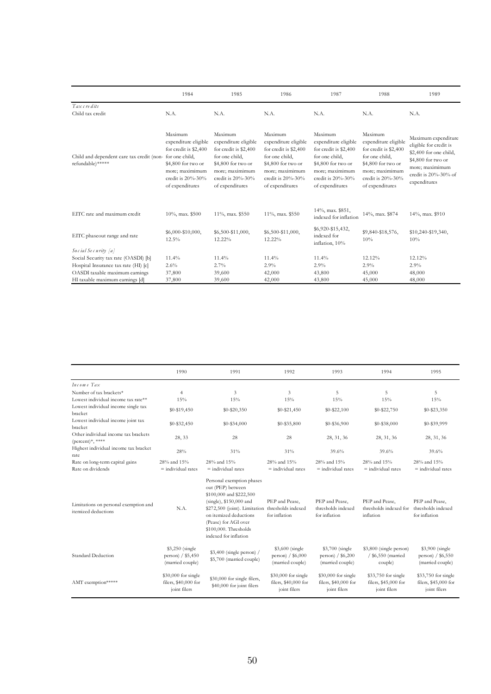|                                                               | 1984                                                                                                                                                        | 1985                                                                                                                                                        | 1986                                                                                                                                                        | 1987                                                                                                                                                        | 1988                                                                                                                                                        | 1989                                                                                                                                                           |
|---------------------------------------------------------------|-------------------------------------------------------------------------------------------------------------------------------------------------------------|-------------------------------------------------------------------------------------------------------------------------------------------------------------|-------------------------------------------------------------------------------------------------------------------------------------------------------------|-------------------------------------------------------------------------------------------------------------------------------------------------------------|-------------------------------------------------------------------------------------------------------------------------------------------------------------|----------------------------------------------------------------------------------------------------------------------------------------------------------------|
| Tax credits<br>Child tax credit                               | N.A.                                                                                                                                                        | N.A.                                                                                                                                                        | N.A.                                                                                                                                                        | N.A.                                                                                                                                                        | N.A.                                                                                                                                                        | N.A.                                                                                                                                                           |
| Child and dependent care tax credit (non-<br>refundable)***** | Maximum<br>expenditure eligible<br>for credit is \$2,400<br>for one child,<br>\$4,800 for two or<br>more; maximimum<br>credit is 20%-30%<br>of expenditures | Maximum<br>expenditure eligible<br>for credit is \$2,400<br>for one child,<br>\$4,800 for two or<br>more; maximimum<br>credit is 20%-30%<br>of expenditures | Maximum<br>expenditure eligible<br>for credit is \$2,400<br>for one child,<br>\$4,800 for two or<br>more; maximimum<br>credit is 20%-30%<br>of expenditures | Maximum<br>expenditure eligible<br>for credit is \$2,400<br>for one child,<br>\$4,800 for two or<br>more; maximimum<br>credit is 20%-30%<br>of expenditures | Maximum<br>expenditure eligible<br>for credit is \$2,400<br>for one child.<br>\$4,800 for two or<br>more; maximimum<br>credit is 20%-30%<br>of expenditures | Maximum expenditure<br>eligible for credit is<br>\$2,400 for one child,<br>\$4,800 for two or<br>more; maximimum<br>credit is $20\% - 30\%$ of<br>expenditures |
| EITC rate and maximum credit                                  | 10%, max. \$500                                                                                                                                             | 11%, max. \$550                                                                                                                                             | 11%, max. \$550                                                                                                                                             | 14%, max. \$851,<br>indexed for inflation                                                                                                                   | 14%, max. \$874                                                                                                                                             | 14%, max. \$910                                                                                                                                                |
| EITC phaseout range and rate                                  | \$6,000-\$10,000,<br>12.5%                                                                                                                                  | \$6,500-\$11,000,<br>12.22%                                                                                                                                 | \$6,500-\$11,000,<br>12.22%                                                                                                                                 | \$6,920-\$15,432,<br>indexed for<br>inflation, 10%                                                                                                          | \$9,840-\$18,576,<br>10%                                                                                                                                    | \$10,240-\$19,340,<br>10%                                                                                                                                      |
| Social Security [a]                                           |                                                                                                                                                             |                                                                                                                                                             |                                                                                                                                                             |                                                                                                                                                             |                                                                                                                                                             |                                                                                                                                                                |
| Social Security tax rate (OASDI) [b]                          | 11.4%                                                                                                                                                       | 11.4%                                                                                                                                                       | 11.4%                                                                                                                                                       | 11.4%                                                                                                                                                       | 12.12%                                                                                                                                                      | 12.12%                                                                                                                                                         |
| Hospital Insurance tax rate (HI) [c]                          | $2.6\%$                                                                                                                                                     | 2.7%                                                                                                                                                        | 2.9%                                                                                                                                                        | 2.9%                                                                                                                                                        | 2.9%                                                                                                                                                        | 2.9%                                                                                                                                                           |
| OASDI taxable maximum earnings                                | 37,800                                                                                                                                                      | 39,600                                                                                                                                                      | 42,000                                                                                                                                                      | 43,800                                                                                                                                                      | 45,000                                                                                                                                                      | 48,000                                                                                                                                                         |
| HI taxable maximum earnings [d]                               | 37,800                                                                                                                                                      | 39,600                                                                                                                                                      | 42,000                                                                                                                                                      | 43,800                                                                                                                                                      | 45,000                                                                                                                                                      | 48,000                                                                                                                                                         |

|                                                                    | 1990                                                        | 1991                                                                                                                                                                                                                                       | 1992                                                        | 1993                                                        | 1994                                                        | 1995                                                        |
|--------------------------------------------------------------------|-------------------------------------------------------------|--------------------------------------------------------------------------------------------------------------------------------------------------------------------------------------------------------------------------------------------|-------------------------------------------------------------|-------------------------------------------------------------|-------------------------------------------------------------|-------------------------------------------------------------|
| Income Tax                                                         |                                                             |                                                                                                                                                                                                                                            |                                                             |                                                             |                                                             |                                                             |
| Number of tax brackets*<br>Lowest individual income tax rate**     | $\overline{4}$<br>15%                                       | 3<br>15%                                                                                                                                                                                                                                   | 3<br>15%                                                    | 5<br>15%                                                    | 5<br>15%                                                    | 5<br>15%                                                    |
| Lowest individual income single tax<br>bracket                     | $$0 - $19,450$                                              | $$0 - $20,350$                                                                                                                                                                                                                             | $$0 - $21,450$                                              | $$0 - $22,100$                                              | \$0-\$22,750                                                | $$0 - $23,350$                                              |
| Lowest individual income joint tax<br>bracket                      | \$0-\$32,450                                                | $$0 - $34,000$                                                                                                                                                                                                                             | \$0-\$35,800                                                | \$0-\$36,900                                                | \$0-\$38,000                                                | \$0-\$39,999                                                |
| Other individual income tax brackets<br>$(\text{percent})^*,$ **** | 28, 33                                                      | 28                                                                                                                                                                                                                                         | 28                                                          | 28, 31, 36                                                  | 28, 31, 36                                                  | 28, 31, 36                                                  |
| Highest individual income tax bracket<br>rate                      | 28%                                                         | 31%                                                                                                                                                                                                                                        | 31%                                                         | 39.6%                                                       | 39.6%                                                       | 39.6%                                                       |
| Rate on long-term capital gains<br>Rate on dividends               | 28% and 15%<br>$=$ individual rates                         | 28% and 15%<br>$=$ individual rates                                                                                                                                                                                                        | 28% and 15%<br>$=$ individual rates                         | 28% and 15%<br>$=$ individual rates                         | 28% and 15%<br>$=$ individual rates                         | 28% and 15%<br>$=$ individual rates                         |
| Limitations on personal exemption and<br>itemized deductions       | N.A.                                                        | Personal exemption phases<br>out (PEP) between<br>\$100,000 and \$222,500<br>$(single), $150,000$ and<br>\$272,500 (joint). Limitation<br>on itemized deductions<br>(Pease) for AGI over<br>\$100,000. Thresholds<br>indexed for inflation | PEP and Pease,<br>thresholds indexed<br>for inflation       | PEP and Pease,<br>thresholds indexed<br>for inflation       | PEP and Pease,<br>thresholds indexed for<br>inflation       | PEP and Pease,<br>thresholds indexed<br>for inflation       |
| Standard Deduction                                                 | \$3,250 (single<br>person) / \$5,450<br>(married couple)    | $$3,400$ (single person) /<br>\$5,700 (married couple)                                                                                                                                                                                     | \$3,600 (single<br>person) $/$ \$6,000<br>(married couple)  | \$3,700 (single<br>person) $/$ \$6,200<br>(married couple)  | \$3,800 (single person)<br>/ \$6,550 (married<br>couple)    | \$3,900 (single<br>person) / \$6,550<br>(married couple)    |
| AMT exemption*****                                                 | \$30,000 for single<br>filers, \$40,000 for<br>joint filers | \$30,000 for single filers,<br>\$40,000 for joint filers                                                                                                                                                                                   | \$30,000 for single<br>filers, \$40,000 for<br>joint filers | \$30,000 for single<br>filers, \$40,000 for<br>joint filers | \$33,750 for single<br>filers, \$45,000 for<br>joint filers | \$33,750 for single<br>filers, \$45,000 for<br>joint filers |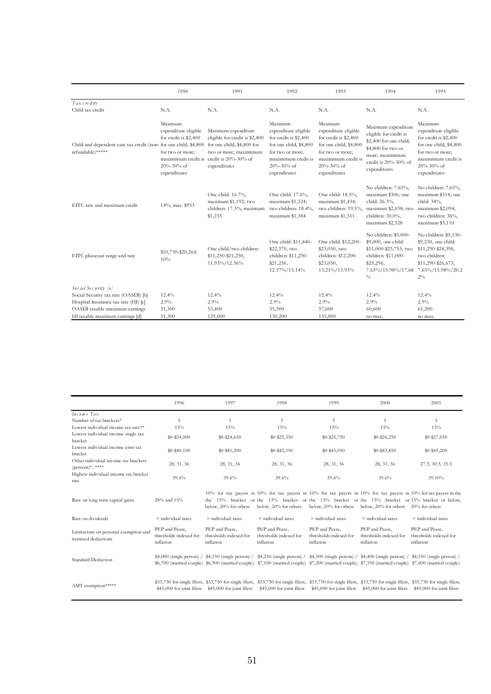|                                                                                       | 1990                                                                                                       | 1991                                                                                                                                                                      | 1992                                                                                                                                                              | 1993                                                                                                                                                        | 1994                                                                                                                                                     | 1995                                                                                                                                                        |
|---------------------------------------------------------------------------------------|------------------------------------------------------------------------------------------------------------|---------------------------------------------------------------------------------------------------------------------------------------------------------------------------|-------------------------------------------------------------------------------------------------------------------------------------------------------------------|-------------------------------------------------------------------------------------------------------------------------------------------------------------|----------------------------------------------------------------------------------------------------------------------------------------------------------|-------------------------------------------------------------------------------------------------------------------------------------------------------------|
| Tax cre dits                                                                          |                                                                                                            |                                                                                                                                                                           |                                                                                                                                                                   |                                                                                                                                                             |                                                                                                                                                          |                                                                                                                                                             |
| Child tax credit                                                                      | N.A.                                                                                                       | N.A.                                                                                                                                                                      | N.A.                                                                                                                                                              | N.A.                                                                                                                                                        | N.A.                                                                                                                                                     | N.A.                                                                                                                                                        |
| Child and dependent care tax credit (non- for one child, \$4,800)<br>refundable)***** | Maximum<br>expenditure eligible<br>for credit is \$2,400<br>for two or more;<br>20%-30% of<br>expenditures | Maximum expenditure<br>eligible for credit is \$2,400<br>for one child, \$4,800 for<br>two or more; maximimum<br>maximimum credit is credit is 20%-30% of<br>expenditures | Maximum<br>expenditure eligible<br>for credit is \$2,400<br>for one child, \$4,800<br>for two or more;<br>maximimum credit is<br>$20\% - 30\%$ of<br>expenditures | Maximum<br>expenditure eligible<br>for credit is \$2,400<br>for one child, \$4,800<br>for two or more;<br>maximimum credit is<br>20%-30% of<br>expenditures | Maximum expenditure<br>eligible for credit is<br>\$2,400 for one child,<br>\$4,800 for two or<br>more; maximimum<br>credit is 20%-30% of<br>expenditures | Maximum<br>expenditure eligible<br>for credit is \$2,400<br>for one child, \$4,800<br>for two or more;<br>maximimum credit is<br>20%-30% of<br>expenditures |
| EITC rate and maximum credit                                                          | 14%, max. \$953                                                                                            | One child: 16.7%,<br>maximum \$1,192; two<br>children: 17.3%, maximum<br>\$1,235                                                                                          | One child: 17.6%,<br>maximum \$1,324;<br>two children: 18.4%,<br>maximum \$1,384                                                                                  | One child: 18.5%,<br>maximum \$1,434;<br>two children: 19.5%,<br>maximum \$1,511                                                                            | No children: 7.65%,<br>maximum \$306; one<br>child: 26.3%,<br>maximum \$2,038; two<br>children: 30.0%,<br>maximum \$2,528                                | No children: 7.65%,<br>maximum \$314; one<br>child: 34%,<br>maximum \$2,094;<br>two children: 36%,<br>maximum \$3,110                                       |
| EITC phaseout range and rate                                                          | \$10,730-\$20,264,<br>10%                                                                                  | One child/two children:<br>\$11,250-\$21,250,<br>11.93%/12.36%                                                                                                            | One child: \$11,840-<br>\$22,370, two<br>children: \$11,250-<br>\$21,250,<br>12.57%/13.14%                                                                        | One child: \$12,200-<br>\$23,050, two<br>children: \$12,200-<br>\$23,050,<br>13.21%/13.93%                                                                  | No children: \$5,000-<br>\$9,000, one child:<br>\$11,000-\$23,755, two<br>children: \$11,000-<br>\$25,296,<br>7.65%/15.98%/17.68<br>$\frac{0}{0}$        | No children: \$5,130-<br>\$9,230, one child:<br>\$11,290-\$24,396,<br>two children:<br>\$11,290-\$26,673,<br>7.65%/15.98%/20.2<br>$2\%$                     |
| Social Security [a]                                                                   |                                                                                                            |                                                                                                                                                                           |                                                                                                                                                                   |                                                                                                                                                             |                                                                                                                                                          |                                                                                                                                                             |
| Social Security tax rate (OASDI) [b]                                                  | 12.4%                                                                                                      | 12.4%                                                                                                                                                                     | 12.4%                                                                                                                                                             | 12.4%                                                                                                                                                       | 12.4%                                                                                                                                                    | 12.4%                                                                                                                                                       |
| Hospital Insurance tax rate (HI) [c]                                                  | 2.9%                                                                                                       | 2.9%                                                                                                                                                                      | 2.9%                                                                                                                                                              | 2.9%                                                                                                                                                        | 2.9%                                                                                                                                                     | 2.9%                                                                                                                                                        |
| OASDI taxable maximum earnings                                                        | 51,300                                                                                                     | 53,400                                                                                                                                                                    | 55,500                                                                                                                                                            | 57,600                                                                                                                                                      | 60,600                                                                                                                                                   | 61,200                                                                                                                                                      |
| HI taxable maximum earnings [d]                                                       | 51,300                                                                                                     | 125,000                                                                                                                                                                   | 130,200                                                                                                                                                           | 135,000                                                                                                                                                     | no max.                                                                                                                                                  | no max.                                                                                                                                                     |

|                                                                    | 1996                                                  | 1997                                                                                                                                                                                                                                                                                                                       | 1998                                                  | 1999                                                       | 2000                                                  | 2001                                                                                                                                                                                                               |
|--------------------------------------------------------------------|-------------------------------------------------------|----------------------------------------------------------------------------------------------------------------------------------------------------------------------------------------------------------------------------------------------------------------------------------------------------------------------------|-------------------------------------------------------|------------------------------------------------------------|-------------------------------------------------------|--------------------------------------------------------------------------------------------------------------------------------------------------------------------------------------------------------------------|
| Income Tax<br>Number of tax brackets*                              | 5                                                     | 5                                                                                                                                                                                                                                                                                                                          | 5                                                     | 5                                                          | 5                                                     | 5                                                                                                                                                                                                                  |
| Lowest individual income tax rate**                                | 15%                                                   | 15%                                                                                                                                                                                                                                                                                                                        | 15%                                                   | 15%                                                        | 15%                                                   | 15%                                                                                                                                                                                                                |
| Lowest individual income single tax<br>bracket                     | $$0 - $24,000$                                        | $$0 - $24,650$                                                                                                                                                                                                                                                                                                             | $$0 - $25,350$                                        | $$0 - $25,750$                                             | $$0 - $26,250$                                        | $$0 - $27,050$                                                                                                                                                                                                     |
| Lowest individual income joint tax<br>bracket                      | $$0 - $40,100$                                        | $$0-$41,200$                                                                                                                                                                                                                                                                                                               | $$0 - $42,350$                                        | $$0 - $43,050$                                             | $$0 - $43,850$                                        | $$0 - $45,200$                                                                                                                                                                                                     |
| Other individual income tax brackets<br>$(\text{percent})^*,$ **** | 28, 31, 36                                            | 28, 31, 36                                                                                                                                                                                                                                                                                                                 | 28, 31, 36                                            | 28, 31, 36                                                 | 28, 31, 36                                            | 27.5, 30.5, 35.5                                                                                                                                                                                                   |
| Highest individual income tax bracket<br>rate                      | 39.6%                                                 | 39.6%                                                                                                                                                                                                                                                                                                                      | 39.6%                                                 | 39.6%                                                      | 39.6%                                                 | 39.10%                                                                                                                                                                                                             |
| Rate on long-term capital gains                                    | 28% and 15%                                           | the -<br>below. 20% for others                                                                                                                                                                                                                                                                                             | below, 20% for others                                 | below, 20% for others below, 20% for others 20% for others |                                                       | 10% for tax payers in 10% for tax payers in 10% for tax payers in 10% for tax payers in 10% for tax payers in the<br>15% bracket or the 15% bracket or the 15% bracket or the 15% bracket or 15% bracket or below, |
| Rate on dividends                                                  | $\equiv$ individual rates                             | $=$ individual rates                                                                                                                                                                                                                                                                                                       | $=$ individual rates                                  | $=$ individual rates                                       | $=$ individual rates                                  | $\equiv$ individual rates                                                                                                                                                                                          |
| Limitations on personal exemption and<br>itemized deductions       | PEP and Pease,<br>thresholds indexed for<br>inflation | PEP and Pease,<br>thresholds indexed for<br>inflation                                                                                                                                                                                                                                                                      | PEP and Pease,<br>thresholds indexed for<br>inflation | PEP and Pease,<br>thresholds indexed for<br>inflation      | PEP and Pease,<br>thresholds indexed for<br>inflation | PEP and Pease,<br>thresholds indexed for<br>inflation                                                                                                                                                              |
| <b>Standard Deduction</b>                                          |                                                       | $$4,000$ (single person) / $$4,150$ (single person) / $$4,250$ (single person) / $$4,300$ (single person) / $$4,400$ (single person) / $$4,550$ (single person) /<br>\$6,700 (married couple) \$6,900 (married couple) \$7,100 (married couple) \$7,200 (married couple) \$7,350 (married couple) \$7,600 (married couple) |                                                       |                                                            |                                                       |                                                                                                                                                                                                                    |
| AMT exemption*****                                                 | \$45,000 for joint filers                             | \$33,750 for single filers, \$33,750 for single filers, \$33,750 for single filers, \$33,750 for single filers, \$33,750 for single filers, \$35,750 for single filers,<br>\$45,000 for joint filers                                                                                                                       | \$45,000 for joint filers                             | \$45,000 for joint filers                                  | \$45,000 for joint filers                             | \$49,000 for joint filers                                                                                                                                                                                          |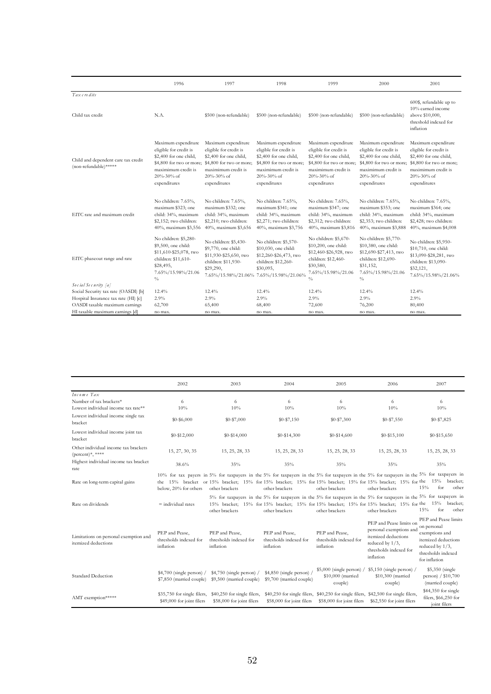|                                                              | 1996                                                                                                                                                     | 1997                                                                                                                                                     | 1998                                                                                                                                                     | 1999                                                                                                                                                     | 2000                                                                                                                                                     | 2001                                                                                                                                                     |
|--------------------------------------------------------------|----------------------------------------------------------------------------------------------------------------------------------------------------------|----------------------------------------------------------------------------------------------------------------------------------------------------------|----------------------------------------------------------------------------------------------------------------------------------------------------------|----------------------------------------------------------------------------------------------------------------------------------------------------------|----------------------------------------------------------------------------------------------------------------------------------------------------------|----------------------------------------------------------------------------------------------------------------------------------------------------------|
| Tax credits                                                  |                                                                                                                                                          |                                                                                                                                                          |                                                                                                                                                          |                                                                                                                                                          |                                                                                                                                                          | 600\$, refundable up to<br>10% earned income                                                                                                             |
| Child tax credit                                             | N.A.                                                                                                                                                     | \$500 (non-refundable)                                                                                                                                   | \$500 (non-refundable)                                                                                                                                   | \$500 (non-refundable)                                                                                                                                   | \$500 (non-refundable)                                                                                                                                   | above \$10,000,<br>threshold indexed for<br>inflation                                                                                                    |
| Child and dependent care tax credit<br>(non-refundable)***** | Maximum expenditure<br>eligible for credit is<br>\$2,400 for one child,<br>\$4,800 for two or more;<br>maximimum credit is<br>20%-30% of<br>expenditures | Maximum expenditure<br>eligible for credit is<br>\$2,400 for one child,<br>\$4,800 for two or more;<br>maximimum credit is<br>20%-30% of<br>expenditures | Maximum expenditure<br>eligible for credit is<br>\$2,400 for one child,<br>\$4,800 for two or more;<br>maximimum credit is<br>20%-30% of<br>expenditures | Maximum expenditure<br>eligible for credit is<br>\$2,400 for one child,<br>\$4,800 for two or more;<br>maximimum credit is<br>20%-30% of<br>expenditures | Maximum expenditure<br>eligible for credit is<br>\$2,400 for one child,<br>\$4,800 for two or more;<br>maximimum credit is<br>20%-30% of<br>expenditures | Maximum expenditure<br>eligible for credit is<br>\$2,400 for one child,<br>\$4,800 for two or more;<br>maximimum credit is<br>20%-30% of<br>expenditures |
| EITC rate and maximum credit                                 | No children: 7.65%,<br>maximum \$323; one<br>child: 34%, maximum<br>\$2,152; two children:<br>40%, maximum \$3,556                                       | No children: 7.65%,<br>maximum \$332; one<br>child: 34%, maximum<br>\$2,210; two children:<br>40%, maximum \$3,656                                       | No children: 7.65%,<br>maximum \$341; one<br>child: 34%, maximum<br>\$2,271; two children:<br>40%, maximum \$3,756                                       | No children: 7.65%,<br>maximum \$347; one<br>child: 34%, maximum<br>\$2,312; two children:<br>40%, maximum \$3,816                                       | No children: 7.65%,<br>maximum \$353; one<br>child: 34%, maximum<br>\$2,353; two children:<br>40%, maximum \$3,888                                       | No children: 7.65%,<br>maximum \$364; one<br>child: 34%, maximum<br>\$2,428; two children:<br>40%, maximum \$4,008                                       |
| EITC phaseout range and rate                                 | No children: \$5,280-<br>\$9,500, one child:<br>\$11,610-\$25,078, two<br>children: \$11,610-<br>\$28,495,<br>7.65%/15.98%/21.06<br>$\%$                 | No children: \$5,430-<br>\$9,770, one child:<br>\$11,930-\$25,650, two<br>children: \$11,930-<br>\$29,290,                                               | No children: \$5,570-<br>\$10,030, one child:<br>\$12,260-\$26,473, two<br>children: \$12,260-<br>\$30,095,<br>7.65%/15.98%/21.06% 7.65%/15.98%/21.06%   | No children: \$5,670-<br>\$10,200, one child:<br>\$12,460-\$26,928, two<br>children: \$12,460-<br>\$30,580,<br>7.65%/15.98%/21.06<br>$\frac{0}{0}$       | No children: \$5,770-<br>\$10,380, one child:<br>\$12,690-\$27,413, two<br>children: \$12,690-<br>\$31,152,<br>7.65%/15.98%/21.06<br>$\%$                | No children: \$5,950-<br>\$10,710, one child:<br>\$13,090-\$28,281, two<br>children: \$13,090-<br>\$32,121,<br>7.65%/15.98%/21.06%                       |
| Social Security [a]                                          |                                                                                                                                                          |                                                                                                                                                          |                                                                                                                                                          |                                                                                                                                                          |                                                                                                                                                          |                                                                                                                                                          |
| Social Security tax rate (OASDI) [b]                         | 12.4%                                                                                                                                                    | 12.4%                                                                                                                                                    | 12.4%                                                                                                                                                    | 12.4%                                                                                                                                                    | 12.4%                                                                                                                                                    | 12.4%                                                                                                                                                    |
| Hospital Insurance tax rate (HI) [c]                         | 2.9%                                                                                                                                                     | 2.9%                                                                                                                                                     | $2.9\%$                                                                                                                                                  | 2.9%                                                                                                                                                     | 2.9%                                                                                                                                                     | 2.9%                                                                                                                                                     |
| OASDI taxable maximum earnings                               | 62,700                                                                                                                                                   | 65,400                                                                                                                                                   | 68,400                                                                                                                                                   | 72,600                                                                                                                                                   | 76,200                                                                                                                                                   | 80,400                                                                                                                                                   |
| HI taxable maximum earnings [d]                              | no max.                                                                                                                                                  | no max.                                                                                                                                                  | no max.                                                                                                                                                  | no max.                                                                                                                                                  | no max.                                                                                                                                                  | no max.                                                                                                                                                  |

|                                                                                                                     | 2002                                                     | 2003                                                                                                                                                                                                                                                                                   | 2004                                                                                                                                                                                                                                          | 2005                                                                                                             | 2006                                                                                                                                   | 2007                                                                                                                                   |
|---------------------------------------------------------------------------------------------------------------------|----------------------------------------------------------|----------------------------------------------------------------------------------------------------------------------------------------------------------------------------------------------------------------------------------------------------------------------------------------|-----------------------------------------------------------------------------------------------------------------------------------------------------------------------------------------------------------------------------------------------|------------------------------------------------------------------------------------------------------------------|----------------------------------------------------------------------------------------------------------------------------------------|----------------------------------------------------------------------------------------------------------------------------------------|
| Income Tax<br>Number of tax brackets*<br>Lowest individual income tax rate**<br>Lowest individual income single tax | 6<br>10%                                                 | 6<br>10%                                                                                                                                                                                                                                                                               | 6<br>10%                                                                                                                                                                                                                                      | 6<br>10%                                                                                                         | 6<br>10%                                                                                                                               | 6<br>10%                                                                                                                               |
| bracket                                                                                                             | $$0 - $6,000$                                            | \$0-\$7,000                                                                                                                                                                                                                                                                            | $$0 - $7,150$                                                                                                                                                                                                                                 | $$0 - $7,300$                                                                                                    | $$0 - $7,550$                                                                                                                          | \$0-\$7,825                                                                                                                            |
| Lowest individual income joint tax<br>bracket                                                                       | $$0 - $12,000$                                           | $$0-$14,000$                                                                                                                                                                                                                                                                           | $$0-$14,300$                                                                                                                                                                                                                                  | $$0-$14,600$                                                                                                     | $$0 - $15,100$                                                                                                                         | $$0 - $15,650$                                                                                                                         |
| Other individual income tax brackets<br>$(\text{percent})^*,$ ****                                                  | 15, 27, 30, 35                                           | 15, 25, 28, 33                                                                                                                                                                                                                                                                         | 15, 25, 28, 33                                                                                                                                                                                                                                | 15, 25, 28, 33                                                                                                   | 15, 25, 28, 33                                                                                                                         | 15, 25, 28, 33                                                                                                                         |
| Highest individual income tax bracket<br>rate                                                                       | 38.6%                                                    | 35%                                                                                                                                                                                                                                                                                    | 35%                                                                                                                                                                                                                                           | 35%                                                                                                              | 35%                                                                                                                                    | 35%                                                                                                                                    |
| Rate on long-term capital gains                                                                                     | below, 20% for others                                    | 10% for tax payers in 5% for taxpayers in the 5% for taxpayers in the 5% for taxpayers in the 5% for taxpayers in the 5% for taxpayers in<br>the 15% bracket or 15% bracket; 15% for 15% bracket; 15% for 15% bracket; 15% for 15% bracket; 15% for the 15% bracket;<br>other brackets | other brackets                                                                                                                                                                                                                                | other brackets                                                                                                   | other brackets                                                                                                                         | for<br>15%<br>other                                                                                                                    |
| Rate on dividends                                                                                                   | $=$ individual rates                                     | other brackets                                                                                                                                                                                                                                                                         | 5% for taxpayers in the 5% for taxpayers in the 5% for taxpayers in the 5% for taxpayers in the 5% for taxpayers in<br>15% bracket; 15% for 15% bracket; 15% for 15% bracket; 15% for 15% bracket; 15% for the 15% bracket;<br>other brackets | other brackets                                                                                                   | other brackets                                                                                                                         | for<br>15%<br>other                                                                                                                    |
| Limitations on personal exemption and<br>itemized deductions                                                        | PEP and Pease,<br>thresholds indexed for<br>inflation    | PEP and Pease,<br>thresholds indexed for<br>inflation                                                                                                                                                                                                                                  | PEP and Pease,<br>thresholds indexed for<br>inflation                                                                                                                                                                                         | PEP and Pease,<br>thresholds indexed for<br>inflation                                                            | PEP and Pease limits on<br>personal exemptions and<br>itemized deductions<br>reduced by $1/3$ ,<br>thresholds indexed for<br>inflation | PEP and Pease limits<br>on personal<br>exemptions and<br>itemized deductions<br>reduced by 1/3,<br>thresholds indexed<br>for inflation |
| Standard Deduction                                                                                                  | $$4,700$ (single person) /<br>\$7,850 (married couple)   | $$4,750$ (single person) /<br>\$9,500 (married couple)                                                                                                                                                                                                                                 | \$4,850 (single person) $/$<br>\$9,700 (married couple)                                                                                                                                                                                       | $$5,000$ (single person) / $$5,150$ (single person) /<br>\$10,000 (married<br>couple)                            | \$10,300 (married<br>couple)                                                                                                           | \$5,350 (single<br>person) / \$10,700<br>(married couple)                                                                              |
| AMT exemption*****                                                                                                  | \$35,750 for single filers,<br>\$49,000 for joint filers | \$40,250 for single filers,<br>\$58,000 for joint filers                                                                                                                                                                                                                               | \$58,000 for joint filers                                                                                                                                                                                                                     | \$40,250 for single filers, \$40,250 for single filers, \$42,500 for single filers,<br>\$58,000 for joint filers | \$62,550 for joint filers                                                                                                              | \$44,350 for single<br>filers, \$66,250 for<br>joint filers                                                                            |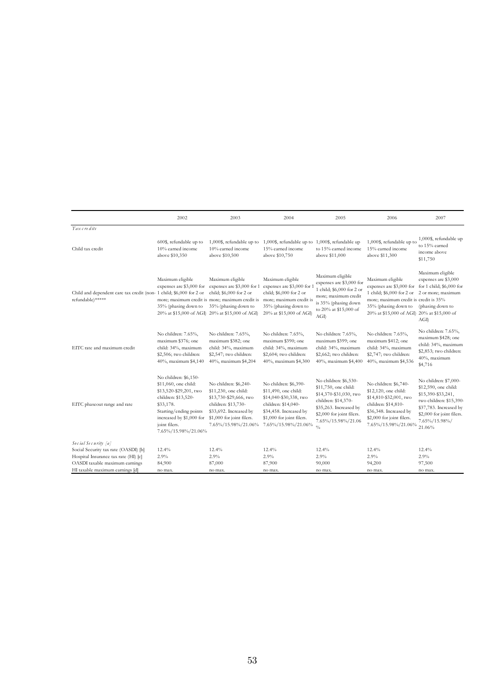|                                                                                         | 2002                                                                                                                                                                                                      | 2003                                                                                                                                                                         | 2004                                                                                                                                                                         | 2005                                                                                                                                                                                         | 2006                                                                                                                                                                                                                                | 2007                                                                                                                                                                             |
|-----------------------------------------------------------------------------------------|-----------------------------------------------------------------------------------------------------------------------------------------------------------------------------------------------------------|------------------------------------------------------------------------------------------------------------------------------------------------------------------------------|------------------------------------------------------------------------------------------------------------------------------------------------------------------------------|----------------------------------------------------------------------------------------------------------------------------------------------------------------------------------------------|-------------------------------------------------------------------------------------------------------------------------------------------------------------------------------------------------------------------------------------|----------------------------------------------------------------------------------------------------------------------------------------------------------------------------------|
| Tax credits                                                                             |                                                                                                                                                                                                           |                                                                                                                                                                              |                                                                                                                                                                              |                                                                                                                                                                                              |                                                                                                                                                                                                                                     |                                                                                                                                                                                  |
| Child tax credit                                                                        | 600\$, refundable up to<br>10% earned income<br>above \$10,350                                                                                                                                            | 1,000\$, refundable up to<br>10% earned income<br>above \$10,500                                                                                                             | 1,000\$, refundable up to 1,000\$, refundable up<br>15% earned income<br>above \$10,750                                                                                      | to 15% earned income<br>above \$11,000                                                                                                                                                       | 1,000\$, refundable up to<br>15% earned income<br>above \$11,300                                                                                                                                                                    | 1,000\$, refundable up<br>to 15% earned<br>income above<br>\$11,750                                                                                                              |
| Child and dependent care tax credit (non- 1 child; \$6,000 for 2 or<br>refundable)***** | Maximum eligible<br>expenses are \$3,000 for<br>35% (phasing down to<br>20% at \$15,000 of AGI 20% at \$15,000 of AGI                                                                                     | Maximum eligible<br>expenses are \$3,000 for 1<br>child; \$6,000 for 2 or<br>more; maximum credit is more; maximum credit is<br>35% (phasing down to                         | Maximum eligible<br>expenses are \$3,000 for 1<br>child; \$6,000 for 2 or<br>more; maximum credit is<br>35% (phasing down to<br>20% at \$15,000 of AGI)                      | Maximum eligible<br>expenses are \$3,000 for<br>1 child; \$6,000 for 2 or<br>more; maximum credit<br>is 35% (phasing down<br>to 20% at \$15,000 of<br>AGI                                    | Maximum eligible<br>expenses are \$3,000 for for 1 child; \$6,000 for<br>1 child; \$6,000 for 2 or 2 or more; maximum<br>more; maximum credit is credit is 35%<br>35% (phasing down to<br>20% at \$15,000 of AGI 20% at \$15,000 of | Maximum eligible<br>expenses are \$3,000<br>(phasing down to<br>AGI                                                                                                              |
| EITC rate and maximum credit                                                            | No children: 7.65%,<br>maximum \$376; one<br>child: 34%, maximum<br>\$2,506; two children:<br>40%, maximum \$4,140                                                                                        | No children: 7.65%,<br>maximum \$382; one<br>child: 34%, maximum<br>\$2,547; two children:<br>40%, maximum \$4,204                                                           | No children: 7.65%,<br>maximum \$390; one<br>child: 34%, maximum<br>\$2,604; two children:<br>40%, maximum \$4,300                                                           | No children: 7.65%,<br>maximum \$399; one<br>child: 34%, maximum<br>\$2,662; two children:<br>40%, maximum \$4,400                                                                           | No children: 7.65%,<br>maximum \$412; one<br>child: 34%, maximum<br>\$2,747; two children:<br>40%, maximum \$4,536                                                                                                                  | No children: 7.65%,<br>maximum \$428; one<br>child: 34%, maximum<br>\$2,853; two children:<br>40%, maximum<br>\$4,716                                                            |
| EITC phaseout range and rate                                                            | No children: \$6,150-<br>\$11,060, one child:<br>\$13,520-\$29,201, two<br>children: \$13,520-<br>\$33,178.<br>Starting/ending points<br>increased by \$1,000 for<br>joint filers.<br>7.65%/15.98%/21.06% | No children: \$6,240-<br>\$11,230, one child:<br>\$13,730-\$29,666, two<br>children: \$13,730-<br>\$33,692. Increased by<br>\$1,000 for joint filers.<br>7.65%/15.98%/21.06% | No children: \$6,390-<br>\$11,490, one child:<br>\$14,040-\$30,338, two<br>children: \$14,040-<br>\$34,458. Increased by<br>\$1,000 for joint filers.<br>7.65%/15.98%/21.06% | No children: \$6,530-<br>\$11,750, one child:<br>\$14,370-\$31,030, two<br>children: \$14,370-<br>\$35,263. Increased by<br>\$2,000 for joint filers.<br>7.65%/15.98%/21.06<br>$\frac{0}{0}$ | No children: \$6,740-<br>\$12,120, one child:<br>\$14,810-\$32,001, two<br>children: \$14,810-<br>\$36,348. Increased by<br>\$2,000 for joint filers.<br>7.65%/15.98%/21.06%                                                        | No children: \$7,000-<br>\$12,590, one child:<br>\$15,390-\$33,241,<br>two children: \$15,390-<br>\$37,783. Increased by<br>\$2,000 for joint filers.<br>7.65%/15.98%/<br>21.06% |
| Social Security [a]                                                                     |                                                                                                                                                                                                           |                                                                                                                                                                              |                                                                                                                                                                              |                                                                                                                                                                                              |                                                                                                                                                                                                                                     |                                                                                                                                                                                  |
| Social Security tax rate (OASDI) [b]                                                    | 12.4%                                                                                                                                                                                                     | 12.4%                                                                                                                                                                        | 12.4%                                                                                                                                                                        | 12.4%                                                                                                                                                                                        | 12.4%                                                                                                                                                                                                                               | 12.4%                                                                                                                                                                            |
| Hospital Insurance tax rate (HI) [c]                                                    | 2.9%                                                                                                                                                                                                      | 2.9%                                                                                                                                                                         | 2.9%                                                                                                                                                                         | 2.9%                                                                                                                                                                                         | 2.9%                                                                                                                                                                                                                                | 2.9%                                                                                                                                                                             |
| OASDI taxable maximum earnings<br>HI taxable maximum earnings [d]                       | 84,900<br>no max.                                                                                                                                                                                         | 87,000<br>no max.                                                                                                                                                            | 87,900<br>no max.                                                                                                                                                            | 90,000<br>no max.                                                                                                                                                                            | 94,200<br>no max.                                                                                                                                                                                                                   | 97,500<br>no max.                                                                                                                                                                |
|                                                                                         |                                                                                                                                                                                                           |                                                                                                                                                                              |                                                                                                                                                                              |                                                                                                                                                                                              |                                                                                                                                                                                                                                     |                                                                                                                                                                                  |